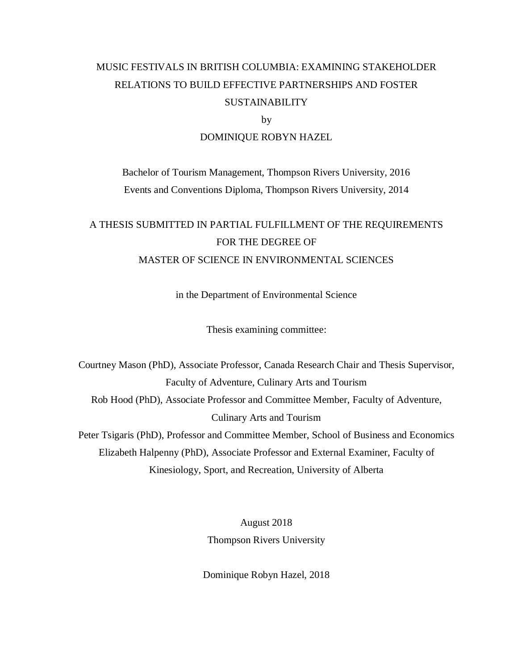## MUSIC FESTIVALS IN BRITISH COLUMBIA: EXAMINING STAKEHOLDER RELATIONS TO BUILD EFFECTIVE PARTNERSHIPS AND FOSTER SUSTAINABILITY

by

#### DOMINIQUE ROBYN HAZEL

Bachelor of Tourism Management, Thompson Rivers University, 2016 Events and Conventions Diploma, Thompson Rivers University, 2014

## A THESIS SUBMITTED IN PARTIAL FULFILLMENT OF THE REQUIREMENTS FOR THE DEGREE OF MASTER OF SCIENCE IN ENVIRONMENTAL SCIENCES

in the Department of Environmental Science

Thesis examining committee:

Courtney Mason (PhD), Associate Professor, Canada Research Chair and Thesis Supervisor, Faculty of Adventure, Culinary Arts and Tourism Rob Hood (PhD), Associate Professor and Committee Member, Faculty of Adventure, Culinary Arts and Tourism Peter Tsigaris (PhD), Professor and Committee Member, School of Business and Economics Elizabeth Halpenny (PhD), Associate Professor and External Examiner, Faculty of Kinesiology, Sport, and Recreation, University of Alberta

> August 2018 Thompson Rivers University

Dominique Robyn Hazel, 2018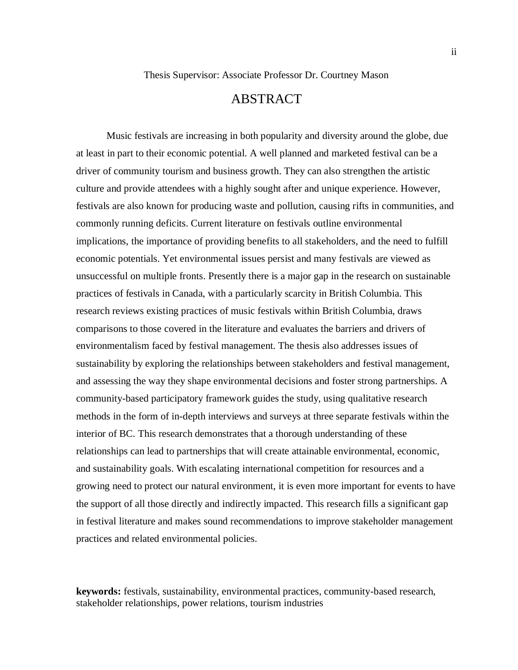## ABSTRACT

<span id="page-1-0"></span>Music festivals are increasing in both popularity and diversity around the globe, due at least in part to their economic potential. A well planned and marketed festival can be a driver of community tourism and business growth. They can also strengthen the artistic culture and provide attendees with a highly sought after and unique experience. However, festivals are also known for producing waste and pollution, causing rifts in communities, and commonly running deficits. Current literature on festivals outline environmental implications, the importance of providing benefits to all stakeholders, and the need to fulfill economic potentials. Yet environmental issues persist and many festivals are viewed as unsuccessful on multiple fronts. Presently there is a major gap in the research on sustainable practices of festivals in Canada, with a particularly scarcity in British Columbia. This research reviews existing practices of music festivals within British Columbia, draws comparisons to those covered in the literature and evaluates the barriers and drivers of environmentalism faced by festival management. The thesis also addresses issues of sustainability by exploring the relationships between stakeholders and festival management, and assessing the way they shape environmental decisions and foster strong partnerships. A community-based participatory framework guides the study, using qualitative research methods in the form of in-depth interviews and surveys at three separate festivals within the interior of BC. This research demonstrates that a thorough understanding of these relationships can lead to partnerships that will create attainable environmental, economic, and sustainability goals. With escalating international competition for resources and a growing need to protect our natural environment, it is even more important for events to have the support of all those directly and indirectly impacted. This research fills a significant gap in festival literature and makes sound recommendations to improve stakeholder management practices and related environmental policies.

**keywords:** festivals, sustainability, environmental practices, community-based research, stakeholder relationships, power relations, tourism industries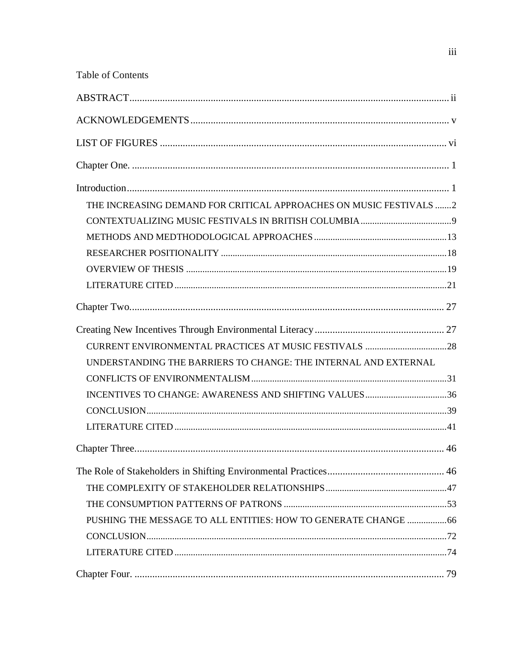| <b>Table of Contents</b>                                           |  |
|--------------------------------------------------------------------|--|
|                                                                    |  |
|                                                                    |  |
|                                                                    |  |
|                                                                    |  |
|                                                                    |  |
| THE INCREASING DEMAND FOR CRITICAL APPROACHES ON MUSIC FESTIVALS 2 |  |
|                                                                    |  |
|                                                                    |  |
|                                                                    |  |
|                                                                    |  |
|                                                                    |  |
|                                                                    |  |
|                                                                    |  |
|                                                                    |  |
| UNDERSTANDING THE BARRIERS TO CHANGE: THE INTERNAL AND EXTERNAL    |  |
|                                                                    |  |
| INCENTIVES TO CHANGE: AWARENESS AND SHIFTING VALUES36              |  |
|                                                                    |  |
|                                                                    |  |
|                                                                    |  |
|                                                                    |  |
|                                                                    |  |
|                                                                    |  |
| PUSHING THE MESSAGE TO ALL ENTITIES: HOW TO GENERATE CHANGE 66     |  |
|                                                                    |  |
|                                                                    |  |
|                                                                    |  |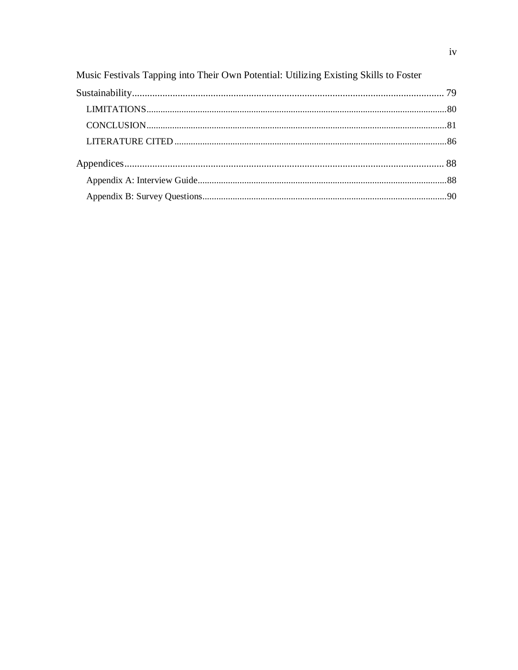| Music Festivals Tapping into Their Own Potential: Utilizing Existing Skills to Foster |  |
|---------------------------------------------------------------------------------------|--|
|                                                                                       |  |
|                                                                                       |  |
|                                                                                       |  |
|                                                                                       |  |
|                                                                                       |  |
|                                                                                       |  |
|                                                                                       |  |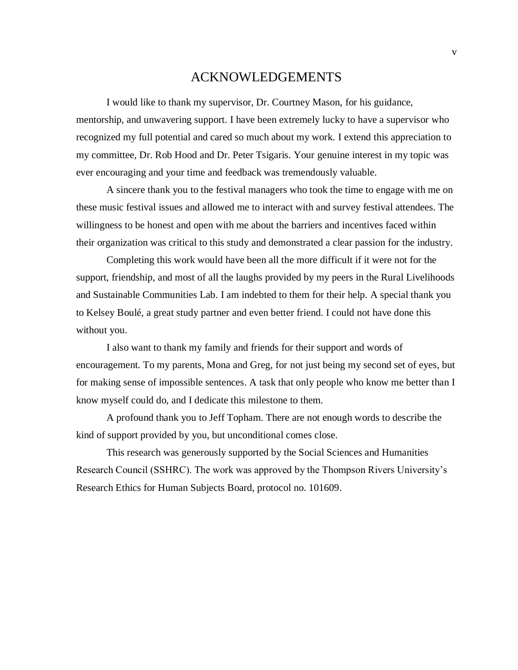### ACKNOWLEDGEMENTS

<span id="page-4-0"></span>I would like to thank my supervisor, Dr. Courtney Mason, for his guidance, mentorship, and unwavering support. I have been extremely lucky to have a supervisor who recognized my full potential and cared so much about my work. I extend this appreciation to my committee, Dr. Rob Hood and Dr. Peter Tsigaris. Your genuine interest in my topic was ever encouraging and your time and feedback was tremendously valuable.

A sincere thank you to the festival managers who took the time to engage with me on these music festival issues and allowed me to interact with and survey festival attendees. The willingness to be honest and open with me about the barriers and incentives faced within their organization was critical to this study and demonstrated a clear passion for the industry.

Completing this work would have been all the more difficult if it were not for the support, friendship, and most of all the laughs provided by my peers in the Rural Livelihoods and Sustainable Communities Lab. I am indebted to them for their help. A special thank you to Kelsey Boulé, a great study partner and even better friend. I could not have done this without you.

I also want to thank my family and friends for their support and words of encouragement. To my parents, Mona and Greg, for not just being my second set of eyes, but for making sense of impossible sentences. A task that only people who know me better than I know myself could do, and I dedicate this milestone to them.

A profound thank you to Jeff Topham. There are not enough words to describe the kind of support provided by you, but unconditional comes close.

This research was generously supported by the Social Sciences and Humanities Research Council (SSHRC). The work was approved by the Thompson Rivers University's Research Ethics for Human Subjects Board, protocol no. 101609.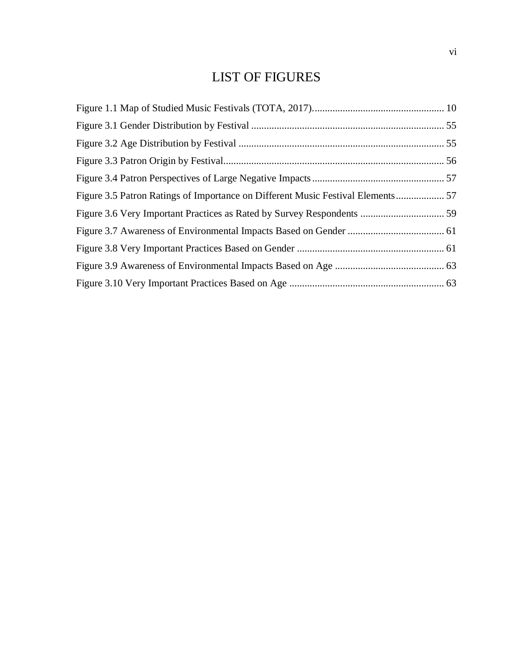## LIST OF FIGURES

<span id="page-5-0"></span>

| Figure 3.5 Patron Ratings of Importance on Different Music Festival Elements 57 |  |
|---------------------------------------------------------------------------------|--|
|                                                                                 |  |
|                                                                                 |  |
|                                                                                 |  |
|                                                                                 |  |
|                                                                                 |  |
|                                                                                 |  |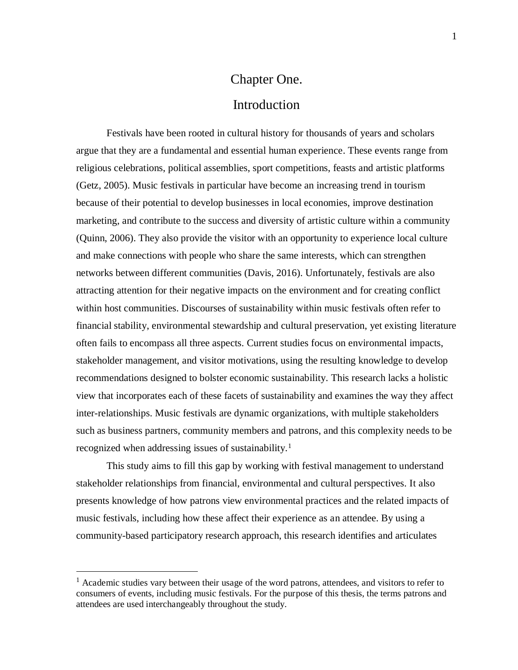# Chapter One. Introduction

<span id="page-6-1"></span><span id="page-6-0"></span>Festivals have been rooted in cultural history for thousands of years and scholars argue that they are a fundamental and essential human experience. These events range from religious celebrations, political assemblies, sport competitions, feasts and artistic platforms (Getz, 2005). Music festivals in particular have become an increasing trend in tourism because of their potential to develop businesses in local economies, improve destination marketing, and contribute to the success and diversity of artistic culture within a community (Quinn, 2006). They also provide the visitor with an opportunity to experience local culture and make connections with people who share the same interests, which can strengthen networks between different communities (Davis, 2016). Unfortunately, festivals are also attracting attention for their negative impacts on the environment and for creating conflict within host communities. Discourses of sustainability within music festivals often refer to financial stability, environmental stewardship and cultural preservation, yet existing literature often fails to encompass all three aspects. Current studies focus on environmental impacts, stakeholder management, and visitor motivations, using the resulting knowledge to develop recommendations designed to bolster economic sustainability. This research lacks a holistic view that incorporates each of these facets of sustainability and examines the way they affect inter-relationships. Music festivals are dynamic organizations, with multiple stakeholders such as business partners, community members and patrons, and this complexity needs to be recognized when addressing issues of sustainability.<sup>1</sup>

This study aims to fill this gap by working with festival management to understand stakeholder relationships from financial, environmental and cultural perspectives. It also presents knowledge of how patrons view environmental practices and the related impacts of music festivals, including how these affect their experience as an attendee. By using a community-based participatory research approach, this research identifies and articulates

 $\overline{a}$ 

<sup>&</sup>lt;sup>1</sup> Academic studies vary between their usage of the word patrons, attendees, and visitors to refer to consumers of events, including music festivals. For the purpose of this thesis, the terms patrons and attendees are used interchangeably throughout the study.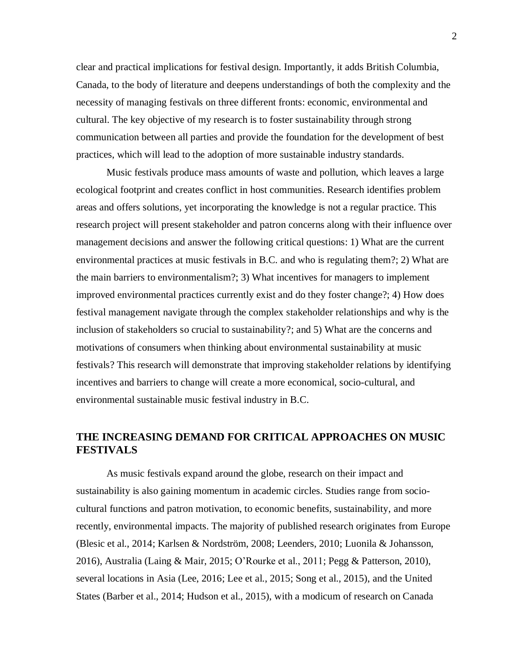clear and practical implications for festival design. Importantly, it adds British Columbia, Canada, to the body of literature and deepens understandings of both the complexity and the necessity of managing festivals on three different fronts: economic, environmental and cultural. The key objective of my research is to foster sustainability through strong communication between all parties and provide the foundation for the development of best practices, which will lead to the adoption of more sustainable industry standards.

Music festivals produce mass amounts of waste and pollution, which leaves a large ecological footprint and creates conflict in host communities. Research identifies problem areas and offers solutions, yet incorporating the knowledge is not a regular practice. This research project will present stakeholder and patron concerns along with their influence over management decisions and answer the following critical questions: 1) What are the current environmental practices at music festivals in B.C. and who is regulating them?; 2) What are the main barriers to environmentalism?; 3) What incentives for managers to implement improved environmental practices currently exist and do they foster change?; 4) How does festival management navigate through the complex stakeholder relationships and why is the inclusion of stakeholders so crucial to sustainability?; and 5) What are the concerns and motivations of consumers when thinking about environmental sustainability at music festivals? This research will demonstrate that improving stakeholder relations by identifying incentives and barriers to change will create a more economical, socio-cultural, and environmental sustainable music festival industry in B.C.

### <span id="page-7-0"></span>**THE INCREASING DEMAND FOR CRITICAL APPROACHES ON MUSIC FESTIVALS**

As music festivals expand around the globe, research on their impact and sustainability is also gaining momentum in academic circles. Studies range from sociocultural functions and patron motivation, to economic benefits, sustainability, and more recently, environmental impacts. The majority of published research originates from Europe (Blesic et al., 2014; Karlsen & Nordström, 2008; Leenders, 2010; Luonila & Johansson, 2016), Australia (Laing & Mair, 2015; O'Rourke et al., 2011; Pegg & Patterson, 2010), several locations in Asia (Lee, 2016; Lee et al., 2015; Song et al., 2015), and the United States (Barber et al., 2014; Hudson et al., 2015), with a modicum of research on Canada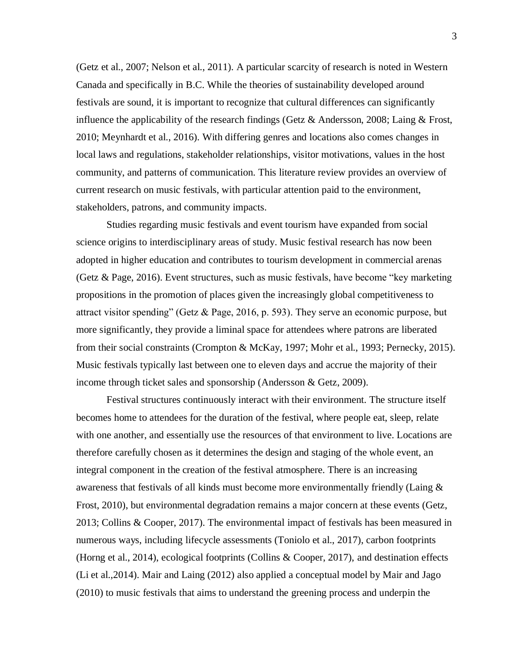(Getz et al., 2007; Nelson et al., 2011). A particular scarcity of research is noted in Western Canada and specifically in B.C. While the theories of sustainability developed around festivals are sound, it is important to recognize that cultural differences can significantly influence the applicability of the research findings (Getz & Andersson, 2008; Laing & Frost, 2010; Meynhardt et al., 2016). With differing genres and locations also comes changes in local laws and regulations, stakeholder relationships, visitor motivations, values in the host community, and patterns of communication. This literature review provides an overview of current research on music festivals, with particular attention paid to the environment, stakeholders, patrons, and community impacts.

Studies regarding music festivals and event tourism have expanded from social science origins to interdisciplinary areas of study. Music festival research has now been adopted in higher education and contributes to tourism development in commercial arenas (Getz & Page, 2016). Event structures, such as music festivals, have become "key marketing propositions in the promotion of places given the increasingly global competitiveness to attract visitor spending" (Getz & Page, 2016, p. 593). They serve an economic purpose, but more significantly, they provide a liminal space for attendees where patrons are liberated from their social constraints (Crompton & McKay, 1997; Mohr et al., 1993; Pernecky, 2015). Music festivals typically last between one to eleven days and accrue the majority of their income through ticket sales and sponsorship (Andersson & Getz, 2009).

Festival structures continuously interact with their environment. The structure itself becomes home to attendees for the duration of the festival, where people eat, sleep, relate with one another, and essentially use the resources of that environment to live. Locations are therefore carefully chosen as it determines the design and staging of the whole event, an integral component in the creation of the festival atmosphere. There is an increasing awareness that festivals of all kinds must become more environmentally friendly (Laing & Frost, 2010), but environmental degradation remains a major concern at these events (Getz, 2013; Collins & Cooper, 2017). The environmental impact of festivals has been measured in numerous ways, including lifecycle assessments (Toniolo et al., 2017), carbon footprints (Horng et al., 2014), ecological footprints (Collins & Cooper, 2017), and destination effects (Li et al.,2014). Mair and Laing (2012) also applied a conceptual model by Mair and Jago (2010) to music festivals that aims to understand the greening process and underpin the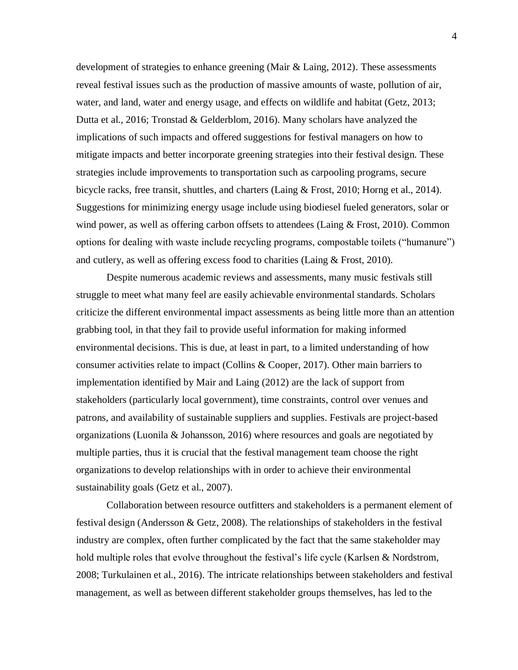development of strategies to enhance greening (Mair  $\&$  Laing, 2012). These assessments reveal festival issues such as the production of massive amounts of waste, pollution of air, water, and land, water and energy usage, and effects on wildlife and habitat (Getz, 2013; Dutta et al., 2016; Tronstad & Gelderblom, 2016). Many scholars have analyzed the implications of such impacts and offered suggestions for festival managers on how to mitigate impacts and better incorporate greening strategies into their festival design. These strategies include improvements to transportation such as carpooling programs, secure bicycle racks, free transit, shuttles, and charters (Laing & Frost, 2010; Horng et al., 2014). Suggestions for minimizing energy usage include using biodiesel fueled generators, solar or wind power, as well as offering carbon offsets to attendees (Laing & Frost, 2010). Common options for dealing with waste include recycling programs, compostable toilets ("humanure") and cutlery, as well as offering excess food to charities (Laing & Frost, 2010).

Despite numerous academic reviews and assessments, many music festivals still struggle to meet what many feel are easily achievable environmental standards. Scholars criticize the different environmental impact assessments as being little more than an attention grabbing tool, in that they fail to provide useful information for making informed environmental decisions. This is due, at least in part, to a limited understanding of how consumer activities relate to impact (Collins & Cooper, 2017). Other main barriers to implementation identified by Mair and Laing (2012) are the lack of support from stakeholders (particularly local government), time constraints, control over venues and patrons, and availability of sustainable suppliers and supplies. Festivals are project-based organizations (Luonila & Johansson, 2016) where resources and goals are negotiated by multiple parties, thus it is crucial that the festival management team choose the right organizations to develop relationships with in order to achieve their environmental sustainability goals (Getz et al., 2007).

Collaboration between resource outfitters and stakeholders is a permanent element of festival design (Andersson & Getz, 2008). The relationships of stakeholders in the festival industry are complex, often further complicated by the fact that the same stakeholder may hold multiple roles that evolve throughout the festival's life cycle (Karlsen & Nordstrom, 2008; Turkulainen et al., 2016). The intricate relationships between stakeholders and festival management, as well as between different stakeholder groups themselves, has led to the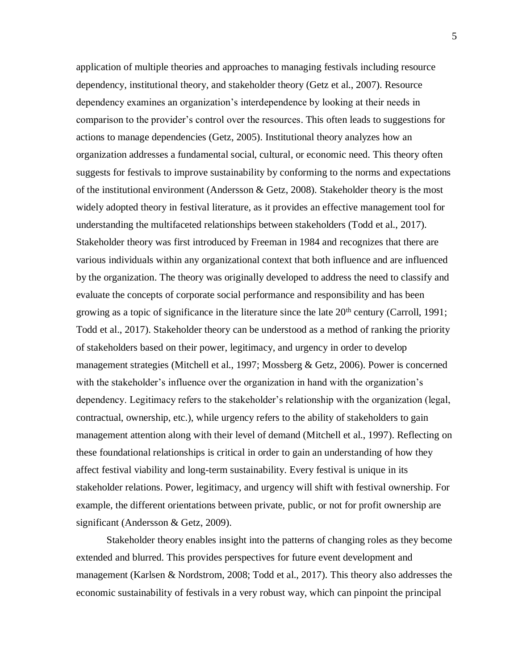application of multiple theories and approaches to managing festivals including resource dependency, institutional theory, and stakeholder theory (Getz et al., 2007). Resource dependency examines an organization's interdependence by looking at their needs in comparison to the provider's control over the resources. This often leads to suggestions for actions to manage dependencies (Getz, 2005). Institutional theory analyzes how an organization addresses a fundamental social, cultural, or economic need. This theory often suggests for festivals to improve sustainability by conforming to the norms and expectations of the institutional environment (Andersson & Getz, 2008). Stakeholder theory is the most widely adopted theory in festival literature, as it provides an effective management tool for understanding the multifaceted relationships between stakeholders (Todd et al., 2017). Stakeholder theory was first introduced by Freeman in 1984 and recognizes that there are various individuals within any organizational context that both influence and are influenced by the organization. The theory was originally developed to address the need to classify and evaluate the concepts of corporate social performance and responsibility and has been growing as a topic of significance in the literature since the late  $20<sup>th</sup>$  century (Carroll, 1991; Todd et al., 2017). Stakeholder theory can be understood as a method of ranking the priority of stakeholders based on their power, legitimacy, and urgency in order to develop management strategies (Mitchell et al., 1997; Mossberg & Getz, 2006). Power is concerned with the stakeholder's influence over the organization in hand with the organization's dependency. Legitimacy refers to the stakeholder's relationship with the organization (legal, contractual, ownership, etc.), while urgency refers to the ability of stakeholders to gain management attention along with their level of demand (Mitchell et al., 1997). Reflecting on these foundational relationships is critical in order to gain an understanding of how they affect festival viability and long-term sustainability. Every festival is unique in its stakeholder relations. Power, legitimacy, and urgency will shift with festival ownership. For example, the different orientations between private, public, or not for profit ownership are significant (Andersson & Getz, 2009).

Stakeholder theory enables insight into the patterns of changing roles as they become extended and blurred. This provides perspectives for future event development and management (Karlsen & Nordstrom, 2008; Todd et al., 2017). This theory also addresses the economic sustainability of festivals in a very robust way, which can pinpoint the principal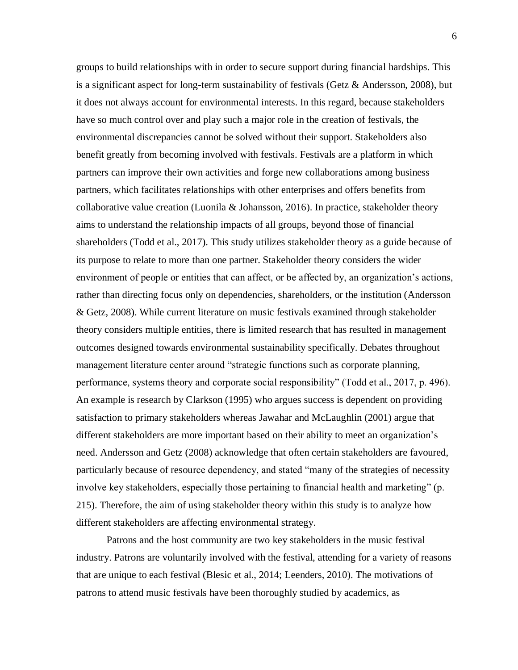groups to build relationships with in order to secure support during financial hardships. This is a significant aspect for long-term sustainability of festivals (Getz  $\&$  Andersson, 2008), but it does not always account for environmental interests. In this regard, because stakeholders have so much control over and play such a major role in the creation of festivals, the environmental discrepancies cannot be solved without their support. Stakeholders also benefit greatly from becoming involved with festivals. Festivals are a platform in which partners can improve their own activities and forge new collaborations among business partners, which facilitates relationships with other enterprises and offers benefits from collaborative value creation (Luonila & Johansson, 2016). In practice, stakeholder theory aims to understand the relationship impacts of all groups, beyond those of financial shareholders (Todd et al., 2017). This study utilizes stakeholder theory as a guide because of its purpose to relate to more than one partner. Stakeholder theory considers the wider environment of people or entities that can affect, or be affected by, an organization's actions, rather than directing focus only on dependencies, shareholders, or the institution (Andersson & Getz, 2008). While current literature on music festivals examined through stakeholder theory considers multiple entities, there is limited research that has resulted in management outcomes designed towards environmental sustainability specifically. Debates throughout management literature center around "strategic functions such as corporate planning, performance, systems theory and corporate social responsibility" (Todd et al., 2017, p. 496). An example is research by Clarkson (1995) who argues success is dependent on providing satisfaction to primary stakeholders whereas Jawahar and McLaughlin (2001) argue that different stakeholders are more important based on their ability to meet an organization's need. Andersson and Getz (2008) acknowledge that often certain stakeholders are favoured, particularly because of resource dependency, and stated "many of the strategies of necessity involve key stakeholders, especially those pertaining to financial health and marketing" (p. 215). Therefore, the aim of using stakeholder theory within this study is to analyze how different stakeholders are affecting environmental strategy.

Patrons and the host community are two key stakeholders in the music festival industry. Patrons are voluntarily involved with the festival, attending for a variety of reasons that are unique to each festival (Blesic et al., 2014; Leenders, 2010). The motivations of patrons to attend music festivals have been thoroughly studied by academics, as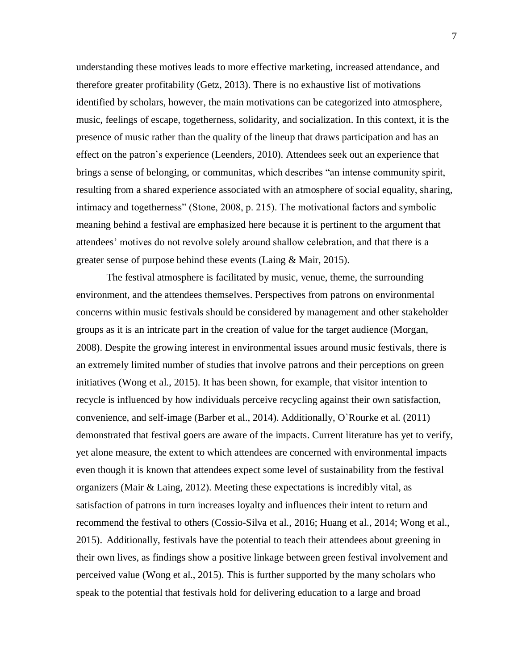understanding these motives leads to more effective marketing, increased attendance, and therefore greater profitability (Getz, 2013). There is no exhaustive list of motivations identified by scholars, however, the main motivations can be categorized into atmosphere, music, feelings of escape, togetherness, solidarity, and socialization. In this context, it is the presence of music rather than the quality of the lineup that draws participation and has an effect on the patron's experience (Leenders, 2010). Attendees seek out an experience that brings a sense of belonging, or communitas, which describes "an intense community spirit, resulting from a shared experience associated with an atmosphere of social equality, sharing, intimacy and togetherness" (Stone, 2008, p. 215). The motivational factors and symbolic meaning behind a festival are emphasized here because it is pertinent to the argument that attendees' motives do not revolve solely around shallow celebration, and that there is a greater sense of purpose behind these events (Laing & Mair, 2015).

The festival atmosphere is facilitated by music, venue, theme, the surrounding environment, and the attendees themselves. Perspectives from patrons on environmental concerns within music festivals should be considered by management and other stakeholder groups as it is an intricate part in the creation of value for the target audience (Morgan, 2008). Despite the growing interest in environmental issues around music festivals, there is an extremely limited number of studies that involve patrons and their perceptions on green initiatives (Wong et al., 2015). It has been shown, for example, that visitor intention to recycle is influenced by how individuals perceive recycling against their own satisfaction, convenience, and self-image (Barber et al., 2014). Additionally, O`Rourke et al. (2011) demonstrated that festival goers are aware of the impacts. Current literature has yet to verify, yet alone measure, the extent to which attendees are concerned with environmental impacts even though it is known that attendees expect some level of sustainability from the festival organizers (Mair & Laing, 2012). Meeting these expectations is incredibly vital, as satisfaction of patrons in turn increases loyalty and influences their intent to return and recommend the festival to others (Cossio-Silva et al., 2016; Huang et al., 2014; Wong et al., 2015). Additionally, festivals have the potential to teach their attendees about greening in their own lives, as findings show a positive linkage between green festival involvement and perceived value (Wong et al., 2015). This is further supported by the many scholars who speak to the potential that festivals hold for delivering education to a large and broad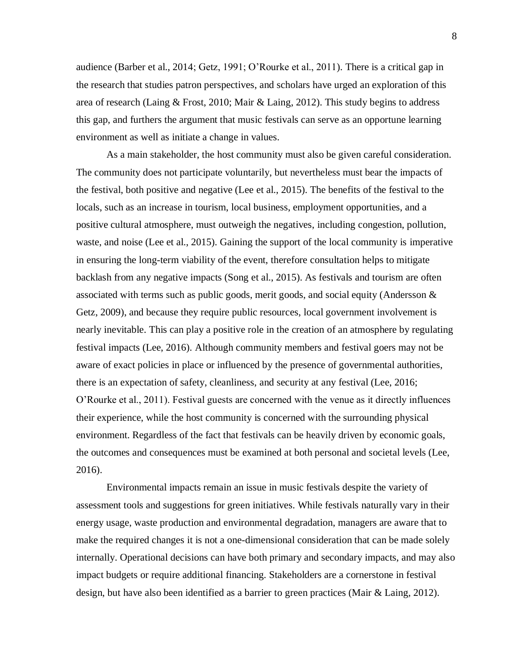audience (Barber et al., 2014; Getz, 1991; O'Rourke et al., 2011). There is a critical gap in the research that studies patron perspectives, and scholars have urged an exploration of this area of research (Laing & Frost, 2010; Mair & Laing, 2012). This study begins to address this gap, and furthers the argument that music festivals can serve as an opportune learning environment as well as initiate a change in values.

As a main stakeholder, the host community must also be given careful consideration. The community does not participate voluntarily, but nevertheless must bear the impacts of the festival, both positive and negative (Lee et al., 2015). The benefits of the festival to the locals, such as an increase in tourism, local business, employment opportunities, and a positive cultural atmosphere, must outweigh the negatives, including congestion, pollution, waste, and noise (Lee et al., 2015). Gaining the support of the local community is imperative in ensuring the long-term viability of the event, therefore consultation helps to mitigate backlash from any negative impacts (Song et al., 2015). As festivals and tourism are often associated with terms such as public goods, merit goods, and social equity (Andersson & Getz, 2009), and because they require public resources, local government involvement is nearly inevitable. This can play a positive role in the creation of an atmosphere by regulating festival impacts (Lee, 2016). Although community members and festival goers may not be aware of exact policies in place or influenced by the presence of governmental authorities, there is an expectation of safety, cleanliness, and security at any festival (Lee, 2016; O'Rourke et al., 2011). Festival guests are concerned with the venue as it directly influences their experience, while the host community is concerned with the surrounding physical environment. Regardless of the fact that festivals can be heavily driven by economic goals, the outcomes and consequences must be examined at both personal and societal levels (Lee, 2016).

Environmental impacts remain an issue in music festivals despite the variety of assessment tools and suggestions for green initiatives. While festivals naturally vary in their energy usage, waste production and environmental degradation, managers are aware that to make the required changes it is not a one-dimensional consideration that can be made solely internally. Operational decisions can have both primary and secondary impacts, and may also impact budgets or require additional financing. Stakeholders are a cornerstone in festival design, but have also been identified as a barrier to green practices (Mair & Laing, 2012).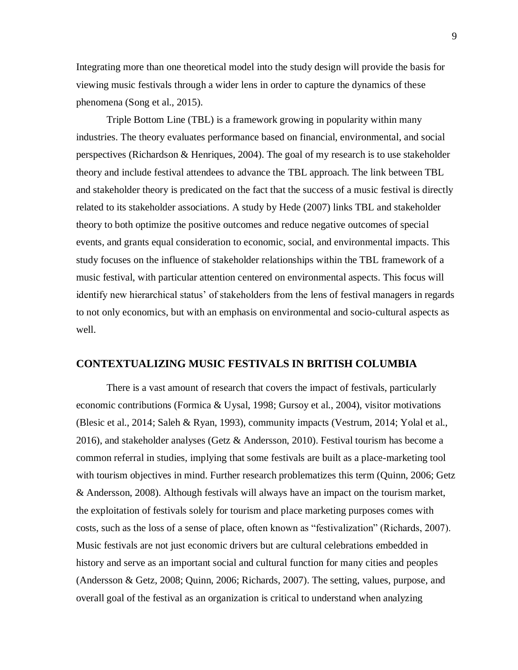Integrating more than one theoretical model into the study design will provide the basis for viewing music festivals through a wider lens in order to capture the dynamics of these phenomena (Song et al., 2015).

Triple Bottom Line (TBL) is a framework growing in popularity within many industries. The theory evaluates performance based on financial, environmental, and social perspectives (Richardson & Henriques, 2004). The goal of my research is to use stakeholder theory and include festival attendees to advance the TBL approach. The link between TBL and stakeholder theory is predicated on the fact that the success of a music festival is directly related to its stakeholder associations. A study by Hede (2007) links TBL and stakeholder theory to both optimize the positive outcomes and reduce negative outcomes of special events, and grants equal consideration to economic, social, and environmental impacts. This study focuses on the influence of stakeholder relationships within the TBL framework of a music festival, with particular attention centered on environmental aspects. This focus will identify new hierarchical status' of stakeholders from the lens of festival managers in regards to not only economics, but with an emphasis on environmental and socio-cultural aspects as well.

#### <span id="page-14-0"></span>**CONTEXTUALIZING MUSIC FESTIVALS IN BRITISH COLUMBIA**

There is a vast amount of research that covers the impact of festivals, particularly economic contributions (Formica & Uysal, 1998; Gursoy et al., 2004), visitor motivations (Blesic et al., 2014; Saleh & Ryan, 1993), community impacts (Vestrum, 2014; Yolal et al., 2016), and stakeholder analyses (Getz & Andersson, 2010). Festival tourism has become a common referral in studies, implying that some festivals are built as a place-marketing tool with tourism objectives in mind. Further research problematizes this term (Quinn, 2006; Getz & Andersson, 2008). Although festivals will always have an impact on the tourism market, the exploitation of festivals solely for tourism and place marketing purposes comes with costs, such as the loss of a sense of place, often known as "festivalization" (Richards, 2007). Music festivals are not just economic drivers but are cultural celebrations embedded in history and serve as an important social and cultural function for many cities and peoples (Andersson & Getz, 2008; Quinn, 2006; Richards, 2007). The setting, values, purpose, and overall goal of the festival as an organization is critical to understand when analyzing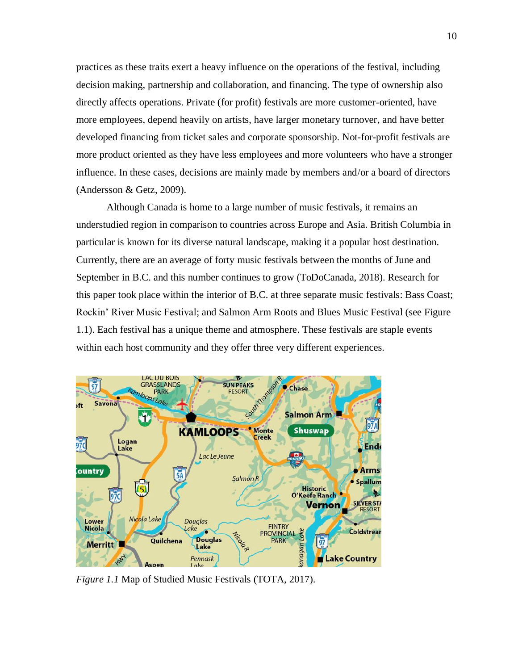practices as these traits exert a heavy influence on the operations of the festival, including decision making, partnership and collaboration, and financing. The type of ownership also directly affects operations. Private (for profit) festivals are more customer-oriented, have more employees, depend heavily on artists, have larger monetary turnover, and have better developed financing from ticket sales and corporate sponsorship. Not-for-profit festivals are more product oriented as they have less employees and more volunteers who have a stronger influence. In these cases, decisions are mainly made by members and/or a board of directors (Andersson & Getz, 2009).

Although Canada is home to a large number of music festivals, it remains an understudied region in comparison to countries across Europe and Asia. British Columbia in particular is known for its diverse natural landscape, making it a popular host destination. Currently, there are an average of forty music festivals between the months of June and September in B.C. and this number continues to grow (ToDoCanada, 2018). Research for this paper took place within the interior of B.C. at three separate music festivals: Bass Coast; Rockin' River Music Festival; and Salmon Arm Roots and Blues Music Festival (see Figure 1.1). Each festival has a unique theme and atmosphere. These festivals are staple events within each host community and they offer three very different experiences.



*Figure 1.1* Map of Studied Music Festivals (TOTA, 2017).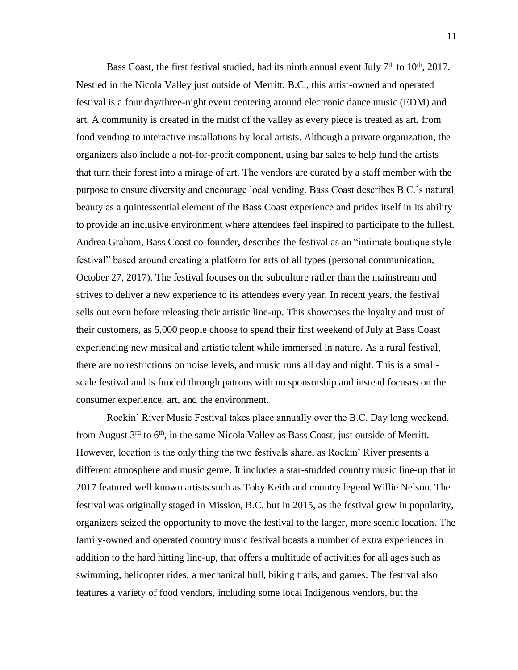Bass Coast, the first festival studied, had its ninth annual event July  $7<sup>th</sup>$  to  $10<sup>th</sup>$ , 2017. Nestled in the Nicola Valley just outside of Merritt, B.C., this artist-owned and operated festival is a four day/three-night event centering around electronic dance music (EDM) and art. A community is created in the midst of the valley as every piece is treated as art, from food vending to interactive installations by local artists. Although a private organization, the organizers also include a not-for-profit component, using bar sales to help fund the artists that turn their forest into a mirage of art. The vendors are curated by a staff member with the purpose to ensure diversity and encourage local vending. Bass Coast describes B.C.'s natural beauty as a quintessential element of the Bass Coast experience and prides itself in its ability to provide an inclusive environment where attendees feel inspired to participate to the fullest. Andrea Graham, Bass Coast co-founder, describes the festival as an "intimate boutique style festival" based around creating a platform for arts of all types (personal communication, October 27, 2017). The festival focuses on the subculture rather than the mainstream and strives to deliver a new experience to its attendees every year. In recent years, the festival sells out even before releasing their artistic line-up. This showcases the loyalty and trust of their customers, as 5,000 people choose to spend their first weekend of July at Bass Coast experiencing new musical and artistic talent while immersed in nature. As a rural festival, there are no restrictions on noise levels, and music runs all day and night. This is a smallscale festival and is funded through patrons with no sponsorship and instead focuses on the consumer experience, art, and the environment.

Rockin' River Music Festival takes place annually over the B.C. Day long weekend, from August  $3^{rd}$  to  $6^{th}$ , in the same Nicola Valley as Bass Coast, just outside of Merritt. However, location is the only thing the two festivals share, as Rockin' River presents a different atmosphere and music genre. It includes a star-studded country music line-up that in 2017 featured well known artists such as Toby Keith and country legend Willie Nelson. The festival was originally staged in Mission, B.C. but in 2015, as the festival grew in popularity, organizers seized the opportunity to move the festival to the larger, more scenic location. The family-owned and operated country music festival boasts a number of extra experiences in addition to the hard hitting line-up, that offers a multitude of activities for all ages such as swimming, helicopter rides, a mechanical bull, biking trails, and games. The festival also features a variety of food vendors, including some local Indigenous vendors, but the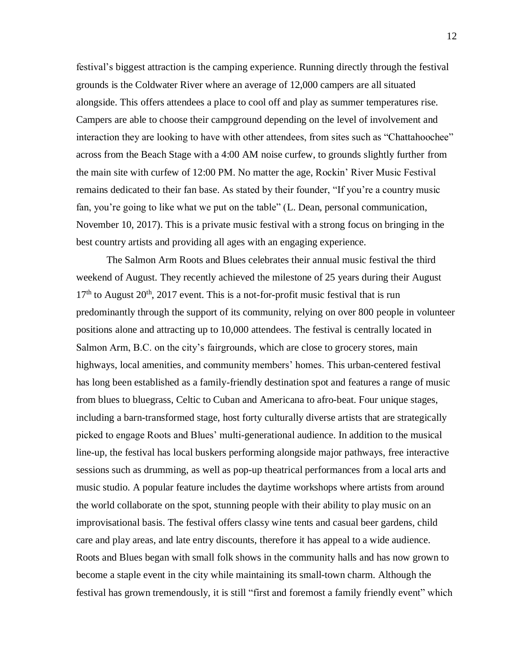festival's biggest attraction is the camping experience. Running directly through the festival grounds is the Coldwater River where an average of 12,000 campers are all situated alongside. This offers attendees a place to cool off and play as summer temperatures rise. Campers are able to choose their campground depending on the level of involvement and interaction they are looking to have with other attendees, from sites such as "Chattahoochee" across from the Beach Stage with a 4:00 AM noise curfew, to grounds slightly further from the main site with curfew of 12:00 PM. No matter the age, Rockin' River Music Festival remains dedicated to their fan base. As stated by their founder, "If you're a country music fan, you're going to like what we put on the table" (L. Dean, personal communication, November 10, 2017). This is a private music festival with a strong focus on bringing in the best country artists and providing all ages with an engaging experience.

The Salmon Arm Roots and Blues celebrates their annual music festival the third weekend of August. They recently achieved the milestone of 25 years during their August  $17<sup>th</sup>$  to August  $20<sup>th</sup>$ ,  $2017$  event. This is a not-for-profit music festival that is run predominantly through the support of its community, relying on over 800 people in volunteer positions alone and attracting up to 10,000 attendees. The festival is centrally located in Salmon Arm, B.C. on the city's fairgrounds, which are close to grocery stores, main highways, local amenities, and community members' homes. This urban-centered festival has long been established as a family-friendly destination spot and features a range of music from blues to bluegrass, Celtic to Cuban and Americana to afro-beat. Four unique stages, including a barn-transformed stage, host forty culturally diverse artists that are strategically picked to engage Roots and Blues' multi-generational audience. In addition to the musical line-up, the festival has local buskers performing alongside major pathways, free interactive sessions such as drumming, as well as pop-up theatrical performances from a local arts and music studio. A popular feature includes the daytime workshops where artists from around the world collaborate on the spot, stunning people with their ability to play music on an improvisational basis. The festival offers classy wine tents and casual beer gardens, child care and play areas, and late entry discounts, therefore it has appeal to a wide audience. Roots and Blues began with small folk shows in the community halls and has now grown to become a staple event in the city while maintaining its small-town charm. Although the festival has grown tremendously, it is still "first and foremost a family friendly event" which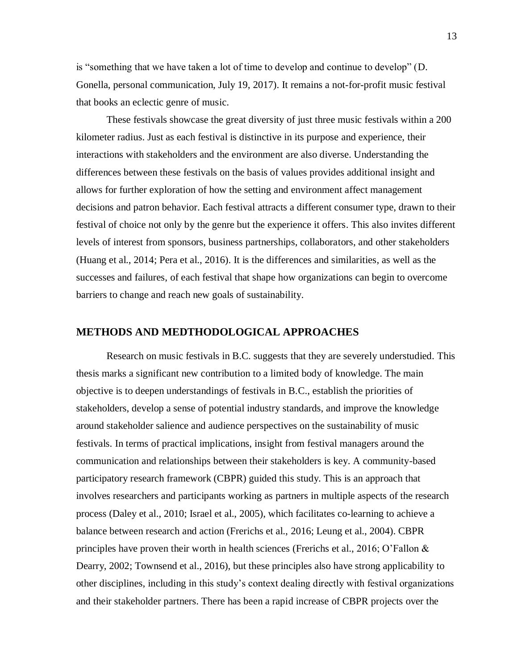is "something that we have taken a lot of time to develop and continue to develop" (D. Gonella, personal communication, July 19, 2017). It remains a not-for-profit music festival that books an eclectic genre of music.

These festivals showcase the great diversity of just three music festivals within a 200 kilometer radius. Just as each festival is distinctive in its purpose and experience, their interactions with stakeholders and the environment are also diverse. Understanding the differences between these festivals on the basis of values provides additional insight and allows for further exploration of how the setting and environment affect management decisions and patron behavior. Each festival attracts a different consumer type, drawn to their festival of choice not only by the genre but the experience it offers. This also invites different levels of interest from sponsors, business partnerships, collaborators, and other stakeholders (Huang et al., 2014; Pera et al., 2016). It is the differences and similarities, as well as the successes and failures, of each festival that shape how organizations can begin to overcome barriers to change and reach new goals of sustainability.

#### <span id="page-18-0"></span>**METHODS AND MEDTHODOLOGICAL APPROACHES**

Research on music festivals in B.C. suggests that they are severely understudied. This thesis marks a significant new contribution to a limited body of knowledge. The main objective is to deepen understandings of festivals in B.C., establish the priorities of stakeholders, develop a sense of potential industry standards, and improve the knowledge around stakeholder salience and audience perspectives on the sustainability of music festivals. In terms of practical implications, insight from festival managers around the communication and relationships between their stakeholders is key. A community-based participatory research framework (CBPR) guided this study. This is an approach that involves researchers and participants working as partners in multiple aspects of the research process (Daley et al., 2010; Israel et al., 2005), which facilitates co-learning to achieve a balance between research and action (Frerichs et al., 2016; Leung et al., 2004). CBPR principles have proven their worth in health sciences (Frerichs et al., 2016; O'Fallon & Dearry, 2002; Townsend et al., 2016), but these principles also have strong applicability to other disciplines, including in this study's context dealing directly with festival organizations and their stakeholder partners. There has been a rapid increase of CBPR projects over the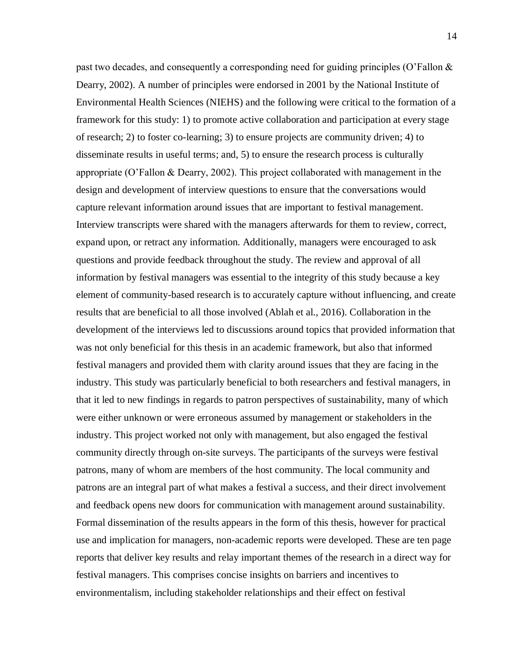past two decades, and consequently a corresponding need for guiding principles (O'Fallon  $\&$ Dearry, 2002). A number of principles were endorsed in 2001 by the National Institute of Environmental Health Sciences (NIEHS) and the following were critical to the formation of a framework for this study: 1) to promote active collaboration and participation at every stage of research; 2) to foster co-learning; 3) to ensure projects are community driven; 4) to disseminate results in useful terms; and, 5) to ensure the research process is culturally appropriate (O'Fallon & Dearry, 2002). This project collaborated with management in the design and development of interview questions to ensure that the conversations would capture relevant information around issues that are important to festival management. Interview transcripts were shared with the managers afterwards for them to review, correct, expand upon, or retract any information. Additionally, managers were encouraged to ask questions and provide feedback throughout the study. The review and approval of all information by festival managers was essential to the integrity of this study because a key element of community-based research is to accurately capture without influencing, and create results that are beneficial to all those involved (Ablah et al., 2016). Collaboration in the development of the interviews led to discussions around topics that provided information that was not only beneficial for this thesis in an academic framework, but also that informed festival managers and provided them with clarity around issues that they are facing in the industry. This study was particularly beneficial to both researchers and festival managers, in that it led to new findings in regards to patron perspectives of sustainability, many of which were either unknown or were erroneous assumed by management or stakeholders in the industry. This project worked not only with management, but also engaged the festival community directly through on-site surveys. The participants of the surveys were festival patrons, many of whom are members of the host community. The local community and patrons are an integral part of what makes a festival a success, and their direct involvement and feedback opens new doors for communication with management around sustainability. Formal dissemination of the results appears in the form of this thesis, however for practical use and implication for managers, non-academic reports were developed. These are ten page reports that deliver key results and relay important themes of the research in a direct way for festival managers. This comprises concise insights on barriers and incentives to environmentalism, including stakeholder relationships and their effect on festival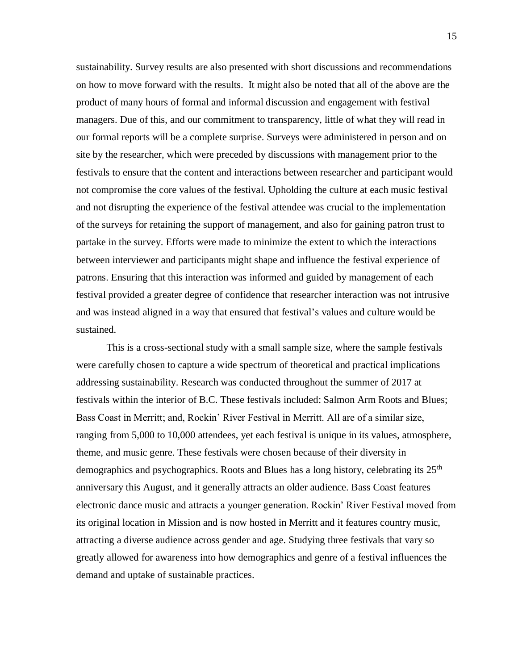sustainability. Survey results are also presented with short discussions and recommendations on how to move forward with the results. It might also be noted that all of the above are the product of many hours of formal and informal discussion and engagement with festival managers. Due of this, and our commitment to transparency, little of what they will read in our formal reports will be a complete surprise. Surveys were administered in person and on site by the researcher, which were preceded by discussions with management prior to the festivals to ensure that the content and interactions between researcher and participant would not compromise the core values of the festival. Upholding the culture at each music festival and not disrupting the experience of the festival attendee was crucial to the implementation of the surveys for retaining the support of management, and also for gaining patron trust to partake in the survey. Efforts were made to minimize the extent to which the interactions between interviewer and participants might shape and influence the festival experience of patrons. Ensuring that this interaction was informed and guided by management of each festival provided a greater degree of confidence that researcher interaction was not intrusive and was instead aligned in a way that ensured that festival's values and culture would be sustained.

This is a cross-sectional study with a small sample size, where the sample festivals were carefully chosen to capture a wide spectrum of theoretical and practical implications addressing sustainability. Research was conducted throughout the summer of 2017 at festivals within the interior of B.C. These festivals included: Salmon Arm Roots and Blues; Bass Coast in Merritt; and, Rockin' River Festival in Merritt. All are of a similar size, ranging from 5,000 to 10,000 attendees, yet each festival is unique in its values, atmosphere, theme, and music genre. These festivals were chosen because of their diversity in demographics and psychographics. Roots and Blues has a long history, celebrating its 25<sup>th</sup> anniversary this August, and it generally attracts an older audience. Bass Coast features electronic dance music and attracts a younger generation. Rockin' River Festival moved from its original location in Mission and is now hosted in Merritt and it features country music, attracting a diverse audience across gender and age. Studying three festivals that vary so greatly allowed for awareness into how demographics and genre of a festival influences the demand and uptake of sustainable practices.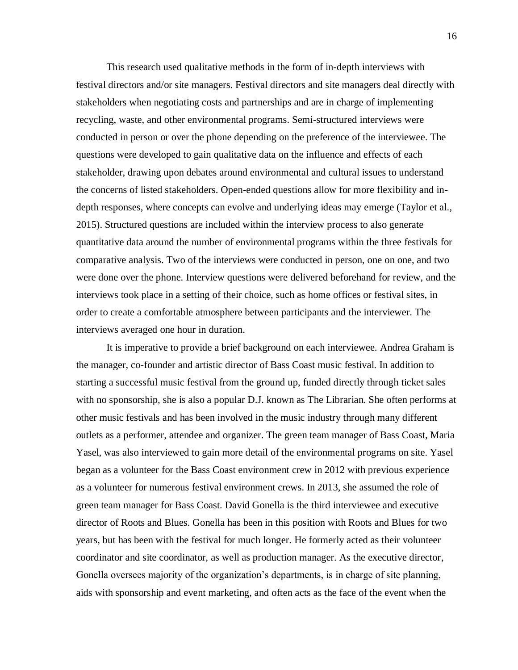This research used qualitative methods in the form of in-depth interviews with festival directors and/or site managers. Festival directors and site managers deal directly with stakeholders when negotiating costs and partnerships and are in charge of implementing recycling, waste, and other environmental programs. Semi-structured interviews were conducted in person or over the phone depending on the preference of the interviewee. The questions were developed to gain qualitative data on the influence and effects of each stakeholder, drawing upon debates around environmental and cultural issues to understand the concerns of listed stakeholders. Open-ended questions allow for more flexibility and indepth responses, where concepts can evolve and underlying ideas may emerge (Taylor et al., 2015). Structured questions are included within the interview process to also generate quantitative data around the number of environmental programs within the three festivals for comparative analysis. Two of the interviews were conducted in person, one on one, and two were done over the phone. Interview questions were delivered beforehand for review, and the interviews took place in a setting of their choice, such as home offices or festival sites, in order to create a comfortable atmosphere between participants and the interviewer. The interviews averaged one hour in duration.

It is imperative to provide a brief background on each interviewee. Andrea Graham is the manager, co-founder and artistic director of Bass Coast music festival. In addition to starting a successful music festival from the ground up, funded directly through ticket sales with no sponsorship, she is also a popular D.J. known as The Librarian. She often performs at other music festivals and has been involved in the music industry through many different outlets as a performer, attendee and organizer. The green team manager of Bass Coast, Maria Yasel, was also interviewed to gain more detail of the environmental programs on site. Yasel began as a volunteer for the Bass Coast environment crew in 2012 with previous experience as a volunteer for numerous festival environment crews. In 2013, she assumed the role of green team manager for Bass Coast. David Gonella is the third interviewee and executive director of Roots and Blues. Gonella has been in this position with Roots and Blues for two years, but has been with the festival for much longer. He formerly acted as their volunteer coordinator and site coordinator, as well as production manager. As the executive director, Gonella oversees majority of the organization's departments, is in charge of site planning, aids with sponsorship and event marketing, and often acts as the face of the event when the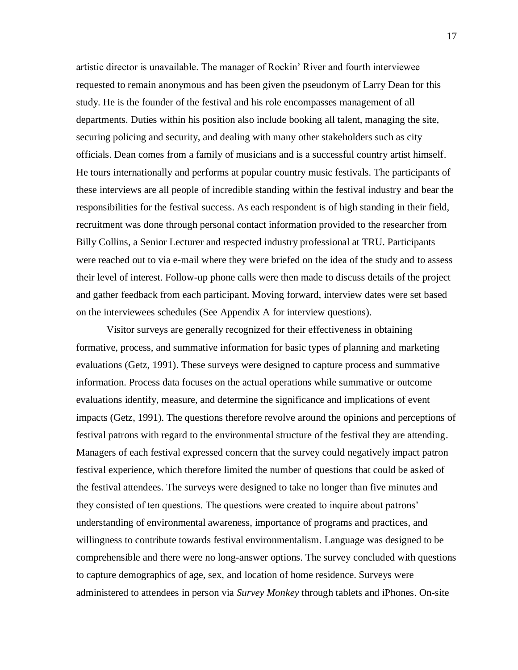artistic director is unavailable. The manager of Rockin' River and fourth interviewee requested to remain anonymous and has been given the pseudonym of Larry Dean for this study. He is the founder of the festival and his role encompasses management of all departments. Duties within his position also include booking all talent, managing the site, securing policing and security, and dealing with many other stakeholders such as city officials. Dean comes from a family of musicians and is a successful country artist himself. He tours internationally and performs at popular country music festivals. The participants of these interviews are all people of incredible standing within the festival industry and bear the responsibilities for the festival success. As each respondent is of high standing in their field, recruitment was done through personal contact information provided to the researcher from Billy Collins, a Senior Lecturer and respected industry professional at TRU. Participants were reached out to via e-mail where they were briefed on the idea of the study and to assess their level of interest. Follow-up phone calls were then made to discuss details of the project and gather feedback from each participant. Moving forward, interview dates were set based on the interviewees schedules (See Appendix A for interview questions).

Visitor surveys are generally recognized for their effectiveness in obtaining formative, process, and summative information for basic types of planning and marketing evaluations (Getz, 1991). These surveys were designed to capture process and summative information. Process data focuses on the actual operations while summative or outcome evaluations identify, measure, and determine the significance and implications of event impacts (Getz, 1991). The questions therefore revolve around the opinions and perceptions of festival patrons with regard to the environmental structure of the festival they are attending. Managers of each festival expressed concern that the survey could negatively impact patron festival experience, which therefore limited the number of questions that could be asked of the festival attendees. The surveys were designed to take no longer than five minutes and they consisted of ten questions. The questions were created to inquire about patrons' understanding of environmental awareness, importance of programs and practices, and willingness to contribute towards festival environmentalism. Language was designed to be comprehensible and there were no long-answer options. The survey concluded with questions to capture demographics of age, sex, and location of home residence. Surveys were administered to attendees in person via *Survey Monkey* through tablets and iPhones. On-site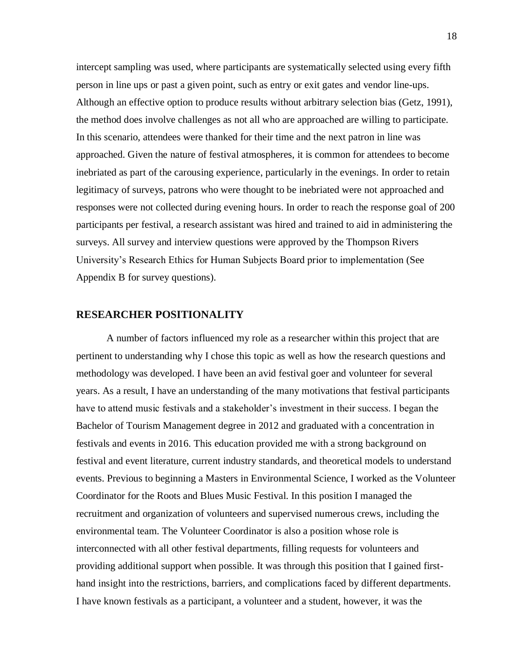intercept sampling was used, where participants are systematically selected using every fifth person in line ups or past a given point, such as entry or exit gates and vendor line-ups. Although an effective option to produce results without arbitrary selection bias (Getz, 1991), the method does involve challenges as not all who are approached are willing to participate. In this scenario, attendees were thanked for their time and the next patron in line was approached. Given the nature of festival atmospheres, it is common for attendees to become inebriated as part of the carousing experience, particularly in the evenings. In order to retain legitimacy of surveys, patrons who were thought to be inebriated were not approached and responses were not collected during evening hours. In order to reach the response goal of 200 participants per festival, a research assistant was hired and trained to aid in administering the surveys. All survey and interview questions were approved by the Thompson Rivers University's Research Ethics for Human Subjects Board prior to implementation (See Appendix B for survey questions).

#### <span id="page-23-0"></span>**RESEARCHER POSITIONALITY**

A number of factors influenced my role as a researcher within this project that are pertinent to understanding why I chose this topic as well as how the research questions and methodology was developed. I have been an avid festival goer and volunteer for several years. As a result, I have an understanding of the many motivations that festival participants have to attend music festivals and a stakeholder's investment in their success. I began the Bachelor of Tourism Management degree in 2012 and graduated with a concentration in festivals and events in 2016. This education provided me with a strong background on festival and event literature, current industry standards, and theoretical models to understand events. Previous to beginning a Masters in Environmental Science, I worked as the Volunteer Coordinator for the Roots and Blues Music Festival. In this position I managed the recruitment and organization of volunteers and supervised numerous crews, including the environmental team. The Volunteer Coordinator is also a position whose role is interconnected with all other festival departments, filling requests for volunteers and providing additional support when possible. It was through this position that I gained firsthand insight into the restrictions, barriers, and complications faced by different departments. I have known festivals as a participant, a volunteer and a student, however, it was the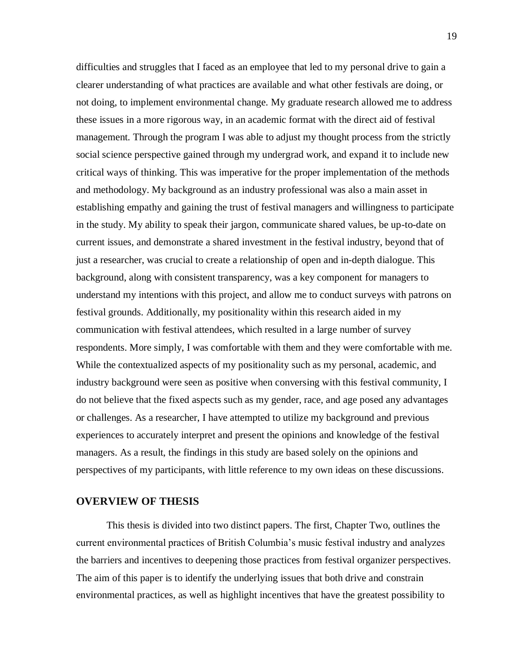difficulties and struggles that I faced as an employee that led to my personal drive to gain a clearer understanding of what practices are available and what other festivals are doing, or not doing, to implement environmental change. My graduate research allowed me to address these issues in a more rigorous way, in an academic format with the direct aid of festival management. Through the program I was able to adjust my thought process from the strictly social science perspective gained through my undergrad work, and expand it to include new critical ways of thinking. This was imperative for the proper implementation of the methods and methodology. My background as an industry professional was also a main asset in establishing empathy and gaining the trust of festival managers and willingness to participate in the study. My ability to speak their jargon, communicate shared values, be up-to-date on current issues, and demonstrate a shared investment in the festival industry, beyond that of just a researcher, was crucial to create a relationship of open and in-depth dialogue. This background, along with consistent transparency, was a key component for managers to understand my intentions with this project, and allow me to conduct surveys with patrons on festival grounds. Additionally, my positionality within this research aided in my communication with festival attendees, which resulted in a large number of survey respondents. More simply, I was comfortable with them and they were comfortable with me. While the contextualized aspects of my positionality such as my personal, academic, and industry background were seen as positive when conversing with this festival community, I do not believe that the fixed aspects such as my gender, race, and age posed any advantages or challenges. As a researcher, I have attempted to utilize my background and previous experiences to accurately interpret and present the opinions and knowledge of the festival managers. As a result, the findings in this study are based solely on the opinions and perspectives of my participants, with little reference to my own ideas on these discussions.

#### <span id="page-24-0"></span>**OVERVIEW OF THESIS**

This thesis is divided into two distinct papers. The first, Chapter Two, outlines the current environmental practices of British Columbia's music festival industry and analyzes the barriers and incentives to deepening those practices from festival organizer perspectives. The aim of this paper is to identify the underlying issues that both drive and constrain environmental practices, as well as highlight incentives that have the greatest possibility to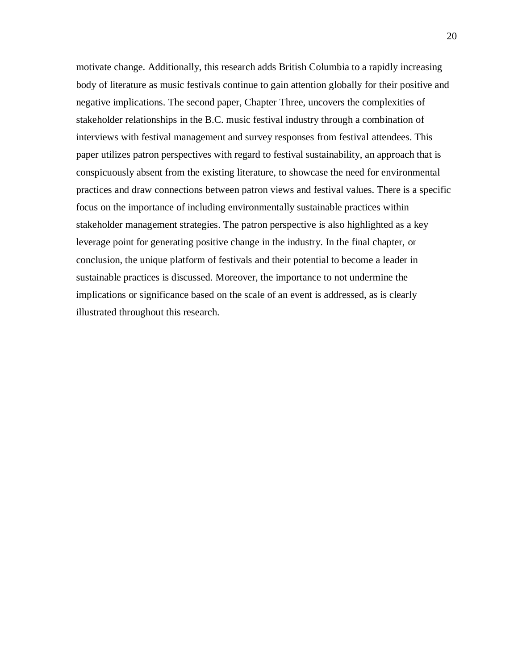motivate change. Additionally, this research adds British Columbia to a rapidly increasing body of literature as music festivals continue to gain attention globally for their positive and negative implications. The second paper, Chapter Three, uncovers the complexities of stakeholder relationships in the B.C. music festival industry through a combination of interviews with festival management and survey responses from festival attendees. This paper utilizes patron perspectives with regard to festival sustainability, an approach that is conspicuously absent from the existing literature, to showcase the need for environmental practices and draw connections between patron views and festival values. There is a specific focus on the importance of including environmentally sustainable practices within stakeholder management strategies. The patron perspective is also highlighted as a key leverage point for generating positive change in the industry. In the final chapter, or conclusion, the unique platform of festivals and their potential to become a leader in sustainable practices is discussed. Moreover, the importance to not undermine the implications or significance based on the scale of an event is addressed, as is clearly illustrated throughout this research.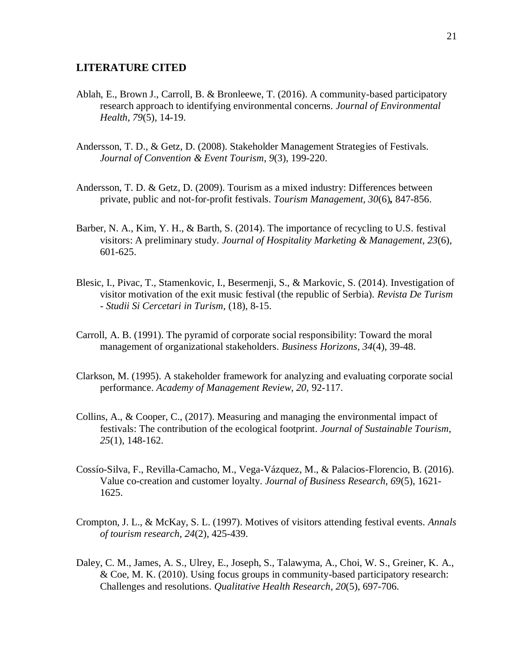#### <span id="page-26-0"></span>**LITERATURE CITED**

- Ablah, E., Brown J., Carroll, B. & Bronleewe, T. (2016). A community-based participatory research approach to identifying environmental concerns. *Journal of Environmental Health, 79*(5), 14-19.
- Andersson, T. D., & Getz, D. (2008). Stakeholder Management Strategies of Festivals. *Journal of Convention & Event Tourism*, *9*(3), 199-220.
- Andersson, T. D. & Getz, D. (2009). Tourism as a mixed industry: Differences between private, public and not-for-profit festivals. *Tourism Management, 30*(6)*,* 847-856.
- Barber, N. A., Kim, Y. H., & Barth, S. (2014). The importance of recycling to U.S. festival visitors: A preliminary study. *Journal of Hospitality Marketing & Management*, *23*(6), 601-625.
- Blesic, I., Pivac, T., Stamenkovic, I., Besermenji, S., & Markovic, S. (2014). Investigation of visitor motivation of the exit music festival (the republic of Serbia). *Revista De Turism* - *Studii Si Cercetari in Turism,* (18)*,* 8-15.
- Carroll, A. B. (1991). The pyramid of corporate social responsibility: Toward the moral management of organizational stakeholders. *Business Horizons, 34*(4), 39-48.
- Clarkson, M. (1995). A stakeholder framework for analyzing and evaluating corporate social performance. *Academy of Management Review, 20,* 92-117.
- Collins, A., & Cooper, C., (2017). Measuring and managing the environmental impact of festivals: The contribution of the ecological footprint. *Journal of Sustainable Tourism, 25*(1), 148-162.
- Cossío-Silva, F., Revilla-Camacho, M., Vega-Vázquez, M., & Palacios-Florencio, B. (2016). Value co-creation and customer loyalty. *Journal of Business Research, 69*(5), 1621- 1625.
- Crompton, J. L., & McKay, S. L. (1997). Motives of visitors attending festival events. *Annals of tourism research*, *24*(2), 425-439.
- Daley, C. M., James, A. S., Ulrey, E., Joseph, S., Talawyma, A., Choi, W. S., Greiner, K. A., & Coe, M. K. (2010). Using focus groups in community-based participatory research: Challenges and resolutions. *Qualitative Health Research*, *20*(5), 697-706.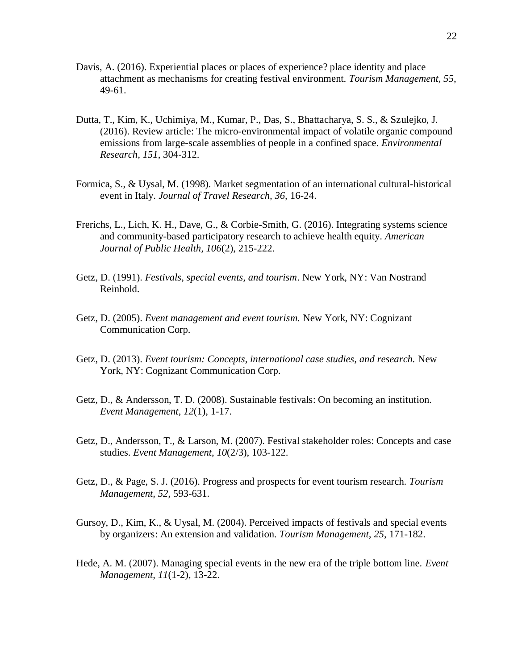- Davis, A. (2016). Experiential places or places of experience? place identity and place attachment as mechanisms for creating festival environment. *Tourism Management, 55*, 49-61.
- Dutta, T., Kim, K., Uchimiya, M., Kumar, P., Das, S., Bhattacharya, S. S., & Szulejko, J. (2016). Review article: The micro-environmental impact of volatile organic compound emissions from large-scale assemblies of people in a confined space. *Environmental Research, 151*, 304-312.
- Formica, S., & Uysal, M. (1998). Market segmentation of an international cultural-historical event in Italy. *Journal of Travel Research, 36,* 16-24.
- Frerichs, L., Lich, K. H., Dave, G., & Corbie-Smith, G. (2016). Integrating systems science and community-based participatory research to achieve health equity. *American Journal of Public Health, 106*(2), 215-222.
- Getz, D. (1991). *Festivals, special events, and tourism*. New York, NY: Van Nostrand Reinhold.
- Getz, D. (2005). *Event management and event tourism.* New York, NY: Cognizant Communication Corp.
- Getz, D. (2013). *Event tourism: Concepts, international case studies, and research.* New York, NY: Cognizant Communication Corp.
- Getz, D., & Andersson, T. D. (2008). Sustainable festivals: On becoming an institution. *Event Management*, *12*(1), 1-17.
- Getz, D., Andersson, T., & Larson, M. (2007). Festival stakeholder roles: Concepts and case studies. *Event Management*, *10*(2/3), 103-122.
- Getz, D., & Page, S. J. (2016). Progress and prospects for event tourism research. *Tourism Management, 52,* 593-631.
- Gursoy, D., Kim, K., & Uysal, M. (2004). Perceived impacts of festivals and special events by organizers: An extension and validation. *Tourism Management, 25*, 171-182.
- Hede, A. M. (2007). Managing special events in the new era of the triple bottom line. *Event Management, 11*(1-2), 13-22.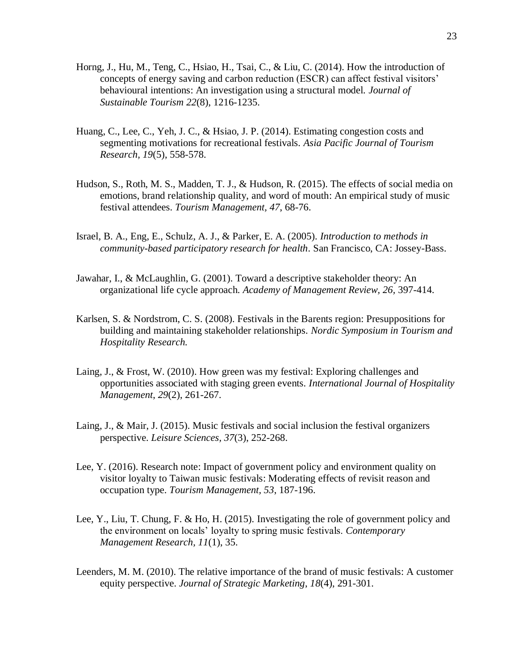- Horng, J., Hu, M., Teng, C., Hsiao, H., Tsai, C., & Liu, C. (2014). How the introduction of concepts of energy saving and carbon reduction (ESCR) can affect festival visitors' behavioural intentions: An investigation using a structural model. *Journal of Sustainable Tourism 22*(8), 1216-1235.
- Huang, C., Lee, C., Yeh, J. C., & Hsiao, J. P. (2014). Estimating congestion costs and segmenting motivations for recreational festivals. *Asia Pacific Journal of Tourism Research, 19*(5), 558-578.
- Hudson, S., Roth, M. S., Madden, T. J., & Hudson, R. (2015). The effects of social media on emotions, brand relationship quality, and word of mouth: An empirical study of music festival attendees. *Tourism Management, 47*, 68-76.
- Israel, B. A., Eng, E., Schulz, A. J., & Parker, E. A. (2005). *Introduction to methods in community-based participatory research for health*. San Francisco, CA: Jossey-Bass.
- Jawahar, I., & McLaughlin, G. (2001). Toward a descriptive stakeholder theory: An organizational life cycle approach. *Academy of Management Review, 26,* 397-414.
- Karlsen, S. & Nordstrom, C. S. (2008). Festivals in the Barents region: Presuppositions for building and maintaining stakeholder relationships. *Nordic Symposium in Tourism and Hospitality Research.*
- Laing, J., & Frost, W. (2010). How green was my festival: Exploring challenges and opportunities associated with staging green events. *International Journal of Hospitality Management*, *29*(2), 261-267.
- Laing, J., & Mair, J. (2015). Music festivals and social inclusion the festival organizers perspective. *Leisure Sciences, 37*(3), 252-268.
- Lee, Y. (2016). Research note: Impact of government policy and environment quality on visitor loyalty to Taiwan music festivals: Moderating effects of revisit reason and occupation type. *Tourism Management, 53*, 187-196.
- Lee, Y., Liu, T. Chung, F. & Ho, H. (2015). Investigating the role of government policy and the environment on locals' loyalty to spring music festivals. *Contemporary Management Research, 11*(1), 35.
- Leenders, M. M. (2010). The relative importance of the brand of music festivals: A customer equity perspective. *Journal of Strategic Marketing*, *18*(4), 291-301.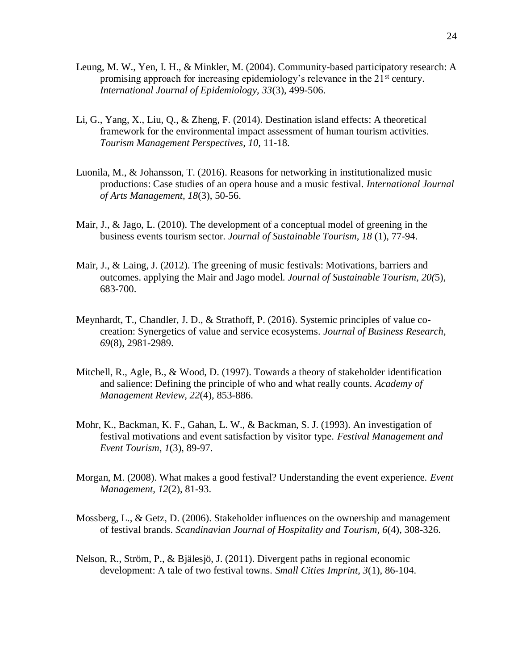- Leung, M. W., Yen, I. H., & Minkler, M. (2004). Community-based participatory research: A promising approach for increasing epidemiology's relevance in the  $21<sup>st</sup>$  century. *International Journal of Epidemiology, 33*(3), 499-506.
- Li, G., Yang, X., Liu, Q., & Zheng, F. (2014). Destination island effects: A theoretical framework for the environmental impact assessment of human tourism activities. *Tourism Management Perspectives, 10,* 11-18.
- Luonila, M., & Johansson, T. (2016). Reasons for networking in institutionalized music productions: Case studies of an opera house and a music festival. *International Journal of Arts Management, 18*(3), 50-56.
- Mair, J., & Jago, L. (2010). The development of a conceptual model of greening in the business events tourism sector. *Journal of Sustainable Tourism, 18* (1), 77-94.
- Mair, J., & Laing, J. (2012). The greening of music festivals: Motivations, barriers and outcomes. applying the Mair and Jago model. *Journal of Sustainable Tourism, 20(*5), 683-700.
- Meynhardt, T., Chandler, J. D., & Strathoff, P. (2016). Systemic principles of value cocreation: Synergetics of value and service ecosystems. *Journal of Business Research, 69*(8), 2981-2989.
- Mitchell, R., Agle, B., & Wood, D. (1997). Towards a theory of stakeholder identification and salience: Defining the principle of who and what really counts. *Academy of Management Review, 22*(4), 853-886.
- Mohr, K., Backman, K. F., Gahan, L. W., & Backman, S. J. (1993). An investigation of festival motivations and event satisfaction by visitor type. *Festival Management and Event Tourism*, *1*(3), 89-97.
- Morgan, M. (2008). What makes a good festival? Understanding the event experience. *Event Management, 12*(2), 81-93.
- Mossberg, L., & Getz, D. (2006). Stakeholder influences on the ownership and management of festival brands. *Scandinavian Journal of Hospitality and Tourism, 6*(4), 308-326.
- Nelson, R., Ström, P., & Bjälesjö, J. (2011). Divergent paths in regional economic development: A tale of two festival towns. *Small Cities Imprint, 3*(1), 86-104.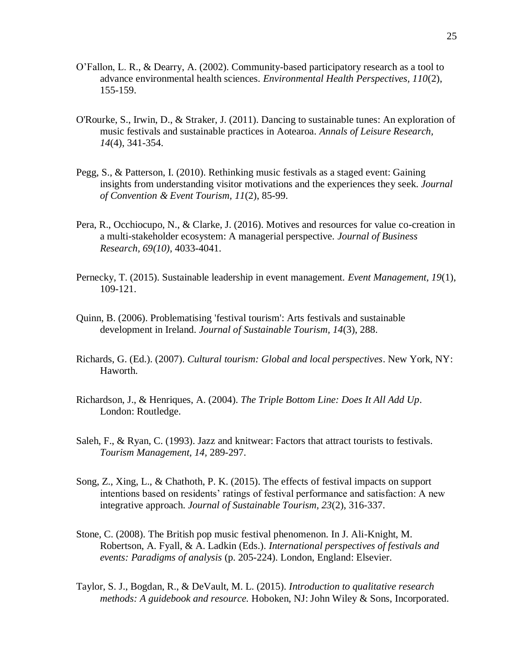- O'Fallon, L. R., & Dearry, A. (2002). Community-based participatory research as a tool to advance environmental health sciences. *Environmental Health Perspectives, 110*(2), 155-159.
- O'Rourke, S., Irwin, D., & Straker, J. (2011). Dancing to sustainable tunes: An exploration of music festivals and sustainable practices in Aotearoa. *Annals of Leisure Research, 14*(4), 341-354.
- Pegg, S., & Patterson, I. (2010). Rethinking music festivals as a staged event: Gaining insights from understanding visitor motivations and the experiences they seek. *Journal of Convention & Event Tourism, 11*(2), 85-99.
- Pera, R., Occhiocupo, N., & Clarke, J. (2016). Motives and resources for value co-creation in a multi-stakeholder ecosystem: A managerial perspective. *Journal of Business Research, 69(10)*, 4033-4041.
- Pernecky, T. (2015). Sustainable leadership in event management. *Event Management, 19*(1), 109-121.
- Quinn, B. (2006). Problematising 'festival tourism': Arts festivals and sustainable development in Ireland. *Journal of Sustainable Tourism, 14*(3), 288.
- Richards, G. (Ed.). (2007). *Cultural tourism: Global and local perspectives*. New York, NY: Haworth.
- Richardson, J., & Henriques, A. (2004). *The Triple Bottom Line: Does It All Add Up*. London: Routledge.
- Saleh, F., & Ryan, C. (1993). Jazz and knitwear: Factors that attract tourists to festivals. *Tourism Management, 14,* 289-297.
- Song, Z., Xing, L., & Chathoth, P. K. (2015). The effects of festival impacts on support intentions based on residents' ratings of festival performance and satisfaction: A new integrative approach. *Journal of Sustainable Tourism, 23*(2), 316-337.
- Stone, C. (2008). The British pop music festival phenomenon. In J. Ali-Knight, M. Robertson, A. Fyall, & A. Ladkin (Eds.). *International perspectives of festivals and events: Paradigms of analysis* (p. 205-224). London, England: Elsevier.
- Taylor, S. J., Bogdan, R., & DeVault, M. L. (2015). *Introduction to qualitative research methods: A guidebook and resource.* Hoboken, NJ: John Wiley & Sons, Incorporated.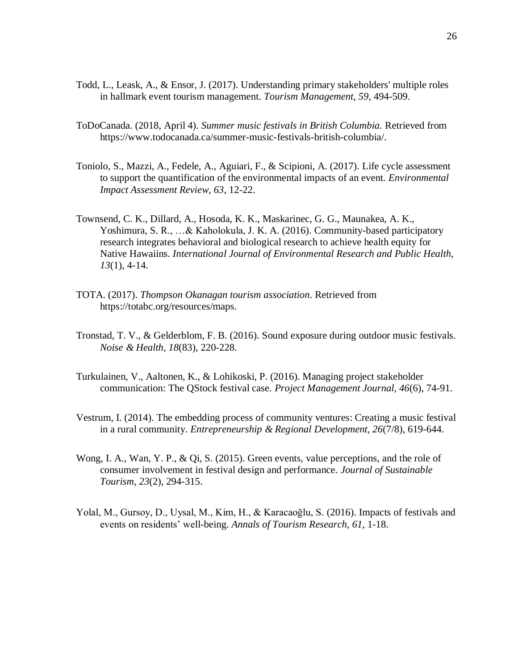- Todd, L., Leask, A., & Ensor, J. (2017). Understanding primary stakeholders' multiple roles in hallmark event tourism management. *Tourism Management, 59*, 494-509.
- ToDoCanada. (2018, April 4). *Summer music festivals in British Columbia.* Retrieved from https://www.todocanada.ca/summer-music-festivals-british-columbia/.
- Toniolo, S., Mazzi, A., Fedele, A., Aguiari, F., & Scipioni, A. (2017). Life cycle assessment to support the quantification of the environmental impacts of an event. *Environmental Impact Assessment Review, 63*, 12-22.
- Townsend, C. K., Dillard, A., Hosoda, K. K., Maskarinec, G. G., Maunakea, A. K., Yoshimura, S. R., …& Kaholokula, J. K. A. (2016). Community-based participatory research integrates behavioral and biological research to achieve health equity for Native Hawaiins. *International Journal of Environmental Research and Public Health, 13*(1), 4-14.
- TOTA. (2017). *Thompson Okanagan tourism association*. Retrieved from https://totabc.org/resources/maps.
- Tronstad, T. V., & Gelderblom, F. B. (2016). Sound exposure during outdoor music festivals. *Noise & Health, 18*(83), 220-228.
- Turkulainen, V., Aaltonen, K., & Lohikoski, P. (2016). Managing project stakeholder communication: The QStock festival case. *Project Management Journal, 46*(6), 74-91.
- Vestrum, I. (2014). The embedding process of community ventures: Creating a music festival in a rural community. *Entrepreneurship & Regional Development, 26*(7/8), 619-644.
- Wong, I. A., Wan, Y. P., & Qi, S. (2015). Green events, value perceptions, and the role of consumer involvement in festival design and performance. *Journal of Sustainable Tourism*, *23*(2), 294-315.
- Yolal, M., Gursoy, D., Uysal, M., Kim, H., & Karacaoğlu, S. (2016). Impacts of festivals and events on residents' well-being. *Annals of Tourism Research, 61*, 1-18.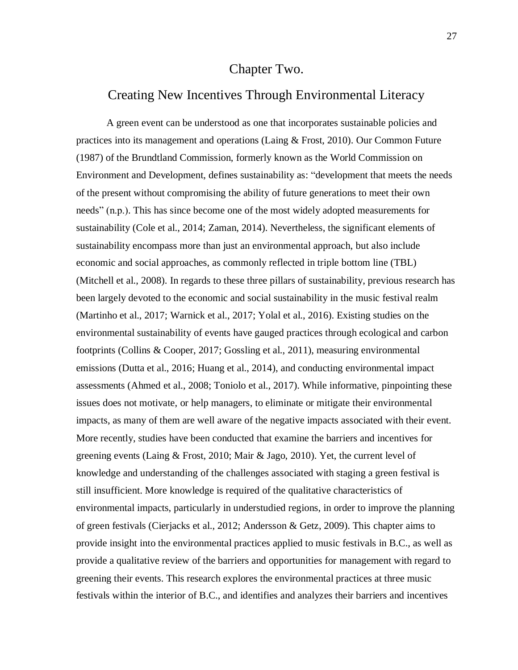### Chapter Two.

## <span id="page-32-1"></span><span id="page-32-0"></span>Creating New Incentives Through Environmental Literacy

A green event can be understood as one that incorporates sustainable policies and practices into its management and operations (Laing & Frost, 2010). Our Common Future (1987) of the Brundtland Commission, formerly known as the World Commission on Environment and Development, defines sustainability as: "development that meets the needs of the present without compromising the ability of future generations to meet their own needs" (n.p.). This has since become one of the most widely adopted measurements for sustainability (Cole et al., 2014; Zaman, 2014). Nevertheless, the significant elements of sustainability encompass more than just an environmental approach, but also include economic and social approaches, as commonly reflected in triple bottom line (TBL) (Mitchell et al., 2008). In regards to these three pillars of sustainability, previous research has been largely devoted to the economic and social sustainability in the music festival realm (Martinho et al., 2017; Warnick et al., 2017; Yolal et al., 2016). Existing studies on the environmental sustainability of events have gauged practices through ecological and carbon footprints (Collins & Cooper, 2017; Gossling et al., 2011), measuring environmental emissions (Dutta et al., 2016; Huang et al., 2014), and conducting environmental impact assessments (Ahmed et al., 2008; Toniolo et al., 2017). While informative, pinpointing these issues does not motivate, or help managers, to eliminate or mitigate their environmental impacts, as many of them are well aware of the negative impacts associated with their event. More recently, studies have been conducted that examine the barriers and incentives for greening events (Laing & Frost, 2010; Mair & Jago, 2010). Yet, the current level of knowledge and understanding of the challenges associated with staging a green festival is still insufficient. More knowledge is required of the qualitative characteristics of environmental impacts, particularly in understudied regions, in order to improve the planning of green festivals (Cierjacks et al., 2012; Andersson & Getz, 2009). This chapter aims to provide insight into the environmental practices applied to music festivals in B.C., as well as provide a qualitative review of the barriers and opportunities for management with regard to greening their events. This research explores the environmental practices at three music festivals within the interior of B.C., and identifies and analyzes their barriers and incentives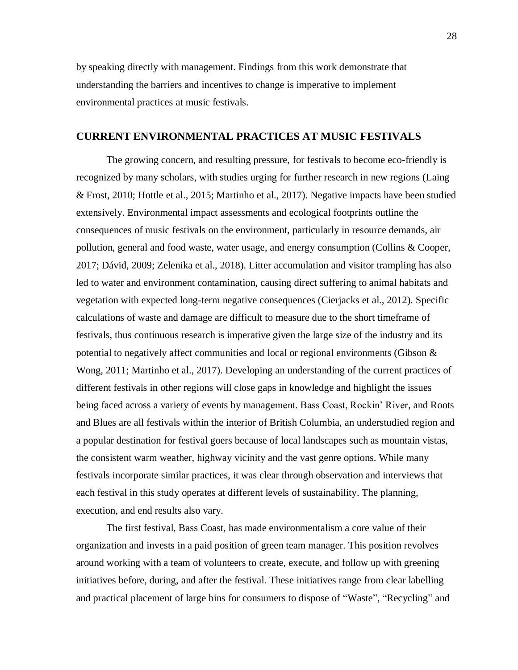by speaking directly with management. Findings from this work demonstrate that understanding the barriers and incentives to change is imperative to implement environmental practices at music festivals.

#### <span id="page-33-0"></span>**CURRENT ENVIRONMENTAL PRACTICES AT MUSIC FESTIVALS**

The growing concern, and resulting pressure, for festivals to become eco-friendly is recognized by many scholars, with studies urging for further research in new regions (Laing & Frost, 2010; Hottle et al., 2015; Martinho et al., 2017). Negative impacts have been studied extensively. Environmental impact assessments and ecological footprints outline the consequences of music festivals on the environment, particularly in resource demands, air pollution, general and food waste, water usage, and energy consumption (Collins & Cooper, 2017; Dávid, 2009; Zelenika et al., 2018). Litter accumulation and visitor trampling has also led to water and environment contamination, causing direct suffering to animal habitats and vegetation with expected long-term negative consequences (Cierjacks et al., 2012). Specific calculations of waste and damage are difficult to measure due to the short timeframe of festivals, thus continuous research is imperative given the large size of the industry and its potential to negatively affect communities and local or regional environments (Gibson & Wong, 2011; Martinho et al., 2017). Developing an understanding of the current practices of different festivals in other regions will close gaps in knowledge and highlight the issues being faced across a variety of events by management. Bass Coast, Rockin' River, and Roots and Blues are all festivals within the interior of British Columbia, an understudied region and a popular destination for festival goers because of local landscapes such as mountain vistas, the consistent warm weather, highway vicinity and the vast genre options. While many festivals incorporate similar practices, it was clear through observation and interviews that each festival in this study operates at different levels of sustainability. The planning, execution, and end results also vary.

The first festival, Bass Coast, has made environmentalism a core value of their organization and invests in a paid position of green team manager. This position revolves around working with a team of volunteers to create, execute, and follow up with greening initiatives before, during, and after the festival. These initiatives range from clear labelling and practical placement of large bins for consumers to dispose of "Waste", "Recycling" and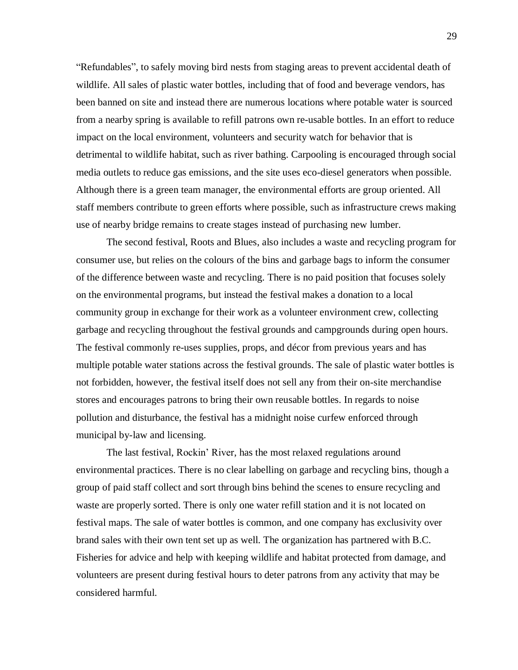"Refundables", to safely moving bird nests from staging areas to prevent accidental death of wildlife. All sales of plastic water bottles, including that of food and beverage vendors, has been banned on site and instead there are numerous locations where potable water is sourced from a nearby spring is available to refill patrons own re-usable bottles. In an effort to reduce impact on the local environment, volunteers and security watch for behavior that is detrimental to wildlife habitat, such as river bathing. Carpooling is encouraged through social media outlets to reduce gas emissions, and the site uses eco-diesel generators when possible. Although there is a green team manager, the environmental efforts are group oriented. All staff members contribute to green efforts where possible, such as infrastructure crews making use of nearby bridge remains to create stages instead of purchasing new lumber.

The second festival, Roots and Blues, also includes a waste and recycling program for consumer use, but relies on the colours of the bins and garbage bags to inform the consumer of the difference between waste and recycling. There is no paid position that focuses solely on the environmental programs, but instead the festival makes a donation to a local community group in exchange for their work as a volunteer environment crew, collecting garbage and recycling throughout the festival grounds and campgrounds during open hours. The festival commonly re-uses supplies, props, and décor from previous years and has multiple potable water stations across the festival grounds. The sale of plastic water bottles is not forbidden, however, the festival itself does not sell any from their on-site merchandise stores and encourages patrons to bring their own reusable bottles. In regards to noise pollution and disturbance, the festival has a midnight noise curfew enforced through municipal by-law and licensing.

The last festival, Rockin' River, has the most relaxed regulations around environmental practices. There is no clear labelling on garbage and recycling bins, though a group of paid staff collect and sort through bins behind the scenes to ensure recycling and waste are properly sorted. There is only one water refill station and it is not located on festival maps. The sale of water bottles is common, and one company has exclusivity over brand sales with their own tent set up as well. The organization has partnered with B.C. Fisheries for advice and help with keeping wildlife and habitat protected from damage, and volunteers are present during festival hours to deter patrons from any activity that may be considered harmful.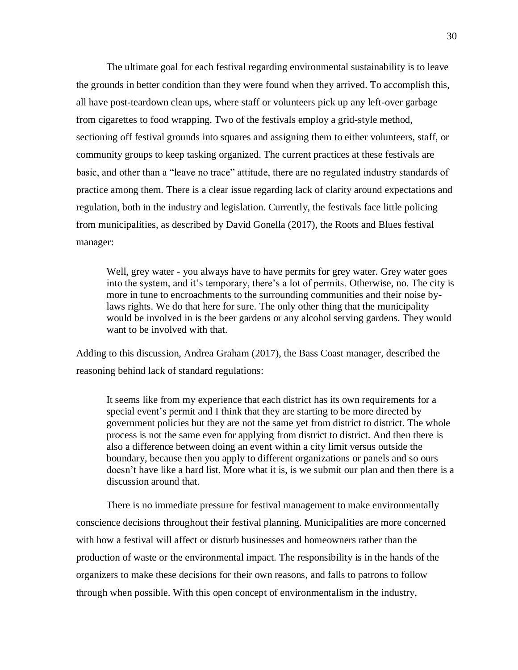The ultimate goal for each festival regarding environmental sustainability is to leave the grounds in better condition than they were found when they arrived. To accomplish this, all have post-teardown clean ups, where staff or volunteers pick up any left-over garbage from cigarettes to food wrapping. Two of the festivals employ a grid-style method, sectioning off festival grounds into squares and assigning them to either volunteers, staff, or community groups to keep tasking organized. The current practices at these festivals are basic, and other than a "leave no trace" attitude, there are no regulated industry standards of practice among them. There is a clear issue regarding lack of clarity around expectations and regulation, both in the industry and legislation. Currently, the festivals face little policing from municipalities, as described by David Gonella (2017), the Roots and Blues festival manager:

Well, grey water - you always have to have permits for grey water. Grey water goes into the system, and it's temporary, there's a lot of permits. Otherwise, no. The city is more in tune to encroachments to the surrounding communities and their noise bylaws rights. We do that here for sure. The only other thing that the municipality would be involved in is the beer gardens or any alcohol serving gardens. They would want to be involved with that.

Adding to this discussion, Andrea Graham (2017), the Bass Coast manager, described the reasoning behind lack of standard regulations:

It seems like from my experience that each district has its own requirements for a special event's permit and I think that they are starting to be more directed by government policies but they are not the same yet from district to district. The whole process is not the same even for applying from district to district. And then there is also a difference between doing an event within a city limit versus outside the boundary, because then you apply to different organizations or panels and so ours doesn't have like a hard list. More what it is, is we submit our plan and then there is a discussion around that.

There is no immediate pressure for festival management to make environmentally conscience decisions throughout their festival planning. Municipalities are more concerned with how a festival will affect or disturb businesses and homeowners rather than the production of waste or the environmental impact. The responsibility is in the hands of the organizers to make these decisions for their own reasons, and falls to patrons to follow through when possible. With this open concept of environmentalism in the industry,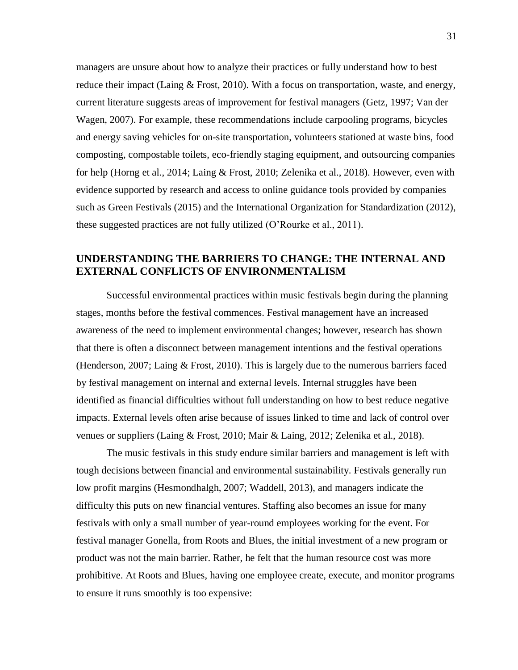managers are unsure about how to analyze their practices or fully understand how to best reduce their impact (Laing  $&$  Frost, 2010). With a focus on transportation, waste, and energy, current literature suggests areas of improvement for festival managers (Getz, 1997; Van der Wagen, 2007). For example, these recommendations include carpooling programs, bicycles and energy saving vehicles for on-site transportation, volunteers stationed at waste bins, food composting, compostable toilets, eco-friendly staging equipment, and outsourcing companies for help (Horng et al., 2014; Laing & Frost, 2010; Zelenika et al., 2018). However, even with evidence supported by research and access to online guidance tools provided by companies such as Green Festivals (2015) and the International Organization for Standardization (2012), these suggested practices are not fully utilized (O'Rourke et al., 2011).

## **UNDERSTANDING THE BARRIERS TO CHANGE: THE INTERNAL AND EXTERNAL CONFLICTS OF ENVIRONMENTALISM**

Successful environmental practices within music festivals begin during the planning stages, months before the festival commences. Festival management have an increased awareness of the need to implement environmental changes; however, research has shown that there is often a disconnect between management intentions and the festival operations (Henderson, 2007; Laing & Frost, 2010). This is largely due to the numerous barriers faced by festival management on internal and external levels. Internal struggles have been identified as financial difficulties without full understanding on how to best reduce negative impacts. External levels often arise because of issues linked to time and lack of control over venues or suppliers (Laing & Frost, 2010; Mair & Laing, 2012; Zelenika et al., 2018).

The music festivals in this study endure similar barriers and management is left with tough decisions between financial and environmental sustainability. Festivals generally run low profit margins (Hesmondhalgh, 2007; Waddell, 2013), and managers indicate the difficulty this puts on new financial ventures. Staffing also becomes an issue for many festivals with only a small number of year-round employees working for the event. For festival manager Gonella, from Roots and Blues, the initial investment of a new program or product was not the main barrier. Rather, he felt that the human resource cost was more prohibitive. At Roots and Blues, having one employee create, execute, and monitor programs to ensure it runs smoothly is too expensive: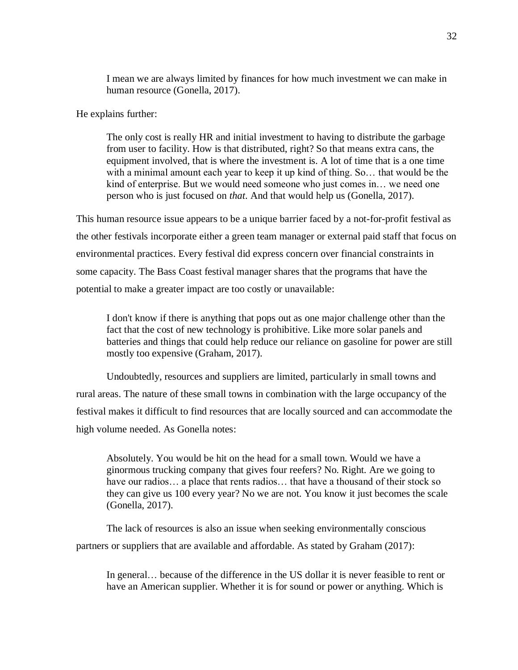I mean we are always limited by finances for how much investment we can make in human resource (Gonella, 2017).

He explains further:

The only cost is really HR and initial investment to having to distribute the garbage from user to facility. How is that distributed, right? So that means extra cans, the equipment involved, that is where the investment is. A lot of time that is a one time with a minimal amount each year to keep it up kind of thing. So… that would be the kind of enterprise. But we would need someone who just comes in… we need one person who is just focused on *that*. And that would help us (Gonella, 2017).

This human resource issue appears to be a unique barrier faced by a not-for-profit festival as the other festivals incorporate either a green team manager or external paid staff that focus on environmental practices. Every festival did express concern over financial constraints in some capacity. The Bass Coast festival manager shares that the programs that have the potential to make a greater impact are too costly or unavailable:

I don't know if there is anything that pops out as one major challenge other than the fact that the cost of new technology is prohibitive. Like more solar panels and batteries and things that could help reduce our reliance on gasoline for power are still mostly too expensive (Graham, 2017).

Undoubtedly, resources and suppliers are limited, particularly in small towns and rural areas. The nature of these small towns in combination with the large occupancy of the festival makes it difficult to find resources that are locally sourced and can accommodate the high volume needed. As Gonella notes:

Absolutely. You would be hit on the head for a small town. Would we have a ginormous trucking company that gives four reefers? No. Right. Are we going to have our radios... a place that rents radios... that have a thousand of their stock so they can give us 100 every year? No we are not. You know it just becomes the scale (Gonella, 2017).

The lack of resources is also an issue when seeking environmentally conscious partners or suppliers that are available and affordable. As stated by Graham (2017):

In general… because of the difference in the US dollar it is never feasible to rent or have an American supplier. Whether it is for sound or power or anything. Which is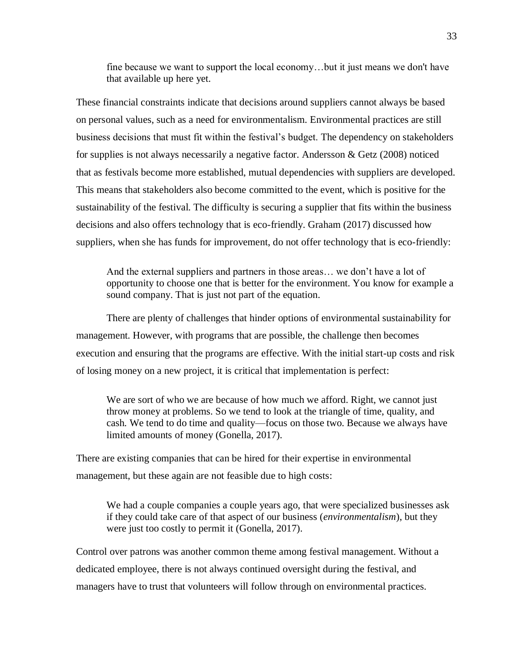fine because we want to support the local economy…but it just means we don't have that available up here yet.

These financial constraints indicate that decisions around suppliers cannot always be based on personal values, such as a need for environmentalism. Environmental practices are still business decisions that must fit within the festival's budget. The dependency on stakeholders for supplies is not always necessarily a negative factor. Andersson & Getz (2008) noticed that as festivals become more established, mutual dependencies with suppliers are developed. This means that stakeholders also become committed to the event, which is positive for the sustainability of the festival. The difficulty is securing a supplier that fits within the business decisions and also offers technology that is eco-friendly. Graham (2017) discussed how suppliers, when she has funds for improvement, do not offer technology that is eco-friendly:

And the external suppliers and partners in those areas… we don't have a lot of opportunity to choose one that is better for the environment. You know for example a sound company. That is just not part of the equation.

There are plenty of challenges that hinder options of environmental sustainability for management. However, with programs that are possible, the challenge then becomes execution and ensuring that the programs are effective. With the initial start-up costs and risk of losing money on a new project, it is critical that implementation is perfect:

We are sort of who we are because of how much we afford. Right, we cannot just throw money at problems. So we tend to look at the triangle of time, quality, and cash. We tend to do time and quality—focus on those two. Because we always have limited amounts of money (Gonella, 2017).

There are existing companies that can be hired for their expertise in environmental management, but these again are not feasible due to high costs:

We had a couple companies a couple years ago, that were specialized businesses ask if they could take care of that aspect of our business (*environmentalism*), but they were just too costly to permit it (Gonella, 2017).

Control over patrons was another common theme among festival management. Without a dedicated employee, there is not always continued oversight during the festival, and managers have to trust that volunteers will follow through on environmental practices.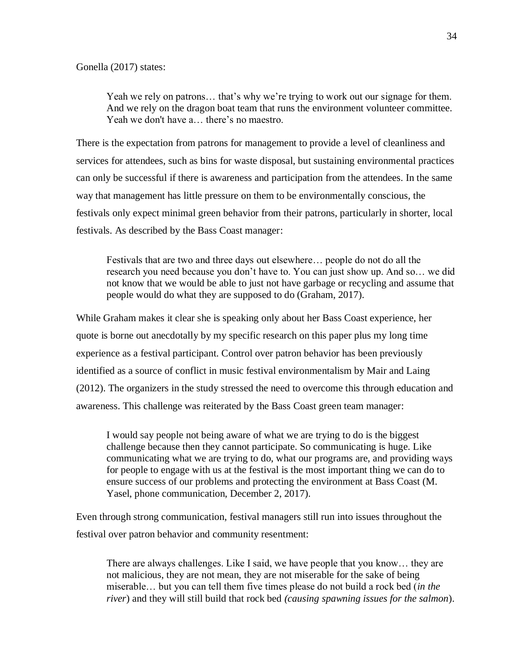Yeah we rely on patrons... that's why we're trying to work out our signage for them. And we rely on the dragon boat team that runs the environment volunteer committee. Yeah we don't have a… there's no maestro.

There is the expectation from patrons for management to provide a level of cleanliness and services for attendees, such as bins for waste disposal, but sustaining environmental practices can only be successful if there is awareness and participation from the attendees. In the same way that management has little pressure on them to be environmentally conscious, the festivals only expect minimal green behavior from their patrons, particularly in shorter, local festivals. As described by the Bass Coast manager:

Festivals that are two and three days out elsewhere… people do not do all the research you need because you don't have to. You can just show up. And so… we did not know that we would be able to just not have garbage or recycling and assume that people would do what they are supposed to do (Graham, 2017).

While Graham makes it clear she is speaking only about her Bass Coast experience, her quote is borne out anecdotally by my specific research on this paper plus my long time experience as a festival participant. Control over patron behavior has been previously identified as a source of conflict in music festival environmentalism by Mair and Laing (2012). The organizers in the study stressed the need to overcome this through education and awareness. This challenge was reiterated by the Bass Coast green team manager:

I would say people not being aware of what we are trying to do is the biggest challenge because then they cannot participate. So communicating is huge. Like communicating what we are trying to do, what our programs are, and providing ways for people to engage with us at the festival is the most important thing we can do to ensure success of our problems and protecting the environment at Bass Coast (M. Yasel, phone communication, December 2, 2017).

Even through strong communication, festival managers still run into issues throughout the festival over patron behavior and community resentment:

There are always challenges. Like I said, we have people that you know… they are not malicious, they are not mean, they are not miserable for the sake of being miserable… but you can tell them five times please do not build a rock bed (*in the river*) and they will still build that rock bed *(causing spawning issues for the salmon*).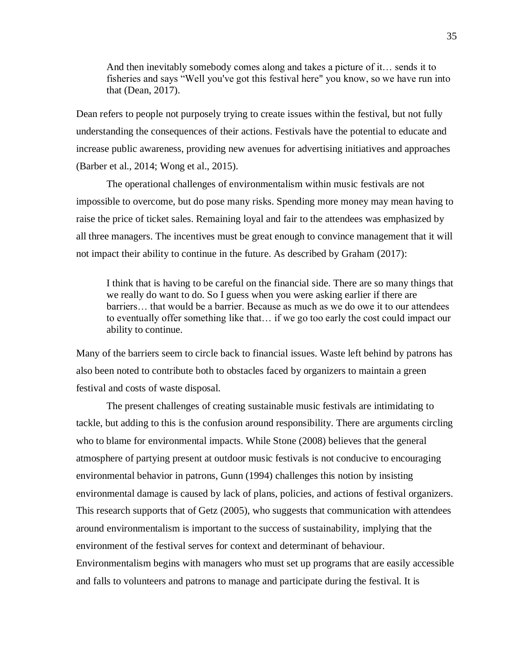And then inevitably somebody comes along and takes a picture of it… sends it to fisheries and says "Well you've got this festival here" you know, so we have run into that (Dean, 2017).

Dean refers to people not purposely trying to create issues within the festival, but not fully understanding the consequences of their actions. Festivals have the potential to educate and increase public awareness, providing new avenues for advertising initiatives and approaches (Barber et al., 2014; Wong et al., 2015).

The operational challenges of environmentalism within music festivals are not impossible to overcome, but do pose many risks. Spending more money may mean having to raise the price of ticket sales. Remaining loyal and fair to the attendees was emphasized by all three managers. The incentives must be great enough to convince management that it will not impact their ability to continue in the future. As described by Graham (2017):

I think that is having to be careful on the financial side. There are so many things that we really do want to do. So I guess when you were asking earlier if there are barriers… that would be a barrier. Because as much as we do owe it to our attendees to eventually offer something like that… if we go too early the cost could impact our ability to continue.

Many of the barriers seem to circle back to financial issues. Waste left behind by patrons has also been noted to contribute both to obstacles faced by organizers to maintain a green festival and costs of waste disposal.

The present challenges of creating sustainable music festivals are intimidating to tackle, but adding to this is the confusion around responsibility. There are arguments circling who to blame for environmental impacts. While Stone (2008) believes that the general atmosphere of partying present at outdoor music festivals is not conducive to encouraging environmental behavior in patrons, Gunn (1994) challenges this notion by insisting environmental damage is caused by lack of plans, policies, and actions of festival organizers. This research supports that of Getz (2005), who suggests that communication with attendees around environmentalism is important to the success of sustainability, implying that the environment of the festival serves for context and determinant of behaviour. Environmentalism begins with managers who must set up programs that are easily accessible and falls to volunteers and patrons to manage and participate during the festival. It is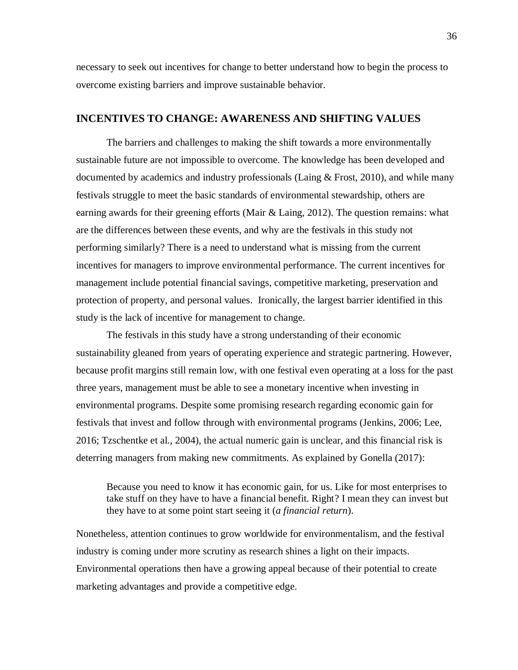necessary to seek out incentives for change to better understand how to begin the process to overcome existing barriers and improve sustainable behavior.

### **INCENTIVES TO CHANGE: AWARENESS AND SHIFTING VALUES**

The barriers and challenges to making the shift towards a more environmentally sustainable future are not impossible to overcome. The knowledge has been developed and documented by academics and industry professionals (Laing & Frost, 2010), and while many festivals struggle to meet the basic standards of environmental stewardship, others are earning awards for their greening efforts (Mair & Laing, 2012). The question remains: what are the differences between these events, and why are the festivals in this study not performing similarly? There is a need to understand what is missing from the current incentives for managers to improve environmental performance. The current incentives for management include potential financial savings, competitive marketing, preservation and protection of property, and personal values. Ironically, the largest barrier identified in this study is the lack of incentive for management to change.

The festivals in this study have a strong understanding of their economic sustainability gleaned from years of operating experience and strategic partnering. However, because profit margins still remain low, with one festival even operating at a loss for the past three years, management must be able to see a monetary incentive when investing in environmental programs. Despite some promising research regarding economic gain for festivals that invest and follow through with environmental programs (Jenkins, 2006; Lee, 2016; Tzschentke et al., 2004), the actual numeric gain is unclear, and this financial risk is deterring managers from making new commitments. As explained by Gonella (2017):

Because you need to know it has economic gain, for us. Like for most enterprises to take stuff on they have to have a financial benefit. Right? I mean they can invest but they have to at some point start seeing it (*a financial return*).

Nonetheless, attention continues to grow worldwide for environmentalism, and the festival industry is coming under more scrutiny as research shines a light on their impacts. Environmental operations then have a growing appeal because of their potential to create marketing advantages and provide a competitive edge.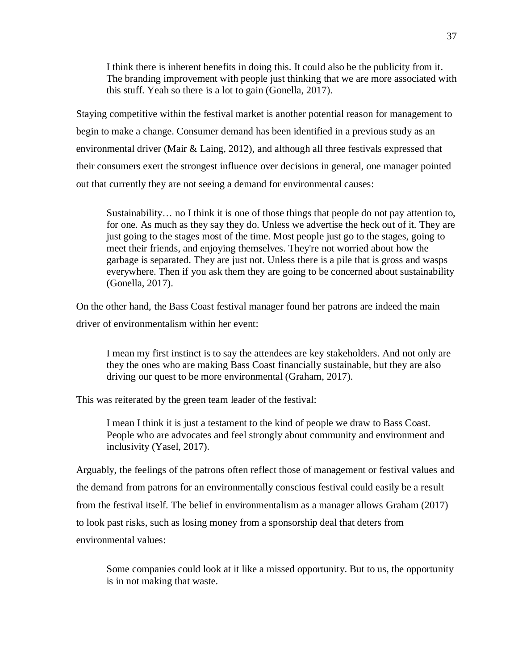I think there is inherent benefits in doing this. It could also be the publicity from it. The branding improvement with people just thinking that we are more associated with this stuff. Yeah so there is a lot to gain (Gonella, 2017).

Staying competitive within the festival market is another potential reason for management to begin to make a change. Consumer demand has been identified in a previous study as an environmental driver (Mair & Laing, 2012), and although all three festivals expressed that their consumers exert the strongest influence over decisions in general, one manager pointed out that currently they are not seeing a demand for environmental causes:

Sustainability… no I think it is one of those things that people do not pay attention to, for one. As much as they say they do. Unless we advertise the heck out of it. They are just going to the stages most of the time. Most people just go to the stages, going to meet their friends, and enjoying themselves. They're not worried about how the garbage is separated. They are just not. Unless there is a pile that is gross and wasps everywhere. Then if you ask them they are going to be concerned about sustainability (Gonella, 2017).

On the other hand, the Bass Coast festival manager found her patrons are indeed the main driver of environmentalism within her event:

I mean my first instinct is to say the attendees are key stakeholders. And not only are they the ones who are making Bass Coast financially sustainable, but they are also driving our quest to be more environmental (Graham, 2017).

This was reiterated by the green team leader of the festival:

I mean I think it is just a testament to the kind of people we draw to Bass Coast. People who are advocates and feel strongly about community and environment and inclusivity (Yasel, 2017).

Arguably, the feelings of the patrons often reflect those of management or festival values and the demand from patrons for an environmentally conscious festival could easily be a result from the festival itself. The belief in environmentalism as a manager allows Graham (2017) to look past risks, such as losing money from a sponsorship deal that deters from environmental values:

Some companies could look at it like a missed opportunity. But to us, the opportunity is in not making that waste.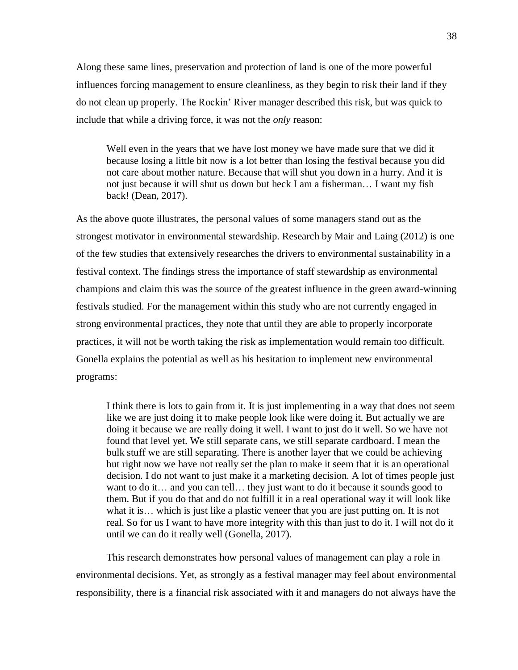Along these same lines, preservation and protection of land is one of the more powerful influences forcing management to ensure cleanliness, as they begin to risk their land if they do not clean up properly. The Rockin' River manager described this risk, but was quick to include that while a driving force, it was not the *only* reason:

Well even in the years that we have lost money we have made sure that we did it because losing a little bit now is a lot better than losing the festival because you did not care about mother nature. Because that will shut you down in a hurry. And it is not just because it will shut us down but heck I am a fisherman… I want my fish back! (Dean, 2017).

As the above quote illustrates, the personal values of some managers stand out as the strongest motivator in environmental stewardship. Research by Mair and Laing (2012) is one of the few studies that extensively researches the drivers to environmental sustainability in a festival context. The findings stress the importance of staff stewardship as environmental champions and claim this was the source of the greatest influence in the green award-winning festivals studied. For the management within this study who are not currently engaged in strong environmental practices, they note that until they are able to properly incorporate practices, it will not be worth taking the risk as implementation would remain too difficult. Gonella explains the potential as well as his hesitation to implement new environmental programs:

I think there is lots to gain from it. It is just implementing in a way that does not seem like we are just doing it to make people look like were doing it. But actually we are doing it because we are really doing it well. I want to just do it well. So we have not found that level yet. We still separate cans, we still separate cardboard. I mean the bulk stuff we are still separating. There is another layer that we could be achieving but right now we have not really set the plan to make it seem that it is an operational decision. I do not want to just make it a marketing decision. A lot of times people just want to do it… and you can tell… they just want to do it because it sounds good to them. But if you do that and do not fulfill it in a real operational way it will look like what it is… which is just like a plastic veneer that you are just putting on. It is not real. So for us I want to have more integrity with this than just to do it. I will not do it until we can do it really well (Gonella, 2017).

This research demonstrates how personal values of management can play a role in environmental decisions. Yet, as strongly as a festival manager may feel about environmental responsibility, there is a financial risk associated with it and managers do not always have the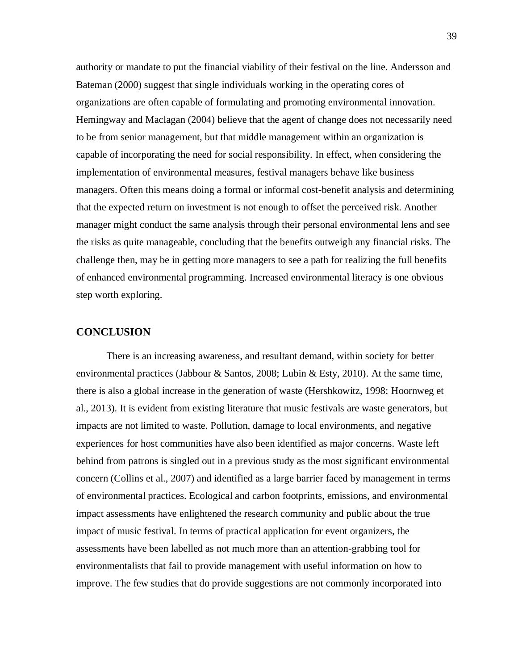authority or mandate to put the financial viability of their festival on the line. Andersson and Bateman (2000) suggest that single individuals working in the operating cores of organizations are often capable of formulating and promoting environmental innovation. Hemingway and Maclagan (2004) believe that the agent of change does not necessarily need to be from senior management, but that middle management within an organization is capable of incorporating the need for social responsibility. In effect, when considering the implementation of environmental measures, festival managers behave like business managers. Often this means doing a formal or informal cost-benefit analysis and determining that the expected return on investment is not enough to offset the perceived risk. Another manager might conduct the same analysis through their personal environmental lens and see the risks as quite manageable, concluding that the benefits outweigh any financial risks. The challenge then, may be in getting more managers to see a path for realizing the full benefits of enhanced environmental programming. Increased environmental literacy is one obvious step worth exploring.

### **CONCLUSION**

There is an increasing awareness, and resultant demand, within society for better environmental practices (Jabbour & Santos, 2008; Lubin & Esty, 2010). At the same time, there is also a global increase in the generation of waste (Hershkowitz, 1998; Hoornweg et al., 2013). It is evident from existing literature that music festivals are waste generators, but impacts are not limited to waste. Pollution, damage to local environments, and negative experiences for host communities have also been identified as major concerns. Waste left behind from patrons is singled out in a previous study as the most significant environmental concern (Collins et al., 2007) and identified as a large barrier faced by management in terms of environmental practices. Ecological and carbon footprints, emissions, and environmental impact assessments have enlightened the research community and public about the true impact of music festival. In terms of practical application for event organizers, the assessments have been labelled as not much more than an attention-grabbing tool for environmentalists that fail to provide management with useful information on how to improve. The few studies that do provide suggestions are not commonly incorporated into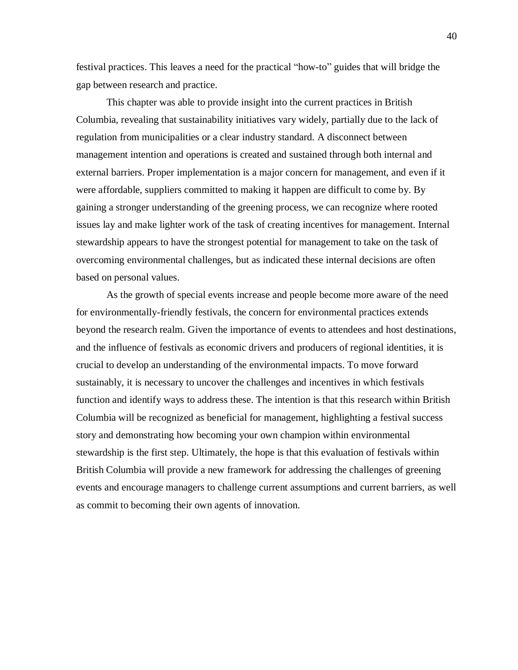festival practices. This leaves a need for the practical "how-to" guides that will bridge the gap between research and practice.

This chapter was able to provide insight into the current practices in British Columbia, revealing that sustainability initiatives vary widely, partially due to the lack of regulation from municipalities or a clear industry standard. A disconnect between management intention and operations is created and sustained through both internal and external barriers. Proper implementation is a major concern for management, and even if it were affordable, suppliers committed to making it happen are difficult to come by. By gaining a stronger understanding of the greening process, we can recognize where rooted issues lay and make lighter work of the task of creating incentives for management. Internal stewardship appears to have the strongest potential for management to take on the task of overcoming environmental challenges, but as indicated these internal decisions are often based on personal values.

As the growth of special events increase and people become more aware of the need for environmentally-friendly festivals, the concern for environmental practices extends beyond the research realm. Given the importance of events to attendees and host destinations, and the influence of festivals as economic drivers and producers of regional identities, it is crucial to develop an understanding of the environmental impacts. To move forward sustainably, it is necessary to uncover the challenges and incentives in which festivals function and identify ways to address these. The intention is that this research within British Columbia will be recognized as beneficial for management, highlighting a festival success story and demonstrating how becoming your own champion within environmental stewardship is the first step. Ultimately, the hope is that this evaluation of festivals within British Columbia will provide a new framework for addressing the challenges of greening events and encourage managers to challenge current assumptions and current barriers, as well as commit to becoming their own agents of innovation.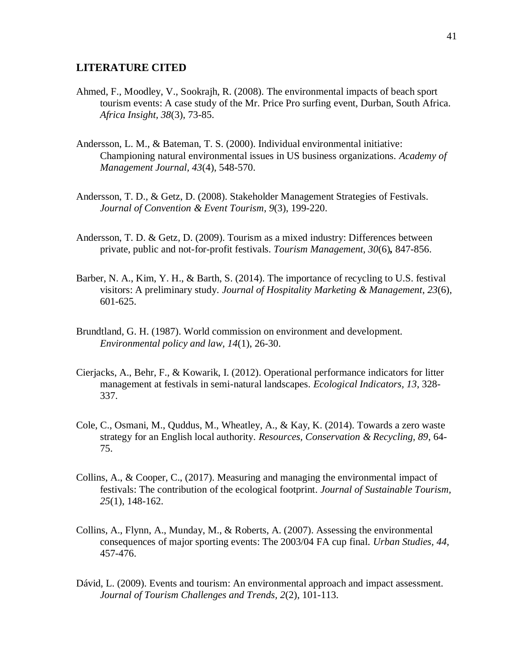#### **LITERATURE CITED**

- Ahmed, F., Moodley, V., Sookrajh, R. (2008). The environmental impacts of beach sport tourism events: A case study of the Mr. Price Pro surfing event, Durban, South Africa. *Africa Insight, 38*(3), 73-85.
- Andersson, L. M., & Bateman, T. S. (2000). Individual environmental initiative: Championing natural environmental issues in US business organizations. *Academy of Management Journal, 43*(4), 548-570.
- Andersson, T. D., & Getz, D. (2008). Stakeholder Management Strategies of Festivals. *Journal of Convention & Event Tourism*, *9*(3), 199-220.
- Andersson, T. D. & Getz, D. (2009). Tourism as a mixed industry: Differences between private, public and not-for-profit festivals. *Tourism Management, 30*(6)*,* 847-856.
- Barber, N. A., Kim, Y. H., & Barth, S. (2014). The importance of recycling to U.S. festival visitors: A preliminary study. *Journal of Hospitality Marketing & Management*, *23*(6), 601-625.
- Brundtland, G. H. (1987). World commission on environment and development. *Environmental policy and law, 14*(1), 26-30.
- Cierjacks, A., Behr, F., & Kowarik, I. (2012). Operational performance indicators for litter management at festivals in semi-natural landscapes. *Ecological Indicators, 13*, 328- 337.
- Cole, C., Osmani, M., Quddus, M., Wheatley, A., & Kay, K. (2014). Towards a zero waste strategy for an English local authority. *Resources, Conservation & Recycling, 89*, 64- 75.
- Collins, A., & Cooper, C., (2017). Measuring and managing the environmental impact of festivals: The contribution of the ecological footprint. *Journal of Sustainable Tourism, 25*(1), 148-162.
- Collins, A., Flynn, A., Munday, M., & Roberts, A. (2007). Assessing the environmental consequences of major sporting events: The 2003/04 FA cup final. *Urban Studies, 44,*  457-476.
- Dávid, L. (2009). Events and tourism: An environmental approach and impact assessment. *Journal of Tourism Challenges and Trends, 2*(2), 101-113.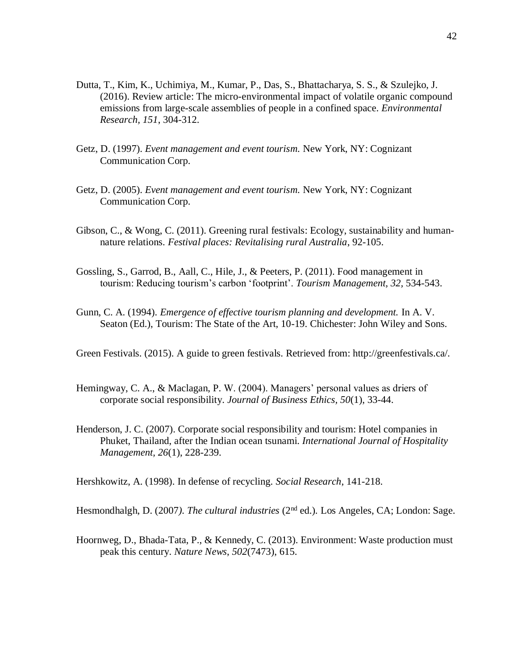- Dutta, T., Kim, K., Uchimiya, M., Kumar, P., Das, S., Bhattacharya, S. S., & Szulejko, J. (2016). Review article: The micro-environmental impact of volatile organic compound emissions from large-scale assemblies of people in a confined space. *Environmental Research, 151*, 304-312.
- Getz, D. (1997). *Event management and event tourism.* New York, NY: Cognizant Communication Corp.
- Getz, D. (2005). *Event management and event tourism.* New York, NY: Cognizant Communication Corp.
- Gibson, C., & Wong, C. (2011). Greening rural festivals: Ecology, sustainability and humannature relations. *Festival places: Revitalising rural Australia*, 92-105.
- Gossling, S., Garrod, B., Aall, C., Hile, J., & Peeters, P. (2011). Food management in tourism: Reducing tourism's carbon 'footprint'. *Tourism Management, 32,* 534-543.
- Gunn, C. A. (1994). *Emergence of effective tourism planning and development.* In A. V. Seaton (Ed.), Tourism: The State of the Art, 10-19. Chichester: John Wiley and Sons.

Green Festivals. (2015). A guide to green festivals. Retrieved from: http://greenfestivals.ca/.

- Hemingway, C. A., & Maclagan, P. W. (2004). Managers' personal values as driers of corporate social responsibility. *Journal of Business Ethics, 50*(1), 33-44.
- Henderson, J. C. (2007). Corporate social responsibility and tourism: Hotel companies in Phuket, Thailand, after the Indian ocean tsunami. *International Journal of Hospitality Management, 26*(1), 228-239.

Hershkowitz, A. (1998). In defense of recycling. *Social Research*, 141-218.

Hesmondhalgh, D. (2007). The cultural industries (2<sup>nd</sup> ed.). Los Angeles, CA; London: Sage.

Hoornweg, D., Bhada-Tata, P., & Kennedy, C. (2013). Environment: Waste production must peak this century. *Nature News*, *502*(7473), 615.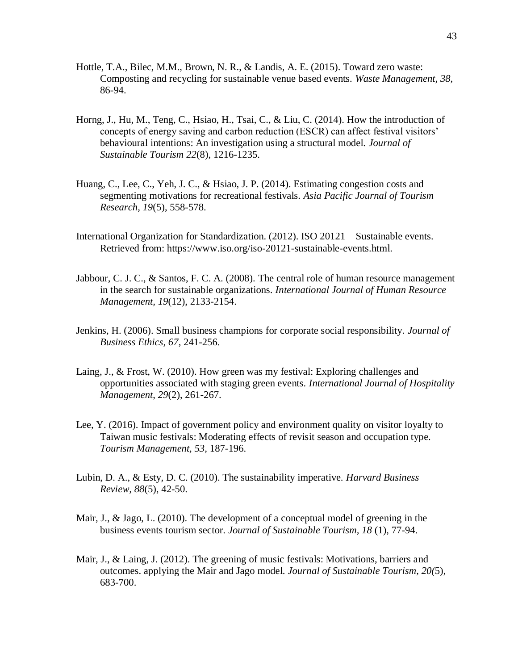- Hottle, T.A., Bilec, M.M., Brown, N. R., & Landis, A. E. (2015). Toward zero waste: Composting and recycling for sustainable venue based events. *Waste Management, 38,* 86-94.
- Horng, J., Hu, M., Teng, C., Hsiao, H., Tsai, C., & Liu, C. (2014). How the introduction of concepts of energy saving and carbon reduction (ESCR) can affect festival visitors' behavioural intentions: An investigation using a structural model. *Journal of Sustainable Tourism 22*(8), 1216-1235.
- Huang, C., Lee, C., Yeh, J. C., & Hsiao, J. P. (2014). Estimating congestion costs and segmenting motivations for recreational festivals. *Asia Pacific Journal of Tourism Research, 19*(5), 558-578.
- International Organization for Standardization. (2012). ISO 20121 Sustainable events. Retrieved from: https://www.iso.org/iso-20121-sustainable-events.html.
- Jabbour, C. J. C., & Santos, F. C. A. (2008). The central role of human resource management in the search for sustainable organizations. *International Journal of Human Resource Management, 19*(12), 2133-2154.
- Jenkins, H. (2006). Small business champions for corporate social responsibility. *Journal of Business Ethics, 67*, 241-256.
- Laing, J., & Frost, W. (2010). How green was my festival: Exploring challenges and opportunities associated with staging green events. *International Journal of Hospitality Management*, *29*(2), 261-267.
- Lee, Y. (2016). Impact of government policy and environment quality on visitor loyalty to Taiwan music festivals: Moderating effects of revisit season and occupation type. *Tourism Management, 53,* 187-196.
- Lubin, D. A., & Esty, D. C. (2010). The sustainability imperative. *Harvard Business Review, 88*(5), 42-50.
- Mair, J., & Jago, L. (2010). The development of a conceptual model of greening in the business events tourism sector. *Journal of Sustainable Tourism, 18* (1), 77-94.
- Mair, J., & Laing, J. (2012). The greening of music festivals: Motivations, barriers and outcomes. applying the Mair and Jago model. *Journal of Sustainable Tourism, 20(*5), 683-700.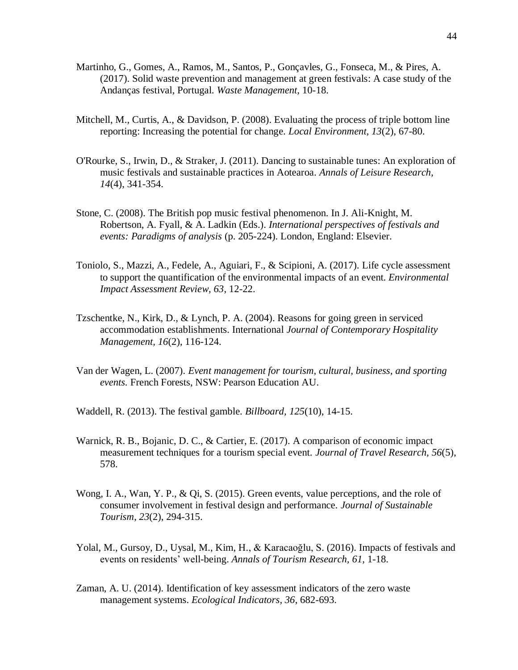- Martinho, G., Gomes, A., Ramos, M., Santos, P., Gonçavles, G., Fonseca, M., & Pires, A. (2017). Solid waste prevention and management at green festivals: A case study of the Andanças festival, Portugal. *Waste Management,* 10-18.
- Mitchell, M., Curtis, A., & Davidson, P. (2008). Evaluating the process of triple bottom line reporting: Increasing the potential for change. *Local Environment, 13*(2), 67-80.
- O'Rourke, S., Irwin, D., & Straker, J. (2011). Dancing to sustainable tunes: An exploration of music festivals and sustainable practices in Aotearoa. *Annals of Leisure Research, 14*(4), 341-354.
- Stone, C. (2008). The British pop music festival phenomenon. In J. Ali-Knight, M. Robertson, A. Fyall, & A. Ladkin (Eds.). *International perspectives of festivals and events: Paradigms of analysis* (p. 205-224). London, England: Elsevier.
- Toniolo, S., Mazzi, A., Fedele, A., Aguiari, F., & Scipioni, A. (2017). Life cycle assessment to support the quantification of the environmental impacts of an event. *Environmental Impact Assessment Review, 63*, 12-22.
- Tzschentke, N., Kirk, D., & Lynch, P. A. (2004). Reasons for going green in serviced accommodation establishments. International *Journal of Contemporary Hospitality Management, 16*(2), 116-124.
- Van der Wagen, L. (2007). *Event management for tourism, cultural, business, and sporting events.* French Forests, NSW: Pearson Education AU.

Waddell, R. (2013). The festival gamble. *Billboard, 125*(10), 14-15.

- Warnick, R. B., Bojanic, D. C., & Cartier, E. (2017). A comparison of economic impact measurement techniques for a tourism special event. *Journal of Travel Research, 56*(5), 578.
- Wong, I. A., Wan, Y. P., & Qi, S. (2015). Green events, value perceptions, and the role of consumer involvement in festival design and performance. *Journal of Sustainable Tourism*, *23*(2), 294-315.
- Yolal, M., Gursoy, D., Uysal, M., Kim, H., & Karacaoğlu, S. (2016). Impacts of festivals and events on residents' well-being. *Annals of Tourism Research, 61*, 1-18.
- Zaman, A. U. (2014). Identification of key assessment indicators of the zero waste management systems. *Ecological Indicators, 36*, 682-693.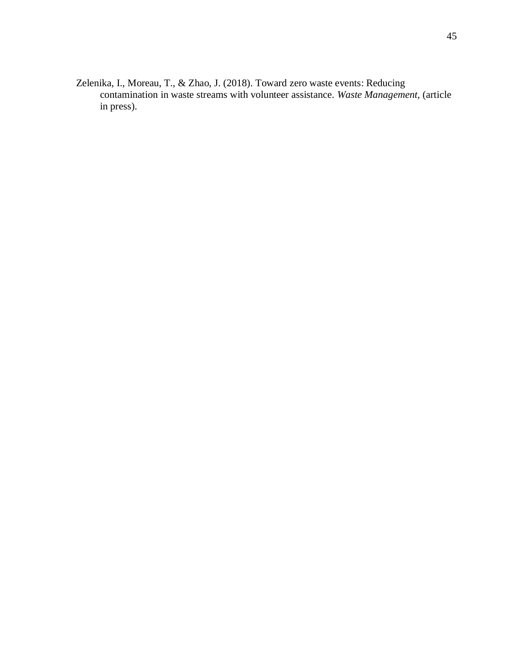Zelenika, I., Moreau, T., & Zhao, J. (2018). Toward zero waste events: Reducing contamination in waste streams with volunteer assistance. *Waste Management,* (article in press).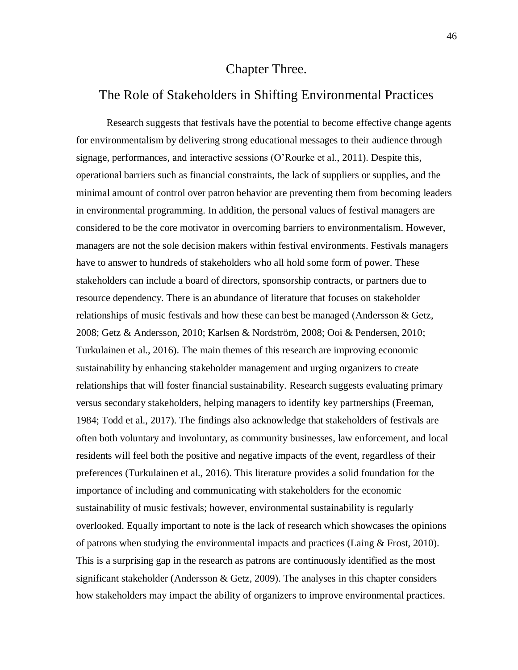# Chapter Three.

# The Role of Stakeholders in Shifting Environmental Practices

Research suggests that festivals have the potential to become effective change agents for environmentalism by delivering strong educational messages to their audience through signage, performances, and interactive sessions (O'Rourke et al., 2011). Despite this, operational barriers such as financial constraints, the lack of suppliers or supplies, and the minimal amount of control over patron behavior are preventing them from becoming leaders in environmental programming. In addition, the personal values of festival managers are considered to be the core motivator in overcoming barriers to environmentalism. However, managers are not the sole decision makers within festival environments. Festivals managers have to answer to hundreds of stakeholders who all hold some form of power. These stakeholders can include a board of directors, sponsorship contracts, or partners due to resource dependency. There is an abundance of literature that focuses on stakeholder relationships of music festivals and how these can best be managed (Andersson & Getz, 2008; Getz & Andersson, 2010; Karlsen & Nordström, 2008; Ooi & Pendersen, 2010; Turkulainen et al., 2016). The main themes of this research are improving economic sustainability by enhancing stakeholder management and urging organizers to create relationships that will foster financial sustainability. Research suggests evaluating primary versus secondary stakeholders, helping managers to identify key partnerships (Freeman, 1984; Todd et al., 2017). The findings also acknowledge that stakeholders of festivals are often both voluntary and involuntary, as community businesses, law enforcement, and local residents will feel both the positive and negative impacts of the event, regardless of their preferences (Turkulainen et al., 2016). This literature provides a solid foundation for the importance of including and communicating with stakeholders for the economic sustainability of music festivals; however, environmental sustainability is regularly overlooked. Equally important to note is the lack of research which showcases the opinions of patrons when studying the environmental impacts and practices (Laing  $\&$  Frost, 2010). This is a surprising gap in the research as patrons are continuously identified as the most significant stakeholder (Andersson  $\&$  Getz, 2009). The analyses in this chapter considers how stakeholders may impact the ability of organizers to improve environmental practices.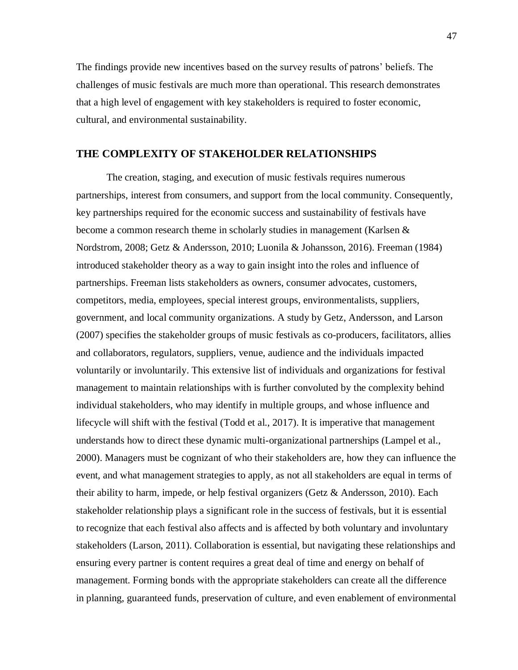The findings provide new incentives based on the survey results of patrons' beliefs. The challenges of music festivals are much more than operational. This research demonstrates that a high level of engagement with key stakeholders is required to foster economic, cultural, and environmental sustainability.

### **THE COMPLEXITY OF STAKEHOLDER RELATIONSHIPS**

The creation, staging, and execution of music festivals requires numerous partnerships, interest from consumers, and support from the local community. Consequently, key partnerships required for the economic success and sustainability of festivals have become a common research theme in scholarly studies in management (Karlsen  $\&$ Nordstrom, 2008; Getz & Andersson, 2010; Luonila & Johansson, 2016). Freeman (1984) introduced stakeholder theory as a way to gain insight into the roles and influence of partnerships. Freeman lists stakeholders as owners, consumer advocates, customers, competitors, media, employees, special interest groups, environmentalists, suppliers, government, and local community organizations. A study by Getz, Andersson, and Larson (2007) specifies the stakeholder groups of music festivals as co-producers, facilitators, allies and collaborators, regulators, suppliers, venue, audience and the individuals impacted voluntarily or involuntarily. This extensive list of individuals and organizations for festival management to maintain relationships with is further convoluted by the complexity behind individual stakeholders, who may identify in multiple groups, and whose influence and lifecycle will shift with the festival (Todd et al., 2017). It is imperative that management understands how to direct these dynamic multi-organizational partnerships (Lampel et al., 2000). Managers must be cognizant of who their stakeholders are, how they can influence the event, and what management strategies to apply, as not all stakeholders are equal in terms of their ability to harm, impede, or help festival organizers (Getz & Andersson, 2010). Each stakeholder relationship plays a significant role in the success of festivals, but it is essential to recognize that each festival also affects and is affected by both voluntary and involuntary stakeholders (Larson, 2011). Collaboration is essential, but navigating these relationships and ensuring every partner is content requires a great deal of time and energy on behalf of management. Forming bonds with the appropriate stakeholders can create all the difference in planning, guaranteed funds, preservation of culture, and even enablement of environmental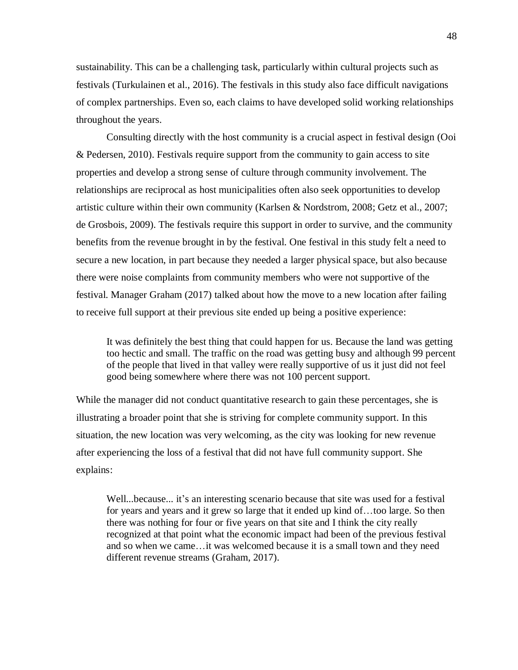sustainability. This can be a challenging task, particularly within cultural projects such as festivals (Turkulainen et al., 2016). The festivals in this study also face difficult navigations of complex partnerships. Even so, each claims to have developed solid working relationships throughout the years.

Consulting directly with the host community is a crucial aspect in festival design (Ooi & Pedersen, 2010). Festivals require support from the community to gain access to site properties and develop a strong sense of culture through community involvement. The relationships are reciprocal as host municipalities often also seek opportunities to develop artistic culture within their own community (Karlsen & Nordstrom, 2008; Getz et al., 2007; de Grosbois, 2009). The festivals require this support in order to survive, and the community benefits from the revenue brought in by the festival. One festival in this study felt a need to secure a new location, in part because they needed a larger physical space, but also because there were noise complaints from community members who were not supportive of the festival. Manager Graham (2017) talked about how the move to a new location after failing to receive full support at their previous site ended up being a positive experience:

It was definitely the best thing that could happen for us. Because the land was getting too hectic and small. The traffic on the road was getting busy and although 99 percent of the people that lived in that valley were really supportive of us it just did not feel good being somewhere where there was not 100 percent support.

While the manager did not conduct quantitative research to gain these percentages, she is illustrating a broader point that she is striving for complete community support. In this situation, the new location was very welcoming, as the city was looking for new revenue after experiencing the loss of a festival that did not have full community support. She explains:

Well...because... it's an interesting scenario because that site was used for a festival for years and years and it grew so large that it ended up kind of…too large. So then there was nothing for four or five years on that site and I think the city really recognized at that point what the economic impact had been of the previous festival and so when we came…it was welcomed because it is a small town and they need different revenue streams (Graham, 2017).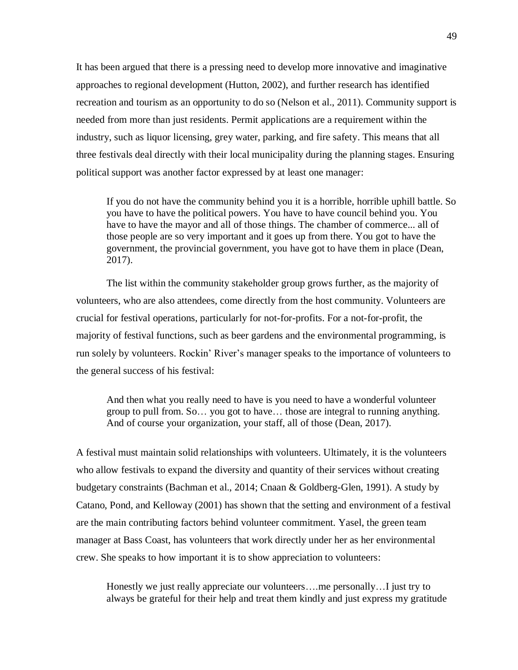It has been argued that there is a pressing need to develop more innovative and imaginative approaches to regional development (Hutton, 2002), and further research has identified recreation and tourism as an opportunity to do so (Nelson et al., 2011). Community support is needed from more than just residents. Permit applications are a requirement within the industry, such as liquor licensing, grey water, parking, and fire safety. This means that all three festivals deal directly with their local municipality during the planning stages. Ensuring political support was another factor expressed by at least one manager:

If you do not have the community behind you it is a horrible, horrible uphill battle. So you have to have the political powers. You have to have council behind you. You have to have the mayor and all of those things. The chamber of commerce... all of those people are so very important and it goes up from there. You got to have the government, the provincial government, you have got to have them in place (Dean, 2017).

The list within the community stakeholder group grows further, as the majority of volunteers, who are also attendees, come directly from the host community. Volunteers are crucial for festival operations, particularly for not-for-profits. For a not-for-profit, the majority of festival functions, such as beer gardens and the environmental programming, is run solely by volunteers. Rockin' River's manager speaks to the importance of volunteers to the general success of his festival:

And then what you really need to have is you need to have a wonderful volunteer group to pull from. So… you got to have… those are integral to running anything. And of course your organization, your staff, all of those (Dean, 2017).

A festival must maintain solid relationships with volunteers. Ultimately, it is the volunteers who allow festivals to expand the diversity and quantity of their services without creating budgetary constraints (Bachman et al., 2014; Cnaan & Goldberg-Glen, 1991). A study by Catano, Pond, and Kelloway (2001) has shown that the setting and environment of a festival are the main contributing factors behind volunteer commitment. Yasel, the green team manager at Bass Coast, has volunteers that work directly under her as her environmental crew. She speaks to how important it is to show appreciation to volunteers:

Honestly we just really appreciate our volunteers….me personally…I just try to always be grateful for their help and treat them kindly and just express my gratitude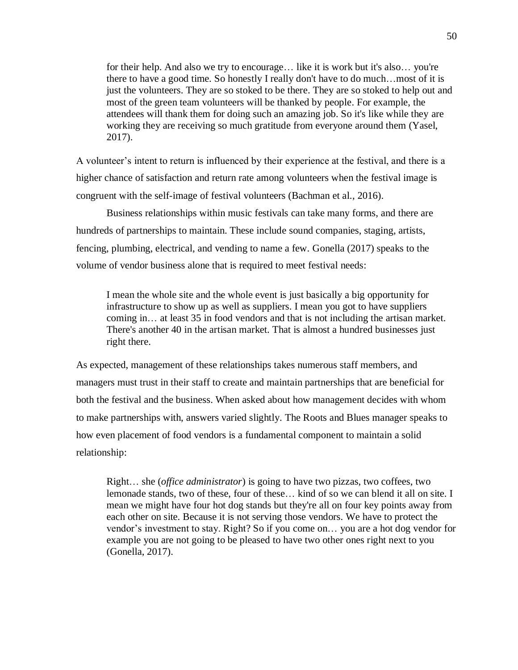for their help. And also we try to encourage… like it is work but it's also… you're there to have a good time. So honestly I really don't have to do much…most of it is just the volunteers. They are so stoked to be there. They are so stoked to help out and most of the green team volunteers will be thanked by people. For example, the attendees will thank them for doing such an amazing job. So it's like while they are working they are receiving so much gratitude from everyone around them (Yasel, 2017).

A volunteer's intent to return is influenced by their experience at the festival, and there is a higher chance of satisfaction and return rate among volunteers when the festival image is congruent with the self-image of festival volunteers (Bachman et al., 2016).

Business relationships within music festivals can take many forms, and there are hundreds of partnerships to maintain. These include sound companies, staging, artists, fencing, plumbing, electrical, and vending to name a few. Gonella (2017) speaks to the volume of vendor business alone that is required to meet festival needs:

I mean the whole site and the whole event is just basically a big opportunity for infrastructure to show up as well as suppliers. I mean you got to have suppliers coming in… at least 35 in food vendors and that is not including the artisan market. There's another 40 in the artisan market. That is almost a hundred businesses just right there.

As expected, management of these relationships takes numerous staff members, and managers must trust in their staff to create and maintain partnerships that are beneficial for both the festival and the business. When asked about how management decides with whom to make partnerships with, answers varied slightly. The Roots and Blues manager speaks to how even placement of food vendors is a fundamental component to maintain a solid relationship:

Right… she (*office administrator*) is going to have two pizzas, two coffees, two lemonade stands, two of these, four of these… kind of so we can blend it all on site. I mean we might have four hot dog stands but they're all on four key points away from each other on site. Because it is not serving those vendors. We have to protect the vendor's investment to stay. Right? So if you come on… you are a hot dog vendor for example you are not going to be pleased to have two other ones right next to you (Gonella, 2017).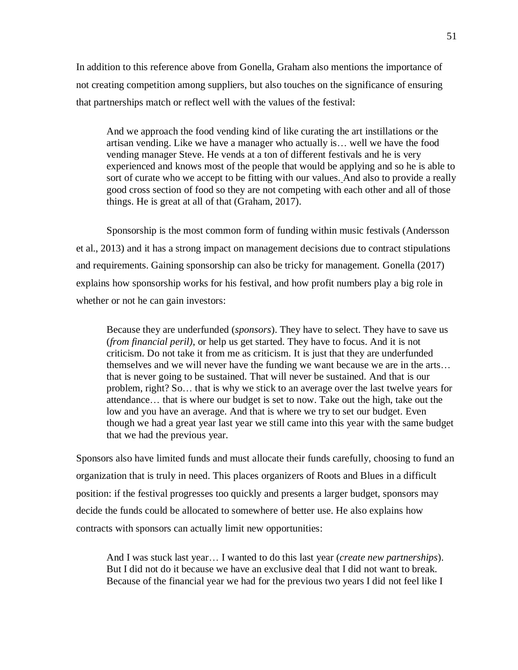In addition to this reference above from Gonella, Graham also mentions the importance of not creating competition among suppliers, but also touches on the significance of ensuring that partnerships match or reflect well with the values of the festival:

And we approach the food vending kind of like curating the art instillations or the artisan vending. Like we have a manager who actually is… well we have the food vending manager Steve. He vends at a ton of different festivals and he is very experienced and knows most of the people that would be applying and so he is able to sort of curate who we accept to be fitting with our values. And also to provide a really good cross section of food so they are not competing with each other and all of those things. He is great at all of that (Graham, 2017).

Sponsorship is the most common form of funding within music festivals (Andersson et al., 2013) and it has a strong impact on management decisions due to contract stipulations and requirements. Gaining sponsorship can also be tricky for management. Gonella (2017) explains how sponsorship works for his festival, and how profit numbers play a big role in whether or not he can gain investors:

Because they are underfunded (*sponsors*). They have to select. They have to save us (*from financial peril)*, or help us get started. They have to focus. And it is not criticism. Do not take it from me as criticism. It is just that they are underfunded themselves and we will never have the funding we want because we are in the arts… that is never going to be sustained. That will never be sustained. And that is our problem, right? So… that is why we stick to an average over the last twelve years for attendance… that is where our budget is set to now. Take out the high, take out the low and you have an average. And that is where we try to set our budget. Even though we had a great year last year we still came into this year with the same budget that we had the previous year.

Sponsors also have limited funds and must allocate their funds carefully, choosing to fund an organization that is truly in need. This places organizers of Roots and Blues in a difficult position: if the festival progresses too quickly and presents a larger budget, sponsors may decide the funds could be allocated to somewhere of better use. He also explains how contracts with sponsors can actually limit new opportunities:

And I was stuck last year… I wanted to do this last year (*create new partnerships*). But I did not do it because we have an exclusive deal that I did not want to break. Because of the financial year we had for the previous two years I did not feel like I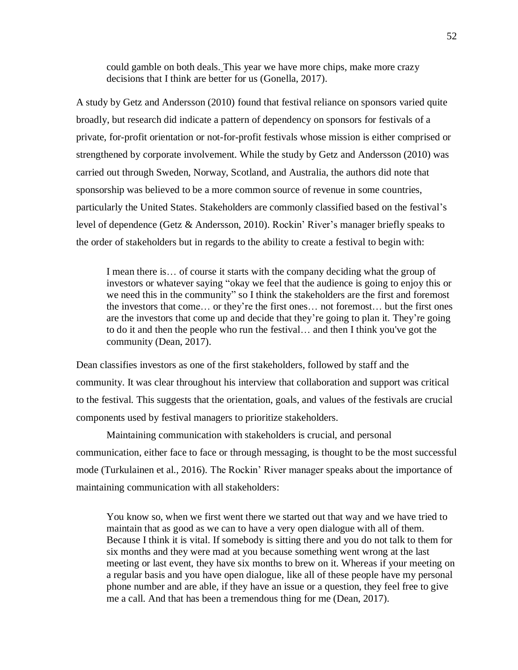could gamble on both deals. This year we have more chips, make more crazy decisions that I think are better for us (Gonella, 2017).

A study by Getz and Andersson (2010) found that festival reliance on sponsors varied quite broadly, but research did indicate a pattern of dependency on sponsors for festivals of a private, for-profit orientation or not-for-profit festivals whose mission is either comprised or strengthened by corporate involvement. While the study by Getz and Andersson (2010) was carried out through Sweden, Norway, Scotland, and Australia, the authors did note that sponsorship was believed to be a more common source of revenue in some countries, particularly the United States. Stakeholders are commonly classified based on the festival's level of dependence (Getz & Andersson, 2010). Rockin' River's manager briefly speaks to the order of stakeholders but in regards to the ability to create a festival to begin with:

I mean there is… of course it starts with the company deciding what the group of investors or whatever saying "okay we feel that the audience is going to enjoy this or we need this in the community" so I think the stakeholders are the first and foremost the investors that come… or they're the first ones… not foremost… but the first ones are the investors that come up and decide that they're going to plan it. They're going to do it and then the people who run the festival… and then I think you've got the community (Dean, 2017).

Dean classifies investors as one of the first stakeholders, followed by staff and the community. It was clear throughout his interview that collaboration and support was critical to the festival. This suggests that the orientation, goals, and values of the festivals are crucial components used by festival managers to prioritize stakeholders.

Maintaining communication with stakeholders is crucial, and personal communication, either face to face or through messaging, is thought to be the most successful mode (Turkulainen et al., 2016). The Rockin' River manager speaks about the importance of maintaining communication with all stakeholders:

You know so, when we first went there we started out that way and we have tried to maintain that as good as we can to have a very open dialogue with all of them. Because I think it is vital. If somebody is sitting there and you do not talk to them for six months and they were mad at you because something went wrong at the last meeting or last event, they have six months to brew on it. Whereas if your meeting on a regular basis and you have open dialogue, like all of these people have my personal phone number and are able, if they have an issue or a question, they feel free to give me a call. And that has been a tremendous thing for me (Dean, 2017).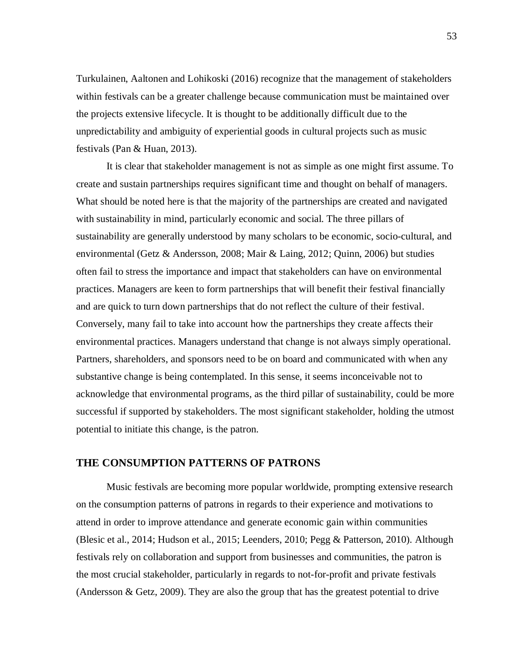Turkulainen, Aaltonen and Lohikoski (2016) recognize that the management of stakeholders within festivals can be a greater challenge because communication must be maintained over the projects extensive lifecycle. It is thought to be additionally difficult due to the unpredictability and ambiguity of experiential goods in cultural projects such as music festivals (Pan & Huan, 2013).

It is clear that stakeholder management is not as simple as one might first assume. To create and sustain partnerships requires significant time and thought on behalf of managers. What should be noted here is that the majority of the partnerships are created and navigated with sustainability in mind, particularly economic and social. The three pillars of sustainability are generally understood by many scholars to be economic, socio-cultural, and environmental (Getz & Andersson, 2008; Mair & Laing, 2012; Quinn, 2006) but studies often fail to stress the importance and impact that stakeholders can have on environmental practices. Managers are keen to form partnerships that will benefit their festival financially and are quick to turn down partnerships that do not reflect the culture of their festival. Conversely, many fail to take into account how the partnerships they create affects their environmental practices. Managers understand that change is not always simply operational. Partners, shareholders, and sponsors need to be on board and communicated with when any substantive change is being contemplated. In this sense, it seems inconceivable not to acknowledge that environmental programs, as the third pillar of sustainability, could be more successful if supported by stakeholders. The most significant stakeholder, holding the utmost potential to initiate this change, is the patron.

### **THE CONSUMPTION PATTERNS OF PATRONS**

Music festivals are becoming more popular worldwide, prompting extensive research on the consumption patterns of patrons in regards to their experience and motivations to attend in order to improve attendance and generate economic gain within communities (Blesic et al., 2014; Hudson et al., 2015; Leenders, 2010; Pegg & Patterson, 2010). Although festivals rely on collaboration and support from businesses and communities, the patron is the most crucial stakeholder, particularly in regards to not-for-profit and private festivals (Andersson  $\&$  Getz, 2009). They are also the group that has the greatest potential to drive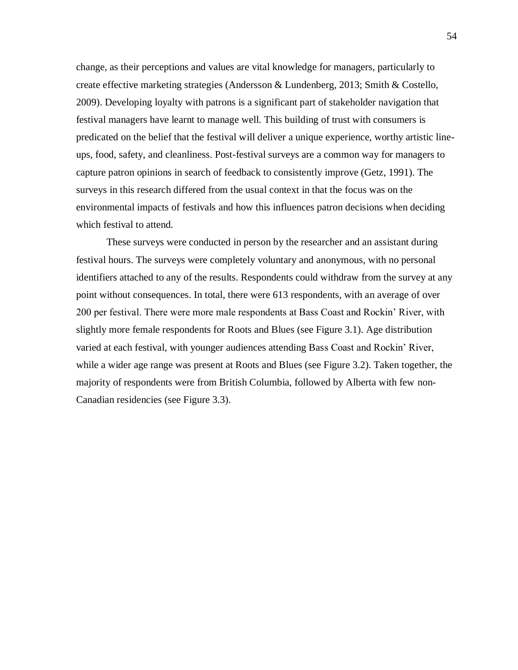change, as their perceptions and values are vital knowledge for managers, particularly to create effective marketing strategies (Andersson & Lundenberg, 2013; Smith & Costello, 2009). Developing loyalty with patrons is a significant part of stakeholder navigation that festival managers have learnt to manage well. This building of trust with consumers is predicated on the belief that the festival will deliver a unique experience, worthy artistic lineups, food, safety, and cleanliness. Post-festival surveys are a common way for managers to capture patron opinions in search of feedback to consistently improve (Getz, 1991). The surveys in this research differed from the usual context in that the focus was on the environmental impacts of festivals and how this influences patron decisions when deciding which festival to attend.

These surveys were conducted in person by the researcher and an assistant during festival hours. The surveys were completely voluntary and anonymous, with no personal identifiers attached to any of the results. Respondents could withdraw from the survey at any point without consequences. In total, there were 613 respondents, with an average of over 200 per festival. There were more male respondents at Bass Coast and Rockin' River, with slightly more female respondents for Roots and Blues (see Figure 3.1). Age distribution varied at each festival, with younger audiences attending Bass Coast and Rockin' River, while a wider age range was present at Roots and Blues (see Figure 3.2). Taken together, the majority of respondents were from British Columbia, followed by Alberta with few non-Canadian residencies (see Figure 3.3).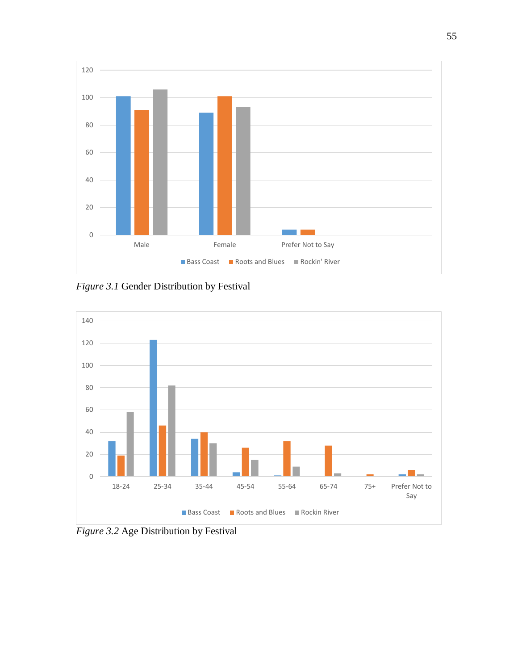

*Figure 3.1* Gender Distribution by Festival



*Figure 3.2* Age Distribution by Festival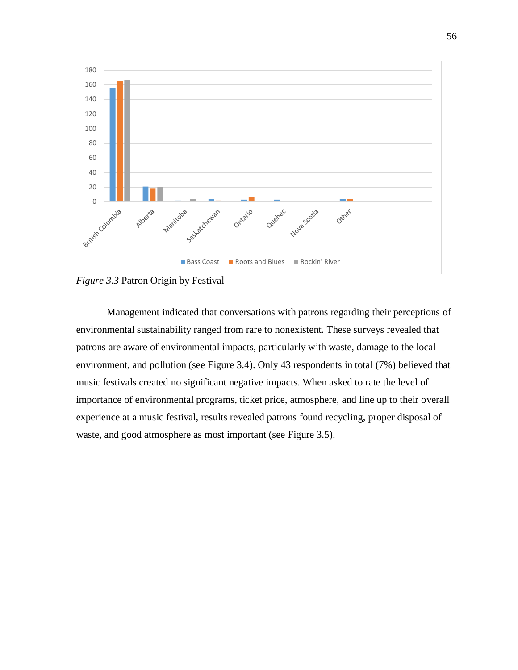

*Figure 3.3* Patron Origin by Festival

Management indicated that conversations with patrons regarding their perceptions of environmental sustainability ranged from rare to nonexistent. These surveys revealed that patrons are aware of environmental impacts, particularly with waste, damage to the local environment, and pollution (see Figure 3.4). Only 43 respondents in total (7%) believed that music festivals created no significant negative impacts. When asked to rate the level of importance of environmental programs, ticket price, atmosphere, and line up to their overall experience at a music festival, results revealed patrons found recycling, proper disposal of waste, and good atmosphere as most important (see Figure 3.5).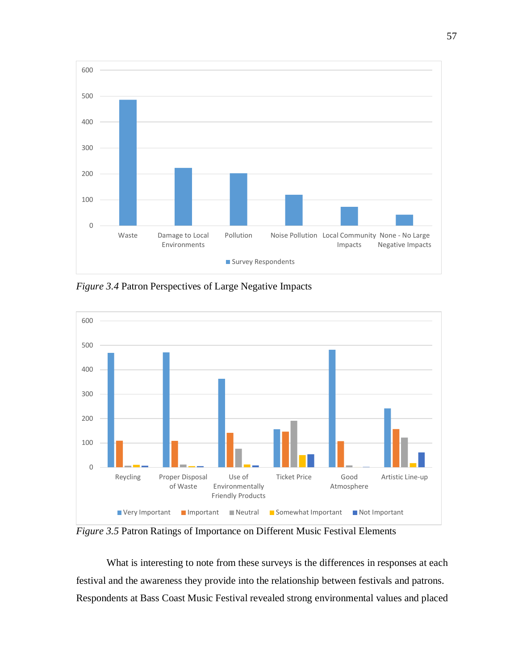

*Figure 3.4* Patron Perspectives of Large Negative Impacts



*Figure 3.5* Patron Ratings of Importance on Different Music Festival Elements

What is interesting to note from these surveys is the differences in responses at each festival and the awareness they provide into the relationship between festivals and patrons. Respondents at Bass Coast Music Festival revealed strong environmental values and placed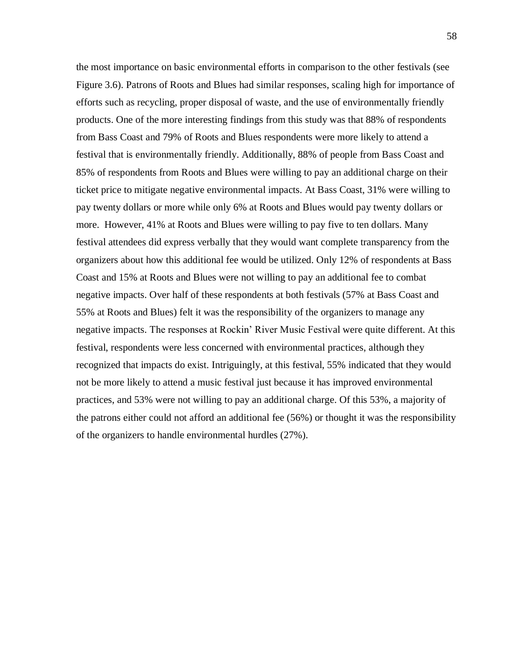the most importance on basic environmental efforts in comparison to the other festivals (see Figure 3.6). Patrons of Roots and Blues had similar responses, scaling high for importance of efforts such as recycling, proper disposal of waste, and the use of environmentally friendly products. One of the more interesting findings from this study was that 88% of respondents from Bass Coast and 79% of Roots and Blues respondents were more likely to attend a festival that is environmentally friendly. Additionally, 88% of people from Bass Coast and 85% of respondents from Roots and Blues were willing to pay an additional charge on their ticket price to mitigate negative environmental impacts. At Bass Coast, 31% were willing to pay twenty dollars or more while only 6% at Roots and Blues would pay twenty dollars or more. However, 41% at Roots and Blues were willing to pay five to ten dollars. Many festival attendees did express verbally that they would want complete transparency from the organizers about how this additional fee would be utilized. Only 12% of respondents at Bass Coast and 15% at Roots and Blues were not willing to pay an additional fee to combat negative impacts. Over half of these respondents at both festivals (57% at Bass Coast and 55% at Roots and Blues) felt it was the responsibility of the organizers to manage any negative impacts. The responses at Rockin' River Music Festival were quite different. At this festival, respondents were less concerned with environmental practices, although they recognized that impacts do exist. Intriguingly, at this festival, 55% indicated that they would not be more likely to attend a music festival just because it has improved environmental practices, and 53% were not willing to pay an additional charge. Of this 53%, a majority of the patrons either could not afford an additional fee (56%) or thought it was the responsibility of the organizers to handle environmental hurdles (27%).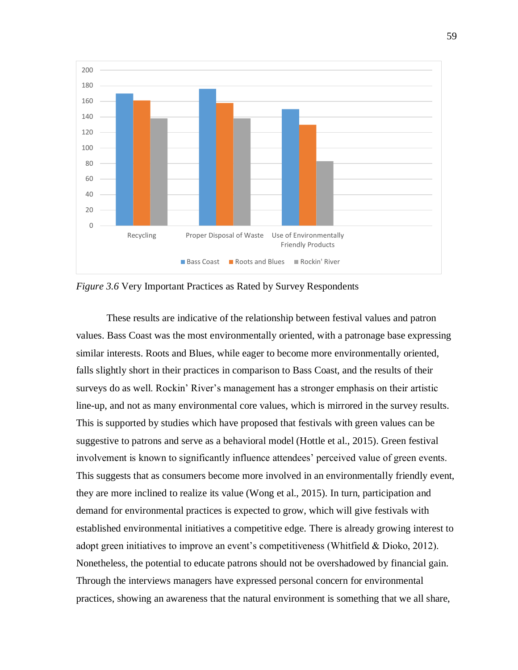

*Figure 3.6* Very Important Practices as Rated by Survey Respondents

These results are indicative of the relationship between festival values and patron values. Bass Coast was the most environmentally oriented, with a patronage base expressing similar interests. Roots and Blues, while eager to become more environmentally oriented, falls slightly short in their practices in comparison to Bass Coast, and the results of their surveys do as well. Rockin' River's management has a stronger emphasis on their artistic line-up, and not as many environmental core values, which is mirrored in the survey results. This is supported by studies which have proposed that festivals with green values can be suggestive to patrons and serve as a behavioral model (Hottle et al., 2015). Green festival involvement is known to significantly influence attendees' perceived value of green events. This suggests that as consumers become more involved in an environmentally friendly event, they are more inclined to realize its value (Wong et al., 2015). In turn, participation and demand for environmental practices is expected to grow, which will give festivals with established environmental initiatives a competitive edge. There is already growing interest to adopt green initiatives to improve an event's competitiveness (Whitfield & Dioko, 2012). Nonetheless, the potential to educate patrons should not be overshadowed by financial gain. Through the interviews managers have expressed personal concern for environmental practices, showing an awareness that the natural environment is something that we all share,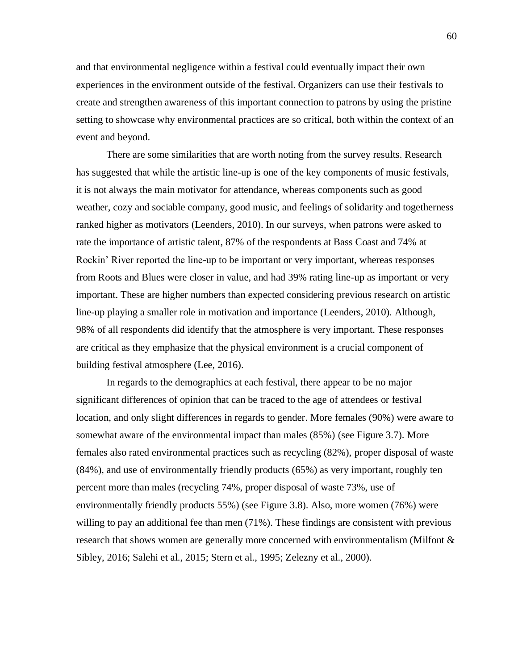and that environmental negligence within a festival could eventually impact their own experiences in the environment outside of the festival. Organizers can use their festivals to create and strengthen awareness of this important connection to patrons by using the pristine setting to showcase why environmental practices are so critical, both within the context of an event and beyond.

There are some similarities that are worth noting from the survey results. Research has suggested that while the artistic line-up is one of the key components of music festivals, it is not always the main motivator for attendance, whereas components such as good weather, cozy and sociable company, good music, and feelings of solidarity and togetherness ranked higher as motivators (Leenders, 2010). In our surveys, when patrons were asked to rate the importance of artistic talent, 87% of the respondents at Bass Coast and 74% at Rockin' River reported the line-up to be important or very important, whereas responses from Roots and Blues were closer in value, and had 39% rating line-up as important or very important. These are higher numbers than expected considering previous research on artistic line-up playing a smaller role in motivation and importance (Leenders, 2010). Although, 98% of all respondents did identify that the atmosphere is very important. These responses are critical as they emphasize that the physical environment is a crucial component of building festival atmosphere (Lee, 2016).

In regards to the demographics at each festival, there appear to be no major significant differences of opinion that can be traced to the age of attendees or festival location, and only slight differences in regards to gender. More females (90%) were aware to somewhat aware of the environmental impact than males (85%) (see Figure 3.7). More females also rated environmental practices such as recycling (82%), proper disposal of waste (84%), and use of environmentally friendly products (65%) as very important, roughly ten percent more than males (recycling 74%, proper disposal of waste 73%, use of environmentally friendly products 55%) (see Figure 3.8). Also, more women (76%) were willing to pay an additional fee than men (71%). These findings are consistent with previous research that shows women are generally more concerned with environmentalism (Milfont & Sibley, 2016; Salehi et al., 2015; Stern et al., 1995; Zelezny et al., 2000).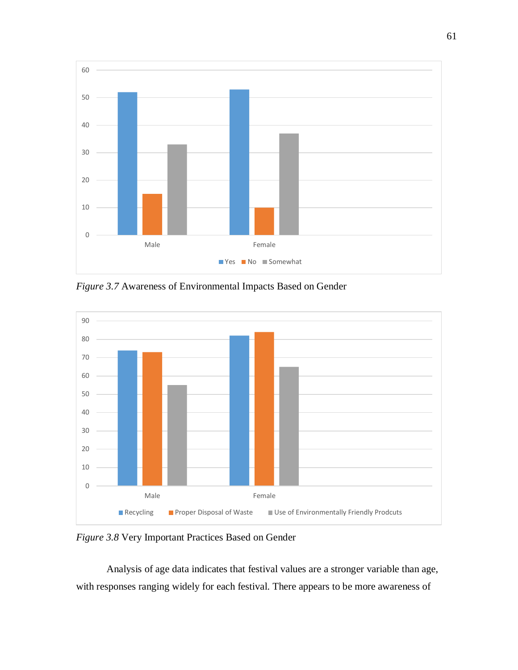

*Figure 3.7* Awareness of Environmental Impacts Based on Gender



*Figure 3.8* Very Important Practices Based on Gender

Analysis of age data indicates that festival values are a stronger variable than age, with responses ranging widely for each festival. There appears to be more awareness of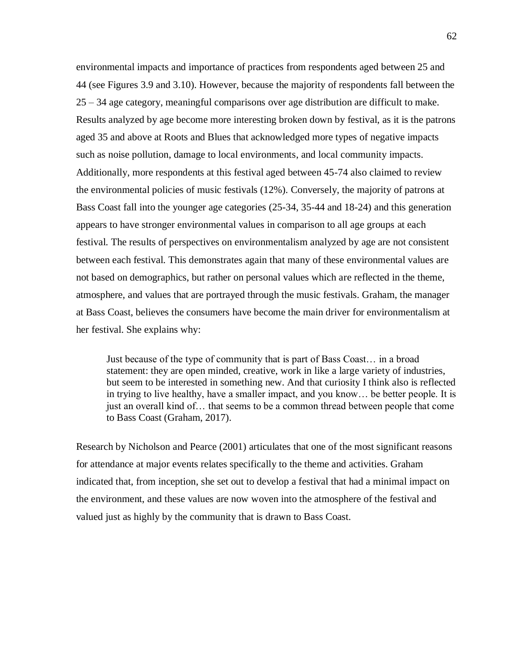environmental impacts and importance of practices from respondents aged between 25 and 44 (see Figures 3.9 and 3.10). However, because the majority of respondents fall between the 25 – 34 age category, meaningful comparisons over age distribution are difficult to make. Results analyzed by age become more interesting broken down by festival, as it is the patrons aged 35 and above at Roots and Blues that acknowledged more types of negative impacts such as noise pollution, damage to local environments, and local community impacts. Additionally, more respondents at this festival aged between 45-74 also claimed to review the environmental policies of music festivals (12%). Conversely, the majority of patrons at Bass Coast fall into the younger age categories (25-34, 35-44 and 18-24) and this generation appears to have stronger environmental values in comparison to all age groups at each festival. The results of perspectives on environmentalism analyzed by age are not consistent between each festival. This demonstrates again that many of these environmental values are not based on demographics, but rather on personal values which are reflected in the theme, atmosphere, and values that are portrayed through the music festivals. Graham, the manager at Bass Coast, believes the consumers have become the main driver for environmentalism at her festival. She explains why:

Just because of the type of community that is part of Bass Coast… in a broad statement: they are open minded, creative, work in like a large variety of industries, but seem to be interested in something new. And that curiosity I think also is reflected in trying to live healthy, have a smaller impact, and you know… be better people. It is just an overall kind of… that seems to be a common thread between people that come to Bass Coast (Graham, 2017).

Research by Nicholson and Pearce (2001) articulates that one of the most significant reasons for attendance at major events relates specifically to the theme and activities. Graham indicated that, from inception, she set out to develop a festival that had a minimal impact on the environment, and these values are now woven into the atmosphere of the festival and valued just as highly by the community that is drawn to Bass Coast.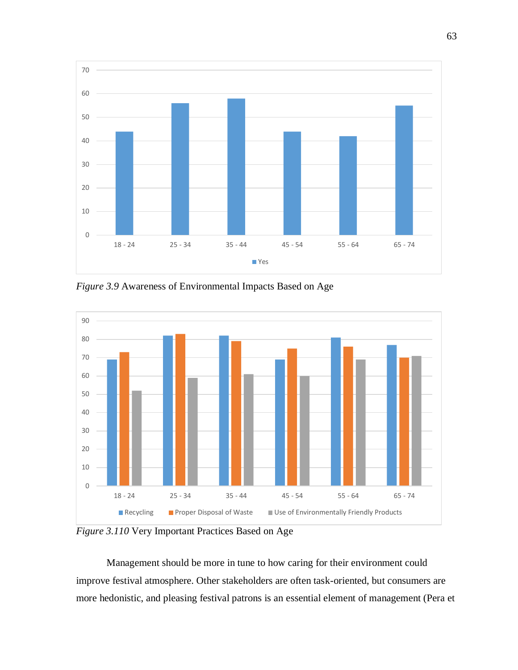

*Figure 3.9* Awareness of Environmental Impacts Based on Age



*Figure 3.110* Very Important Practices Based on Age

Management should be more in tune to how caring for their environment could improve festival atmosphere. Other stakeholders are often task-oriented, but consumers are more hedonistic, and pleasing festival patrons is an essential element of management (Pera et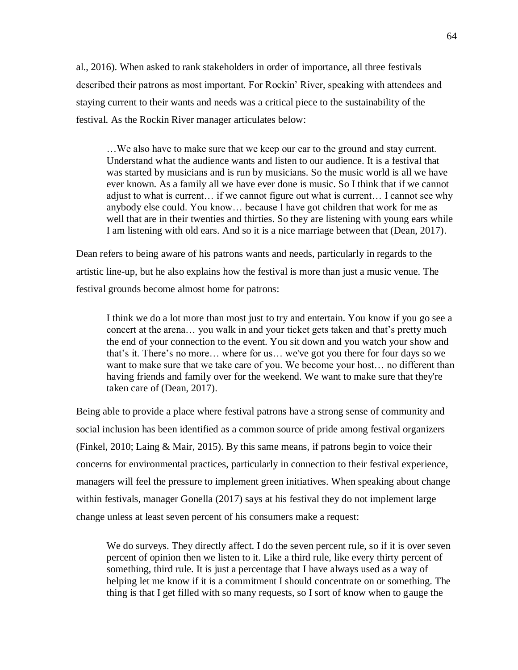al., 2016). When asked to rank stakeholders in order of importance, all three festivals described their patrons as most important. For Rockin' River, speaking with attendees and staying current to their wants and needs was a critical piece to the sustainability of the festival. As the Rockin River manager articulates below:

…We also have to make sure that we keep our ear to the ground and stay current. Understand what the audience wants and listen to our audience. It is a festival that was started by musicians and is run by musicians. So the music world is all we have ever known. As a family all we have ever done is music. So I think that if we cannot adjust to what is current… if we cannot figure out what is current… I cannot see why anybody else could. You know… because I have got children that work for me as well that are in their twenties and thirties. So they are listening with young ears while I am listening with old ears. And so it is a nice marriage between that (Dean, 2017).

Dean refers to being aware of his patrons wants and needs, particularly in regards to the artistic line-up, but he also explains how the festival is more than just a music venue. The festival grounds become almost home for patrons:

I think we do a lot more than most just to try and entertain. You know if you go see a concert at the arena… you walk in and your ticket gets taken and that's pretty much the end of your connection to the event. You sit down and you watch your show and that's it. There's no more… where for us… we've got you there for four days so we want to make sure that we take care of you. We become your host… no different than having friends and family over for the weekend. We want to make sure that they're taken care of (Dean, 2017).

Being able to provide a place where festival patrons have a strong sense of community and social inclusion has been identified as a common source of pride among festival organizers (Finkel, 2010; Laing & Mair, 2015). By this same means, if patrons begin to voice their concerns for environmental practices, particularly in connection to their festival experience, managers will feel the pressure to implement green initiatives. When speaking about change within festivals, manager Gonella (2017) says at his festival they do not implement large change unless at least seven percent of his consumers make a request:

We do surveys. They directly affect. I do the seven percent rule, so if it is over seven percent of opinion then we listen to it. Like a third rule, like every thirty percent of something, third rule. It is just a percentage that I have always used as a way of helping let me know if it is a commitment I should concentrate on or something. The thing is that I get filled with so many requests, so I sort of know when to gauge the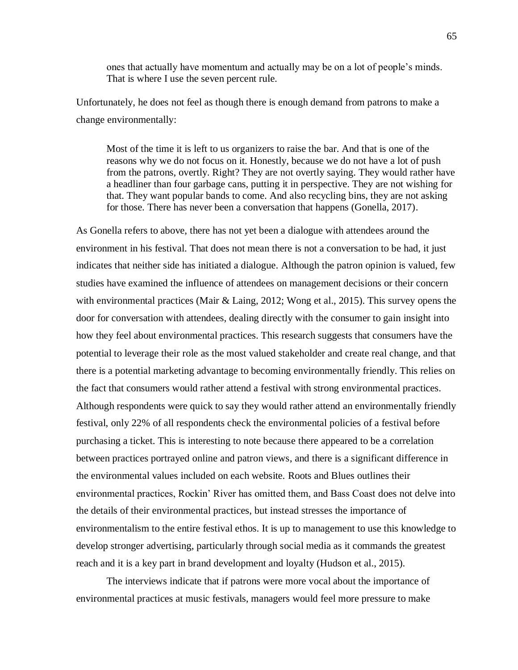ones that actually have momentum and actually may be on a lot of people's minds. That is where I use the seven percent rule.

Unfortunately, he does not feel as though there is enough demand from patrons to make a change environmentally:

Most of the time it is left to us organizers to raise the bar. And that is one of the reasons why we do not focus on it. Honestly, because we do not have a lot of push from the patrons, overtly. Right? They are not overtly saying. They would rather have a headliner than four garbage cans, putting it in perspective. They are not wishing for that. They want popular bands to come. And also recycling bins, they are not asking for those. There has never been a conversation that happens (Gonella, 2017).

As Gonella refers to above, there has not yet been a dialogue with attendees around the environment in his festival. That does not mean there is not a conversation to be had, it just indicates that neither side has initiated a dialogue. Although the patron opinion is valued, few studies have examined the influence of attendees on management decisions or their concern with environmental practices (Mair & Laing, 2012; Wong et al., 2015). This survey opens the door for conversation with attendees, dealing directly with the consumer to gain insight into how they feel about environmental practices. This research suggests that consumers have the potential to leverage their role as the most valued stakeholder and create real change, and that there is a potential marketing advantage to becoming environmentally friendly. This relies on the fact that consumers would rather attend a festival with strong environmental practices. Although respondents were quick to say they would rather attend an environmentally friendly festival, only 22% of all respondents check the environmental policies of a festival before purchasing a ticket. This is interesting to note because there appeared to be a correlation between practices portrayed online and patron views, and there is a significant difference in the environmental values included on each website. Roots and Blues outlines their environmental practices, Rockin' River has omitted them, and Bass Coast does not delve into the details of their environmental practices, but instead stresses the importance of environmentalism to the entire festival ethos. It is up to management to use this knowledge to develop stronger advertising, particularly through social media as it commands the greatest reach and it is a key part in brand development and loyalty (Hudson et al., 2015).

The interviews indicate that if patrons were more vocal about the importance of environmental practices at music festivals, managers would feel more pressure to make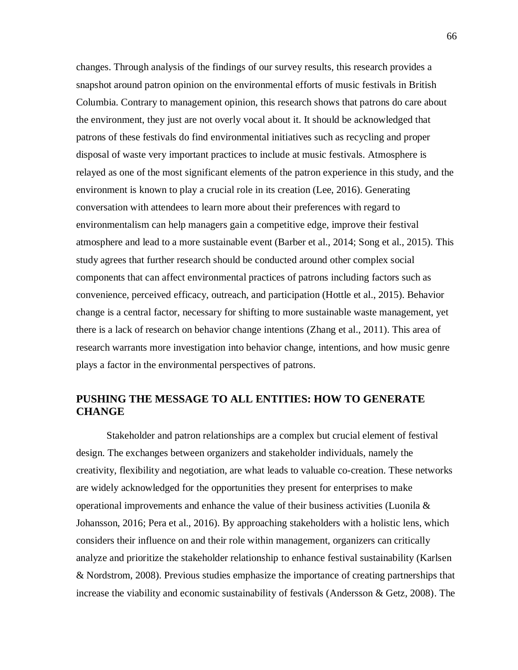changes. Through analysis of the findings of our survey results, this research provides a snapshot around patron opinion on the environmental efforts of music festivals in British Columbia. Contrary to management opinion, this research shows that patrons do care about the environment, they just are not overly vocal about it. It should be acknowledged that patrons of these festivals do find environmental initiatives such as recycling and proper disposal of waste very important practices to include at music festivals. Atmosphere is relayed as one of the most significant elements of the patron experience in this study, and the environment is known to play a crucial role in its creation (Lee, 2016). Generating conversation with attendees to learn more about their preferences with regard to environmentalism can help managers gain a competitive edge, improve their festival atmosphere and lead to a more sustainable event (Barber et al., 2014; Song et al., 2015). This study agrees that further research should be conducted around other complex social components that can affect environmental practices of patrons including factors such as convenience, perceived efficacy, outreach, and participation (Hottle et al., 2015). Behavior change is a central factor, necessary for shifting to more sustainable waste management, yet there is a lack of research on behavior change intentions (Zhang et al., 2011). This area of research warrants more investigation into behavior change, intentions, and how music genre plays a factor in the environmental perspectives of patrons.

# **PUSHING THE MESSAGE TO ALL ENTITIES: HOW TO GENERATE CHANGE**

Stakeholder and patron relationships are a complex but crucial element of festival design. The exchanges between organizers and stakeholder individuals, namely the creativity, flexibility and negotiation, are what leads to valuable co-creation. These networks are widely acknowledged for the opportunities they present for enterprises to make operational improvements and enhance the value of their business activities (Luonila & Johansson, 2016; Pera et al., 2016). By approaching stakeholders with a holistic lens, which considers their influence on and their role within management, organizers can critically analyze and prioritize the stakeholder relationship to enhance festival sustainability (Karlsen & Nordstrom, 2008). Previous studies emphasize the importance of creating partnerships that increase the viability and economic sustainability of festivals (Andersson & Getz, 2008). The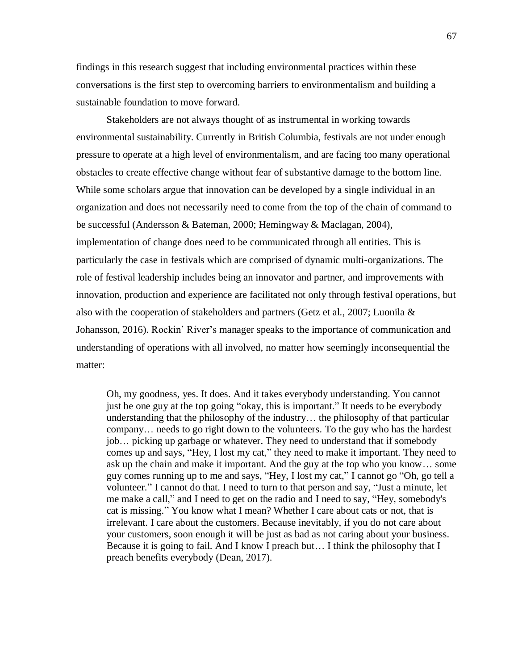findings in this research suggest that including environmental practices within these conversations is the first step to overcoming barriers to environmentalism and building a sustainable foundation to move forward.

Stakeholders are not always thought of as instrumental in working towards environmental sustainability. Currently in British Columbia, festivals are not under enough pressure to operate at a high level of environmentalism, and are facing too many operational obstacles to create effective change without fear of substantive damage to the bottom line. While some scholars argue that innovation can be developed by a single individual in an organization and does not necessarily need to come from the top of the chain of command to be successful (Andersson & Bateman, 2000; Hemingway & Maclagan, 2004), implementation of change does need to be communicated through all entities. This is particularly the case in festivals which are comprised of dynamic multi-organizations. The role of festival leadership includes being an innovator and partner, and improvements with innovation, production and experience are facilitated not only through festival operations, but also with the cooperation of stakeholders and partners (Getz et al., 2007; Luonila  $\&$ Johansson, 2016). Rockin' River's manager speaks to the importance of communication and understanding of operations with all involved, no matter how seemingly inconsequential the matter:

Oh, my goodness, yes. It does. And it takes everybody understanding. You cannot just be one guy at the top going "okay, this is important." It needs to be everybody understanding that the philosophy of the industry… the philosophy of that particular company… needs to go right down to the volunteers. To the guy who has the hardest job… picking up garbage or whatever. They need to understand that if somebody comes up and says, "Hey, I lost my cat," they need to make it important. They need to ask up the chain and make it important. And the guy at the top who you know… some guy comes running up to me and says, "Hey, I lost my cat," I cannot go "Oh, go tell a volunteer." I cannot do that. I need to turn to that person and say, "Just a minute, let me make a call," and I need to get on the radio and I need to say, "Hey, somebody's cat is missing." You know what I mean? Whether I care about cats or not, that is irrelevant. I care about the customers. Because inevitably, if you do not care about your customers, soon enough it will be just as bad as not caring about your business. Because it is going to fail. And I know I preach but… I think the philosophy that I preach benefits everybody (Dean, 2017).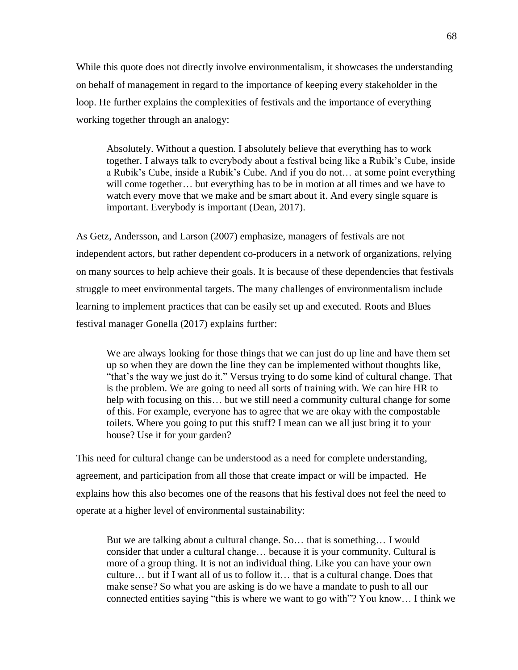While this quote does not directly involve environmentalism, it showcases the understanding on behalf of management in regard to the importance of keeping every stakeholder in the loop. He further explains the complexities of festivals and the importance of everything working together through an analogy:

Absolutely. Without a question. I absolutely believe that everything has to work together. I always talk to everybody about a festival being like a Rubik's Cube, inside a Rubik's Cube, inside a Rubik's Cube. And if you do not… at some point everything will come together… but everything has to be in motion at all times and we have to watch every move that we make and be smart about it. And every single square is important. Everybody is important (Dean, 2017).

As Getz, Andersson, and Larson (2007) emphasize, managers of festivals are not independent actors, but rather dependent co-producers in a network of organizations, relying on many sources to help achieve their goals. It is because of these dependencies that festivals struggle to meet environmental targets. The many challenges of environmentalism include learning to implement practices that can be easily set up and executed. Roots and Blues festival manager Gonella (2017) explains further:

We are always looking for those things that we can just do up line and have them set up so when they are down the line they can be implemented without thoughts like, "that's the way we just do it." Versus trying to do some kind of cultural change. That is the problem. We are going to need all sorts of training with. We can hire HR to help with focusing on this… but we still need a community cultural change for some of this. For example, everyone has to agree that we are okay with the compostable toilets. Where you going to put this stuff? I mean can we all just bring it to your house? Use it for your garden?

This need for cultural change can be understood as a need for complete understanding, agreement, and participation from all those that create impact or will be impacted. He explains how this also becomes one of the reasons that his festival does not feel the need to operate at a higher level of environmental sustainability:

But we are talking about a cultural change. So… that is something… I would consider that under a cultural change… because it is your community. Cultural is more of a group thing. It is not an individual thing. Like you can have your own culture… but if I want all of us to follow it… that is a cultural change. Does that make sense? So what you are asking is do we have a mandate to push to all our connected entities saying "this is where we want to go with"? You know… I think we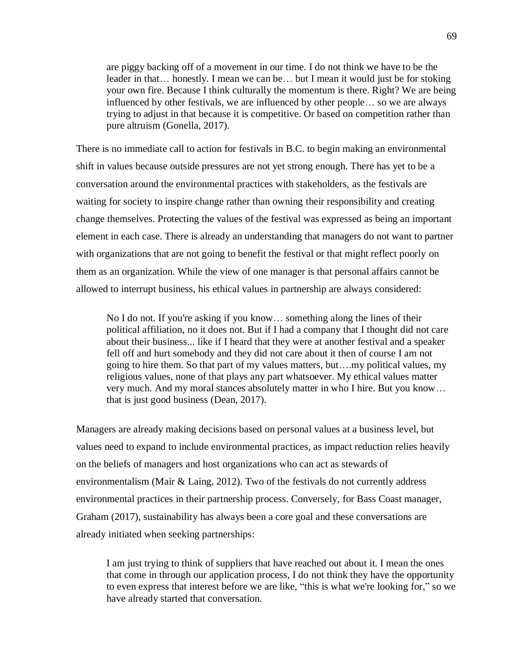are piggy backing off of a movement in our time. I do not think we have to be the leader in that… honestly. I mean we can be… but I mean it would just be for stoking your own fire. Because I think culturally the momentum is there. Right? We are being influenced by other festivals, we are influenced by other people… so we are always trying to adjust in that because it is competitive. Or based on competition rather than pure altruism (Gonella, 2017).

There is no immediate call to action for festivals in B.C. to begin making an environmental shift in values because outside pressures are not yet strong enough. There has yet to be a conversation around the environmental practices with stakeholders, as the festivals are waiting for society to inspire change rather than owning their responsibility and creating change themselves. Protecting the values of the festival was expressed as being an important element in each case. There is already an understanding that managers do not want to partner with organizations that are not going to benefit the festival or that might reflect poorly on them as an organization. While the view of one manager is that personal affairs cannot be allowed to interrupt business, his ethical values in partnership are always considered:

No I do not. If you're asking if you know… something along the lines of their political affiliation, no it does not. But if I had a company that I thought did not care about their business... like if I heard that they were at another festival and a speaker fell off and hurt somebody and they did not care about it then of course I am not going to hire them. So that part of my values matters, but….my political values, my religious values, none of that plays any part whatsoever. My ethical values matter very much. And my moral stances absolutely matter in who I hire. But you know… that is just good business (Dean, 2017).

Managers are already making decisions based on personal values at a business level, but values need to expand to include environmental practices, as impact reduction relies heavily on the beliefs of managers and host organizations who can act as stewards of environmentalism (Mair & Laing, 2012). Two of the festivals do not currently address environmental practices in their partnership process. Conversely, for Bass Coast manager, Graham (2017), sustainability has always been a core goal and these conversations are already initiated when seeking partnerships:

I am just trying to think of suppliers that have reached out about it. I mean the ones that come in through our application process, I do not think they have the opportunity to even express that interest before we are like, "this is what we're looking for," so we have already started that conversation.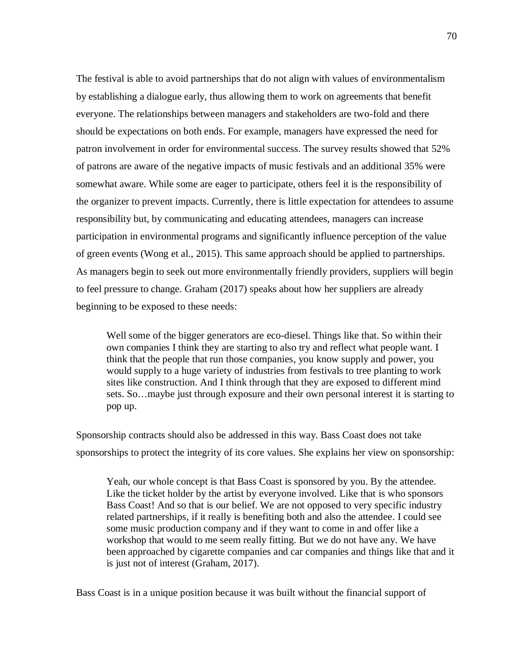The festival is able to avoid partnerships that do not align with values of environmentalism by establishing a dialogue early, thus allowing them to work on agreements that benefit everyone. The relationships between managers and stakeholders are two-fold and there should be expectations on both ends. For example, managers have expressed the need for patron involvement in order for environmental success. The survey results showed that 52% of patrons are aware of the negative impacts of music festivals and an additional 35% were somewhat aware. While some are eager to participate, others feel it is the responsibility of the organizer to prevent impacts. Currently, there is little expectation for attendees to assume responsibility but, by communicating and educating attendees, managers can increase participation in environmental programs and significantly influence perception of the value of green events (Wong et al., 2015). This same approach should be applied to partnerships. As managers begin to seek out more environmentally friendly providers, suppliers will begin to feel pressure to change. Graham (2017) speaks about how her suppliers are already beginning to be exposed to these needs:

Well some of the bigger generators are eco-diesel. Things like that. So within their own companies I think they are starting to also try and reflect what people want. I think that the people that run those companies, you know supply and power, you would supply to a huge variety of industries from festivals to tree planting to work sites like construction. And I think through that they are exposed to different mind sets. So…maybe just through exposure and their own personal interest it is starting to pop up.

Sponsorship contracts should also be addressed in this way. Bass Coast does not take sponsorships to protect the integrity of its core values. She explains her view on sponsorship:

Yeah, our whole concept is that Bass Coast is sponsored by you. By the attendee. Like the ticket holder by the artist by everyone involved. Like that is who sponsors Bass Coast! And so that is our belief. We are not opposed to very specific industry related partnerships, if it really is benefiting both and also the attendee. I could see some music production company and if they want to come in and offer like a workshop that would to me seem really fitting. But we do not have any. We have been approached by cigarette companies and car companies and things like that and it is just not of interest (Graham, 2017).

Bass Coast is in a unique position because it was built without the financial support of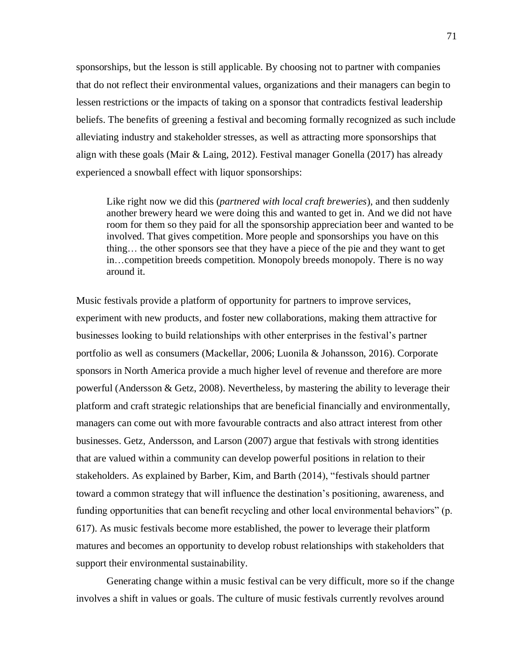sponsorships, but the lesson is still applicable. By choosing not to partner with companies that do not reflect their environmental values, organizations and their managers can begin to lessen restrictions or the impacts of taking on a sponsor that contradicts festival leadership beliefs. The benefits of greening a festival and becoming formally recognized as such include alleviating industry and stakeholder stresses, as well as attracting more sponsorships that align with these goals (Mair & Laing, 2012). Festival manager Gonella (2017) has already experienced a snowball effect with liquor sponsorships:

Like right now we did this (*partnered with local craft breweries*), and then suddenly another brewery heard we were doing this and wanted to get in. And we did not have room for them so they paid for all the sponsorship appreciation beer and wanted to be involved. That gives competition. More people and sponsorships you have on this thing… the other sponsors see that they have a piece of the pie and they want to get in…competition breeds competition. Monopoly breeds monopoly. There is no way around it.

Music festivals provide a platform of opportunity for partners to improve services, experiment with new products, and foster new collaborations, making them attractive for businesses looking to build relationships with other enterprises in the festival's partner portfolio as well as consumers (Mackellar, 2006; Luonila & Johansson, 2016). Corporate sponsors in North America provide a much higher level of revenue and therefore are more powerful (Andersson & Getz, 2008). Nevertheless, by mastering the ability to leverage their platform and craft strategic relationships that are beneficial financially and environmentally, managers can come out with more favourable contracts and also attract interest from other businesses. Getz, Andersson, and Larson (2007) argue that festivals with strong identities that are valued within a community can develop powerful positions in relation to their stakeholders. As explained by Barber, Kim, and Barth (2014), "festivals should partner toward a common strategy that will influence the destination's positioning, awareness, and funding opportunities that can benefit recycling and other local environmental behaviors" (p. 617). As music festivals become more established, the power to leverage their platform matures and becomes an opportunity to develop robust relationships with stakeholders that support their environmental sustainability.

Generating change within a music festival can be very difficult, more so if the change involves a shift in values or goals. The culture of music festivals currently revolves around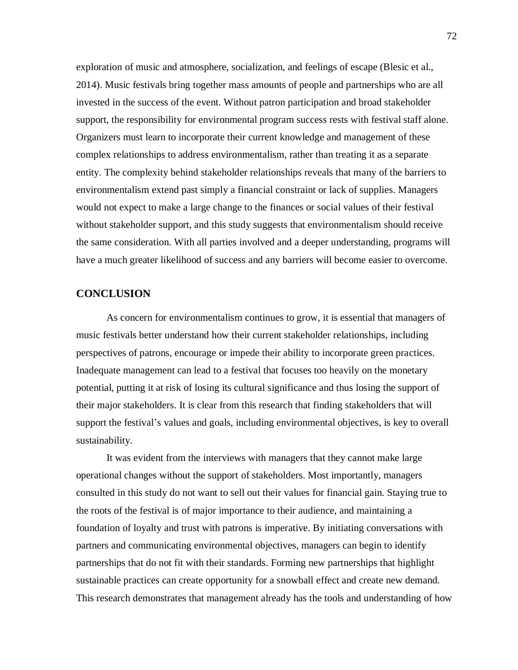exploration of music and atmosphere, socialization, and feelings of escape (Blesic et al., 2014). Music festivals bring together mass amounts of people and partnerships who are all invested in the success of the event. Without patron participation and broad stakeholder support, the responsibility for environmental program success rests with festival staff alone. Organizers must learn to incorporate their current knowledge and management of these complex relationships to address environmentalism, rather than treating it as a separate entity. The complexity behind stakeholder relationships reveals that many of the barriers to environmentalism extend past simply a financial constraint or lack of supplies. Managers would not expect to make a large change to the finances or social values of their festival without stakeholder support, and this study suggests that environmentalism should receive the same consideration. With all parties involved and a deeper understanding, programs will have a much greater likelihood of success and any barriers will become easier to overcome.

## **CONCLUSION**

As concern for environmentalism continues to grow, it is essential that managers of music festivals better understand how their current stakeholder relationships, including perspectives of patrons, encourage or impede their ability to incorporate green practices. Inadequate management can lead to a festival that focuses too heavily on the monetary potential, putting it at risk of losing its cultural significance and thus losing the support of their major stakeholders. It is clear from this research that finding stakeholders that will support the festival's values and goals, including environmental objectives, is key to overall sustainability.

It was evident from the interviews with managers that they cannot make large operational changes without the support of stakeholders. Most importantly, managers consulted in this study do not want to sell out their values for financial gain. Staying true to the roots of the festival is of major importance to their audience, and maintaining a foundation of loyalty and trust with patrons is imperative. By initiating conversations with partners and communicating environmental objectives, managers can begin to identify partnerships that do not fit with their standards. Forming new partnerships that highlight sustainable practices can create opportunity for a snowball effect and create new demand. This research demonstrates that management already has the tools and understanding of how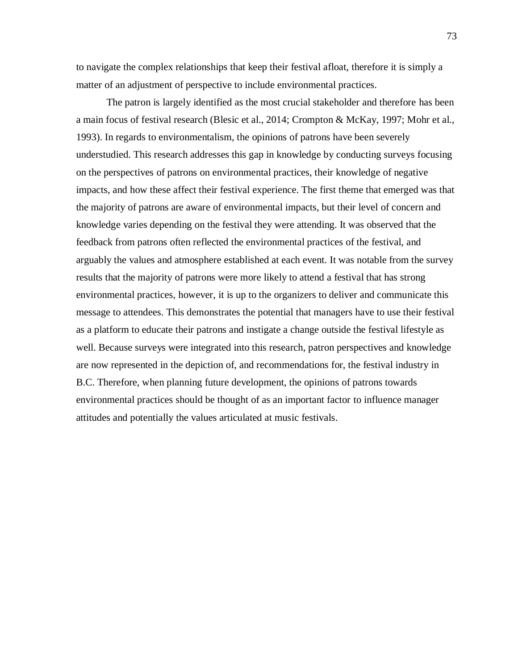to navigate the complex relationships that keep their festival afloat, therefore it is simply a matter of an adjustment of perspective to include environmental practices.

The patron is largely identified as the most crucial stakeholder and therefore has been a main focus of festival research (Blesic et al., 2014; Crompton & McKay, 1997; Mohr et al., 1993). In regards to environmentalism, the opinions of patrons have been severely understudied. This research addresses this gap in knowledge by conducting surveys focusing on the perspectives of patrons on environmental practices, their knowledge of negative impacts, and how these affect their festival experience. The first theme that emerged was that the majority of patrons are aware of environmental impacts, but their level of concern and knowledge varies depending on the festival they were attending. It was observed that the feedback from patrons often reflected the environmental practices of the festival, and arguably the values and atmosphere established at each event. It was notable from the survey results that the majority of patrons were more likely to attend a festival that has strong environmental practices, however, it is up to the organizers to deliver and communicate this message to attendees. This demonstrates the potential that managers have to use their festival as a platform to educate their patrons and instigate a change outside the festival lifestyle as well. Because surveys were integrated into this research, patron perspectives and knowledge are now represented in the depiction of, and recommendations for, the festival industry in B.C. Therefore, when planning future development, the opinions of patrons towards environmental practices should be thought of as an important factor to influence manager attitudes and potentially the values articulated at music festivals.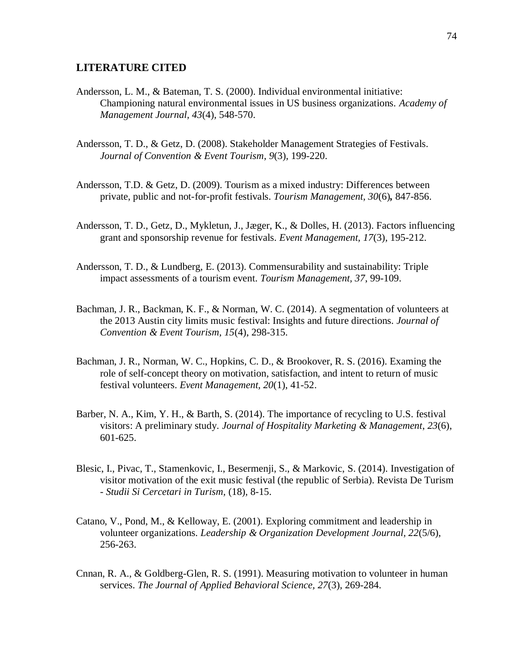#### **LITERATURE CITED**

- Andersson, L. M., & Bateman, T. S. (2000). Individual environmental initiative: Championing natural environmental issues in US business organizations. *Academy of Management Journal, 43*(4), 548-570.
- Andersson, T. D., & Getz, D. (2008). Stakeholder Management Strategies of Festivals. *Journal of Convention & Event Tourism*, *9*(3), 199-220.
- Andersson, T.D. & Getz, D. (2009). Tourism as a mixed industry: Differences between private, public and not-for-profit festivals. *Tourism Management, 30*(6)*,* 847-856.
- Andersson, T. D., Getz, D., Mykletun, J., Jæger, K., & Dolles, H. (2013). Factors influencing grant and sponsorship revenue for festivals. *Event Management, 17*(3), 195-212.
- Andersson, T. D., & Lundberg, E. (2013). Commensurability and sustainability: Triple impact assessments of a tourism event. *Tourism Management, 37*, 99-109.
- Bachman, J. R., Backman, K. F., & Norman, W. C. (2014). A segmentation of volunteers at the 2013 Austin city limits music festival: Insights and future directions. *Journal of Convention & Event Tourism, 15*(4), 298-315.
- Bachman, J. R., Norman, W. C., Hopkins, C. D., & Brookover, R. S. (2016). Examing the role of self-concept theory on motivation, satisfaction, and intent to return of music festival volunteers. *Event Management, 20*(1), 41-52.
- Barber, N. A., Kim, Y. H., & Barth, S. (2014). The importance of recycling to U.S. festival visitors: A preliminary study. *Journal of Hospitality Marketing & Management*, *23*(6), 601-625.
- Blesic, I., Pivac, T., Stamenkovic, I., Besermenji, S., & Markovic, S. (2014). Investigation of visitor motivation of the exit music festival (the republic of Serbia). Revista De Turism - *Studii Si Cercetari in Turism,* (18)*,* 8-15.
- Catano, V., Pond, M., & Kelloway, E. (2001). Exploring commitment and leadership in volunteer organizations. *Leadership & Organization Development Journal, 22*(5/6), 256-263.
- Cnnan, R. A., & Goldberg-Glen, R. S. (1991). Measuring motivation to volunteer in human services. *The Journal of Applied Behavioral Science, 27*(3), 269-284.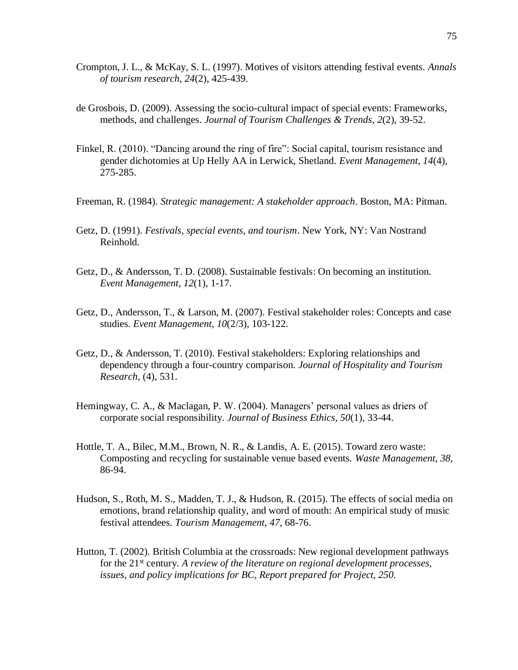- Crompton, J. L., & McKay, S. L. (1997). Motives of visitors attending festival events. *Annals of tourism research*, *24*(2), 425-439.
- de Grosbois, D. (2009). Assessing the socio-cultural impact of special events: Frameworks, methods, and challenges. *Journal of Tourism Challenges & Trends, 2*(2), 39-52.
- Finkel, R. (2010). "Dancing around the ring of fire": Social capital, tourism resistance and gender dichotomies at Up Helly AA in Lerwick, Shetland. *Event Management, 14*(4), 275-285.
- Freeman, R. (1984). *Strategic management: A stakeholder approach*. Boston, MA: Pitman.
- Getz, D. (1991). *Festivals, special events, and tourism*. New York, NY: Van Nostrand Reinhold.
- Getz, D., & Andersson, T. D. (2008). Sustainable festivals: On becoming an institution. *Event Management*, *12*(1), 1-17.
- Getz, D., Andersson, T., & Larson, M. (2007). Festival stakeholder roles: Concepts and case studies. *Event Management*, *10*(2/3), 103-122.
- Getz, D., & Andersson, T. (2010). Festival stakeholders: Exploring relationships and dependency through a four-country comparison. *Journal of Hospitality and Tourism Research,* (4), 531.
- Hemingway, C. A., & Maclagan, P. W. (2004). Managers' personal values as driers of corporate social responsibility. *Journal of Business Ethics, 50*(1), 33-44.
- Hottle, T. A., Bilec, M.M., Brown, N. R., & Landis, A. E. (2015). Toward zero waste: Composting and recycling for sustainable venue based events. *Waste Management, 38,* 86-94.
- Hudson, S., Roth, M. S., Madden, T. J., & Hudson, R. (2015). The effects of social media on emotions, brand relationship quality, and word of mouth: An empirical study of music festival attendees. *Tourism Management, 47*, 68-76.
- Hutton, T. (2002). British Columbia at the crossroads: New regional development pathways for the 21st century. *A review of the literature on regional development processes, issues, and policy implications for BC, Report prepared for Project, 250.*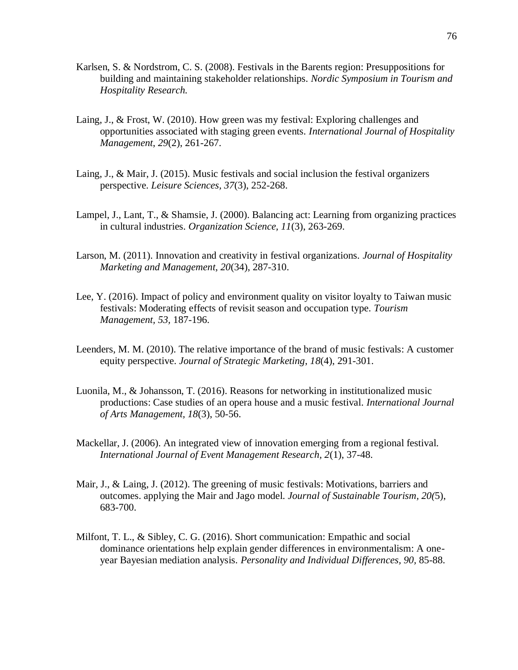- Karlsen, S. & Nordstrom, C. S. (2008). Festivals in the Barents region: Presuppositions for building and maintaining stakeholder relationships. *Nordic Symposium in Tourism and Hospitality Research.*
- Laing, J., & Frost, W. (2010). How green was my festival: Exploring challenges and opportunities associated with staging green events. *International Journal of Hospitality Management*, *29*(2), 261-267.
- Laing, J., & Mair, J. (2015). Music festivals and social inclusion the festival organizers perspective. *Leisure Sciences, 37*(3), 252-268.
- Lampel, J., Lant, T., & Shamsie, J. (2000). Balancing act: Learning from organizing practices in cultural industries. *Organization Science, 11*(3), 263-269.
- Larson, M. (2011). Innovation and creativity in festival organizations. *Journal of Hospitality Marketing and Management, 20*(34), 287-310.
- Lee, Y. (2016). Impact of policy and environment quality on visitor loyalty to Taiwan music festivals: Moderating effects of revisit season and occupation type. *Tourism Management, 53,* 187-196.
- Leenders, M. M. (2010). The relative importance of the brand of music festivals: A customer equity perspective. *Journal of Strategic Marketing*, *18*(4), 291-301.
- Luonila, M., & Johansson, T. (2016). Reasons for networking in institutionalized music productions: Case studies of an opera house and a music festival. *International Journal of Arts Management, 18*(3), 50-56.
- Mackellar, J. (2006). An integrated view of innovation emerging from a regional festival. *International Journal of Event Management Research, 2*(1), 37-48.
- Mair, J., & Laing, J. (2012). The greening of music festivals: Motivations, barriers and outcomes. applying the Mair and Jago model. *Journal of Sustainable Tourism, 20(*5), 683-700.
- Milfont, T. L., & Sibley, C. G. (2016). Short communication: Empathic and social dominance orientations help explain gender differences in environmentalism: A oneyear Bayesian mediation analysis. *Personality and Individual Differences, 90,* 85-88.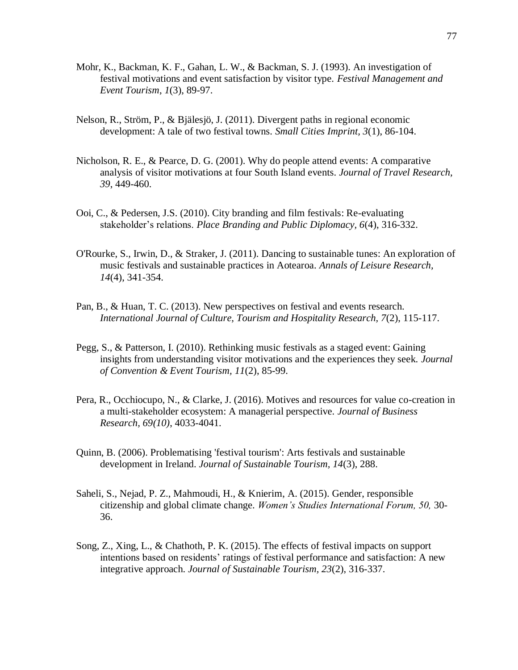- Mohr, K., Backman, K. F., Gahan, L. W., & Backman, S. J. (1993). An investigation of festival motivations and event satisfaction by visitor type. *Festival Management and Event Tourism*, *1*(3), 89-97.
- Nelson, R., Ström, P., & Bjälesjö, J. (2011). Divergent paths in regional economic development: A tale of two festival towns. *Small Cities Imprint, 3*(1), 86-104.
- Nicholson, R. E., & Pearce, D. G. (2001). Why do people attend events: A comparative analysis of visitor motivations at four South Island events. *Journal of Travel Research, 39*, 449-460.
- Ooi, C., & Pedersen, J.S. (2010). City branding and film festivals: Re-evaluating stakeholder's relations. *Place Branding and Public Diplomacy, 6*(4), 316-332.
- O'Rourke, S., Irwin, D., & Straker, J. (2011). Dancing to sustainable tunes: An exploration of music festivals and sustainable practices in Aotearoa. *Annals of Leisure Research, 14*(4), 341-354.
- Pan, B., & Huan, T. C. (2013). New perspectives on festival and events research. *International Journal of Culture, Tourism and Hospitality Research, 7*(2), 115-117.
- Pegg, S., & Patterson, I. (2010). Rethinking music festivals as a staged event: Gaining insights from understanding visitor motivations and the experiences they seek. *Journal of Convention & Event Tourism, 11*(2), 85-99.
- Pera, R., Occhiocupo, N., & Clarke, J. (2016). Motives and resources for value co-creation in a multi-stakeholder ecosystem: A managerial perspective. *Journal of Business Research, 69(10)*, 4033-4041.
- Quinn, B. (2006). Problematising 'festival tourism': Arts festivals and sustainable development in Ireland. *Journal of Sustainable Tourism, 14*(3), 288.
- Saheli, S., Nejad, P. Z., Mahmoudi, H., & Knierim, A. (2015). Gender, responsible citizenship and global climate change. *Women's Studies International Forum, 50,* 30- 36.
- Song, Z., Xing, L., & Chathoth, P. K. (2015). The effects of festival impacts on support intentions based on residents' ratings of festival performance and satisfaction: A new integrative approach. *Journal of Sustainable Tourism, 23*(2), 316-337.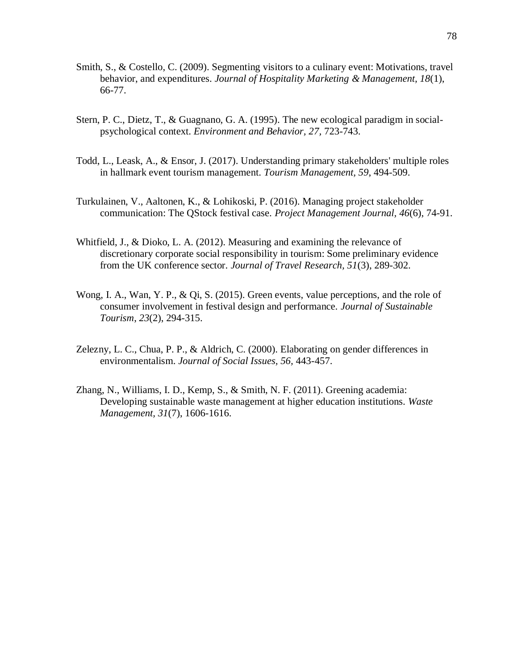- Smith, S., & Costello, C. (2009). Segmenting visitors to a culinary event: Motivations, travel behavior, and expenditures. *Journal of Hospitality Marketing & Management, 18*(1), 66-77.
- Stern, P. C., Dietz, T., & Guagnano, G. A. (1995). The new ecological paradigm in socialpsychological context. *Environment and Behavior, 27,* 723-743.
- Todd, L., Leask, A., & Ensor, J. (2017). Understanding primary stakeholders' multiple roles in hallmark event tourism management. *Tourism Management, 59*, 494-509.
- Turkulainen, V., Aaltonen, K., & Lohikoski, P. (2016). Managing project stakeholder communication: The QStock festival case. *Project Management Journal, 46*(6), 74-91.
- Whitfield, J., & Dioko, L. A. (2012). Measuring and examining the relevance of discretionary corporate social responsibility in tourism: Some preliminary evidence from the UK conference sector. *Journal of Travel Research, 51*(3), 289-302.
- Wong, I. A., Wan, Y. P., & Qi, S. (2015). Green events, value perceptions, and the role of consumer involvement in festival design and performance. *Journal of Sustainable Tourism*, *23*(2), 294-315.
- Zelezny, L. C., Chua, P. P., & Aldrich, C. (2000). Elaborating on gender differences in environmentalism. *Journal of Social Issues, 56,* 443-457.
- Zhang, N., Williams, I. D., Kemp, S., & Smith, N. F. (2011). Greening academia: Developing sustainable waste management at higher education institutions. *Waste Management, 31*(7), 1606-1616.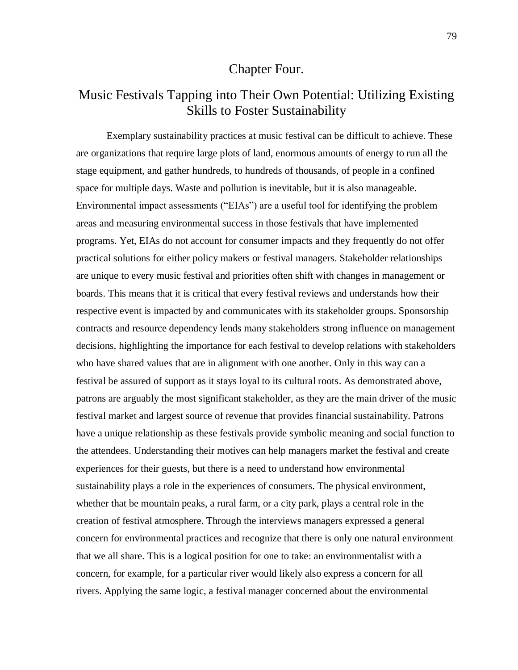# Chapter Four.

# Music Festivals Tapping into Their Own Potential: Utilizing Existing Skills to Foster Sustainability

Exemplary sustainability practices at music festival can be difficult to achieve. These are organizations that require large plots of land, enormous amounts of energy to run all the stage equipment, and gather hundreds, to hundreds of thousands, of people in a confined space for multiple days. Waste and pollution is inevitable, but it is also manageable. Environmental impact assessments ("EIAs") are a useful tool for identifying the problem areas and measuring environmental success in those festivals that have implemented programs. Yet, EIAs do not account for consumer impacts and they frequently do not offer practical solutions for either policy makers or festival managers. Stakeholder relationships are unique to every music festival and priorities often shift with changes in management or boards. This means that it is critical that every festival reviews and understands how their respective event is impacted by and communicates with its stakeholder groups. Sponsorship contracts and resource dependency lends many stakeholders strong influence on management decisions, highlighting the importance for each festival to develop relations with stakeholders who have shared values that are in alignment with one another. Only in this way can a festival be assured of support as it stays loyal to its cultural roots. As demonstrated above, patrons are arguably the most significant stakeholder, as they are the main driver of the music festival market and largest source of revenue that provides financial sustainability. Patrons have a unique relationship as these festivals provide symbolic meaning and social function to the attendees. Understanding their motives can help managers market the festival and create experiences for their guests, but there is a need to understand how environmental sustainability plays a role in the experiences of consumers. The physical environment, whether that be mountain peaks, a rural farm, or a city park, plays a central role in the creation of festival atmosphere. Through the interviews managers expressed a general concern for environmental practices and recognize that there is only one natural environment that we all share. This is a logical position for one to take: an environmentalist with a concern, for example, for a particular river would likely also express a concern for all rivers. Applying the same logic, a festival manager concerned about the environmental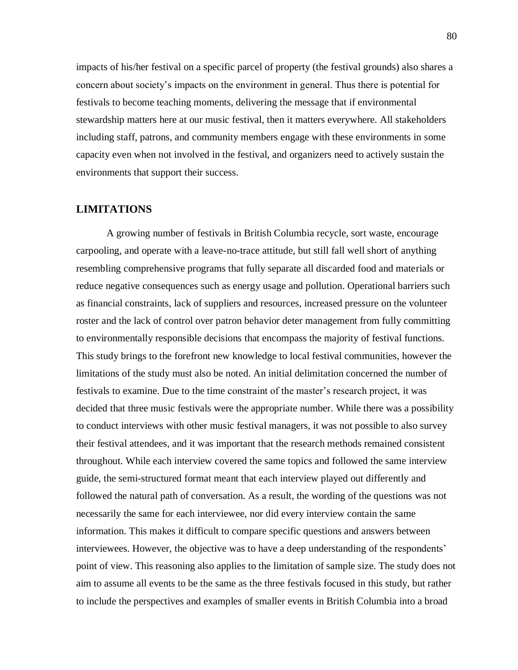impacts of his/her festival on a specific parcel of property (the festival grounds) also shares a concern about society's impacts on the environment in general. Thus there is potential for festivals to become teaching moments, delivering the message that if environmental stewardship matters here at our music festival, then it matters everywhere. All stakeholders including staff, patrons, and community members engage with these environments in some capacity even when not involved in the festival, and organizers need to actively sustain the environments that support their success.

### **LIMITATIONS**

A growing number of festivals in British Columbia recycle, sort waste, encourage carpooling, and operate with a leave-no-trace attitude, but still fall well short of anything resembling comprehensive programs that fully separate all discarded food and materials or reduce negative consequences such as energy usage and pollution. Operational barriers such as financial constraints, lack of suppliers and resources, increased pressure on the volunteer roster and the lack of control over patron behavior deter management from fully committing to environmentally responsible decisions that encompass the majority of festival functions. This study brings to the forefront new knowledge to local festival communities, however the limitations of the study must also be noted. An initial delimitation concerned the number of festivals to examine. Due to the time constraint of the master's research project, it was decided that three music festivals were the appropriate number. While there was a possibility to conduct interviews with other music festival managers, it was not possible to also survey their festival attendees, and it was important that the research methods remained consistent throughout. While each interview covered the same topics and followed the same interview guide, the semi-structured format meant that each interview played out differently and followed the natural path of conversation. As a result, the wording of the questions was not necessarily the same for each interviewee, nor did every interview contain the same information. This makes it difficult to compare specific questions and answers between interviewees. However, the objective was to have a deep understanding of the respondents' point of view. This reasoning also applies to the limitation of sample size. The study does not aim to assume all events to be the same as the three festivals focused in this study, but rather to include the perspectives and examples of smaller events in British Columbia into a broad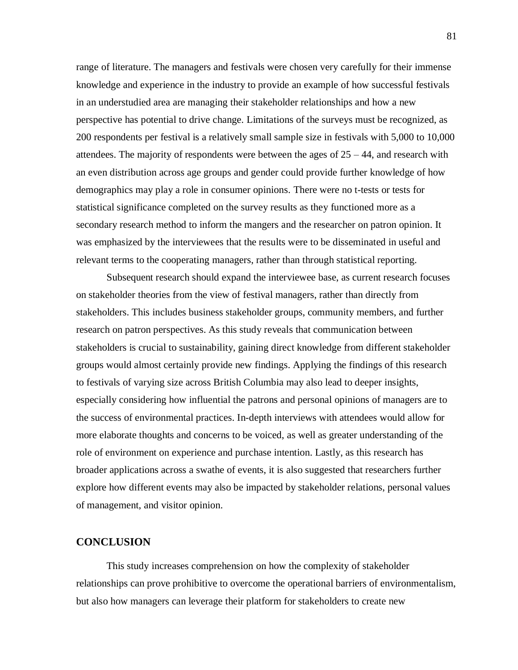range of literature. The managers and festivals were chosen very carefully for their immense knowledge and experience in the industry to provide an example of how successful festivals in an understudied area are managing their stakeholder relationships and how a new perspective has potential to drive change. Limitations of the surveys must be recognized, as 200 respondents per festival is a relatively small sample size in festivals with 5,000 to 10,000 attendees. The majority of respondents were between the ages of  $25 - 44$ , and research with an even distribution across age groups and gender could provide further knowledge of how demographics may play a role in consumer opinions. There were no t-tests or tests for statistical significance completed on the survey results as they functioned more as a secondary research method to inform the mangers and the researcher on patron opinion. It was emphasized by the interviewees that the results were to be disseminated in useful and relevant terms to the cooperating managers, rather than through statistical reporting.

Subsequent research should expand the interviewee base, as current research focuses on stakeholder theories from the view of festival managers, rather than directly from stakeholders. This includes business stakeholder groups, community members, and further research on patron perspectives. As this study reveals that communication between stakeholders is crucial to sustainability, gaining direct knowledge from different stakeholder groups would almost certainly provide new findings. Applying the findings of this research to festivals of varying size across British Columbia may also lead to deeper insights, especially considering how influential the patrons and personal opinions of managers are to the success of environmental practices. In-depth interviews with attendees would allow for more elaborate thoughts and concerns to be voiced, as well as greater understanding of the role of environment on experience and purchase intention. Lastly, as this research has broader applications across a swathe of events, it is also suggested that researchers further explore how different events may also be impacted by stakeholder relations, personal values of management, and visitor opinion.

## **CONCLUSION**

This study increases comprehension on how the complexity of stakeholder relationships can prove prohibitive to overcome the operational barriers of environmentalism, but also how managers can leverage their platform for stakeholders to create new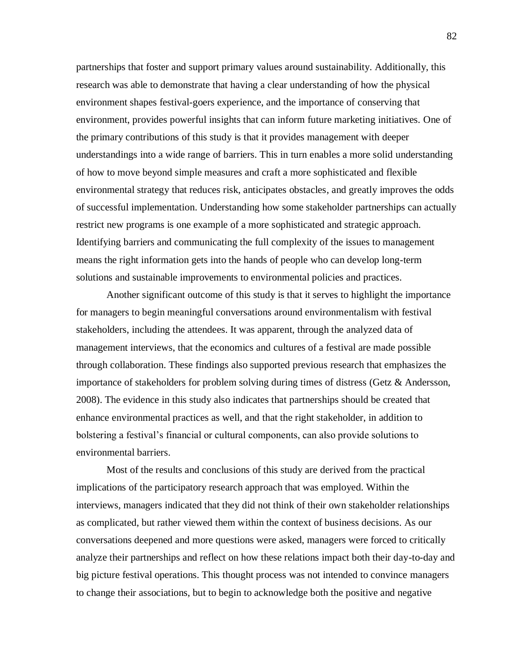partnerships that foster and support primary values around sustainability. Additionally, this research was able to demonstrate that having a clear understanding of how the physical environment shapes festival-goers experience, and the importance of conserving that environment, provides powerful insights that can inform future marketing initiatives. One of the primary contributions of this study is that it provides management with deeper understandings into a wide range of barriers. This in turn enables a more solid understanding of how to move beyond simple measures and craft a more sophisticated and flexible environmental strategy that reduces risk, anticipates obstacles, and greatly improves the odds of successful implementation. Understanding how some stakeholder partnerships can actually restrict new programs is one example of a more sophisticated and strategic approach. Identifying barriers and communicating the full complexity of the issues to management means the right information gets into the hands of people who can develop long-term solutions and sustainable improvements to environmental policies and practices.

Another significant outcome of this study is that it serves to highlight the importance for managers to begin meaningful conversations around environmentalism with festival stakeholders, including the attendees. It was apparent, through the analyzed data of management interviews, that the economics and cultures of a festival are made possible through collaboration. These findings also supported previous research that emphasizes the importance of stakeholders for problem solving during times of distress (Getz & Andersson, 2008). The evidence in this study also indicates that partnerships should be created that enhance environmental practices as well, and that the right stakeholder, in addition to bolstering a festival's financial or cultural components, can also provide solutions to environmental barriers.

Most of the results and conclusions of this study are derived from the practical implications of the participatory research approach that was employed. Within the interviews, managers indicated that they did not think of their own stakeholder relationships as complicated, but rather viewed them within the context of business decisions. As our conversations deepened and more questions were asked, managers were forced to critically analyze their partnerships and reflect on how these relations impact both their day-to-day and big picture festival operations. This thought process was not intended to convince managers to change their associations, but to begin to acknowledge both the positive and negative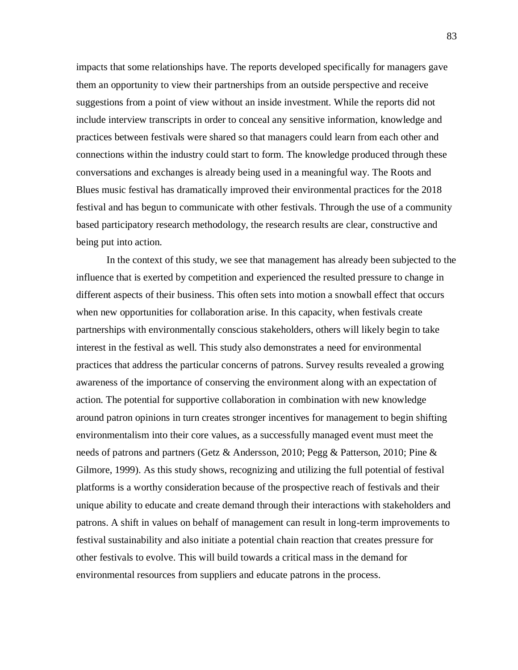impacts that some relationships have. The reports developed specifically for managers gave them an opportunity to view their partnerships from an outside perspective and receive suggestions from a point of view without an inside investment. While the reports did not include interview transcripts in order to conceal any sensitive information, knowledge and practices between festivals were shared so that managers could learn from each other and connections within the industry could start to form. The knowledge produced through these conversations and exchanges is already being used in a meaningful way. The Roots and Blues music festival has dramatically improved their environmental practices for the 2018 festival and has begun to communicate with other festivals. Through the use of a community based participatory research methodology, the research results are clear, constructive and being put into action.

In the context of this study, we see that management has already been subjected to the influence that is exerted by competition and experienced the resulted pressure to change in different aspects of their business. This often sets into motion a snowball effect that occurs when new opportunities for collaboration arise. In this capacity, when festivals create partnerships with environmentally conscious stakeholders, others will likely begin to take interest in the festival as well. This study also demonstrates a need for environmental practices that address the particular concerns of patrons. Survey results revealed a growing awareness of the importance of conserving the environment along with an expectation of action. The potential for supportive collaboration in combination with new knowledge around patron opinions in turn creates stronger incentives for management to begin shifting environmentalism into their core values, as a successfully managed event must meet the needs of patrons and partners (Getz & Andersson, 2010; Pegg & Patterson, 2010; Pine & Gilmore, 1999). As this study shows, recognizing and utilizing the full potential of festival platforms is a worthy consideration because of the prospective reach of festivals and their unique ability to educate and create demand through their interactions with stakeholders and patrons. A shift in values on behalf of management can result in long-term improvements to festival sustainability and also initiate a potential chain reaction that creates pressure for other festivals to evolve. This will build towards a critical mass in the demand for environmental resources from suppliers and educate patrons in the process.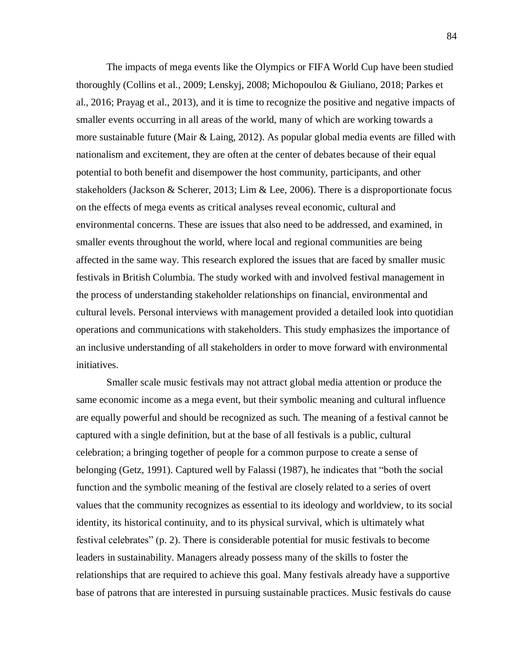The impacts of mega events like the Olympics or FIFA World Cup have been studied thoroughly (Collins et al., 2009; Lenskyj, 2008; Michopoulou & Giuliano, 2018; Parkes et al., 2016; Prayag et al., 2013), and it is time to recognize the positive and negative impacts of smaller events occurring in all areas of the world, many of which are working towards a more sustainable future (Mair & Laing, 2012). As popular global media events are filled with nationalism and excitement, they are often at the center of debates because of their equal potential to both benefit and disempower the host community, participants, and other stakeholders (Jackson & Scherer, 2013; Lim & Lee, 2006). There is a disproportionate focus on the effects of mega events as critical analyses reveal economic, cultural and environmental concerns. These are issues that also need to be addressed, and examined, in smaller events throughout the world, where local and regional communities are being affected in the same way. This research explored the issues that are faced by smaller music festivals in British Columbia. The study worked with and involved festival management in the process of understanding stakeholder relationships on financial, environmental and cultural levels. Personal interviews with management provided a detailed look into quotidian operations and communications with stakeholders. This study emphasizes the importance of an inclusive understanding of all stakeholders in order to move forward with environmental initiatives.

Smaller scale music festivals may not attract global media attention or produce the same economic income as a mega event, but their symbolic meaning and cultural influence are equally powerful and should be recognized as such. The meaning of a festival cannot be captured with a single definition, but at the base of all festivals is a public, cultural celebration; a bringing together of people for a common purpose to create a sense of belonging (Getz, 1991). Captured well by Falassi (1987), he indicates that "both the social function and the symbolic meaning of the festival are closely related to a series of overt values that the community recognizes as essential to its ideology and worldview, to its social identity, its historical continuity, and to its physical survival, which is ultimately what festival celebrates" (p. 2). There is considerable potential for music festivals to become leaders in sustainability. Managers already possess many of the skills to foster the relationships that are required to achieve this goal. Many festivals already have a supportive base of patrons that are interested in pursuing sustainable practices. Music festivals do cause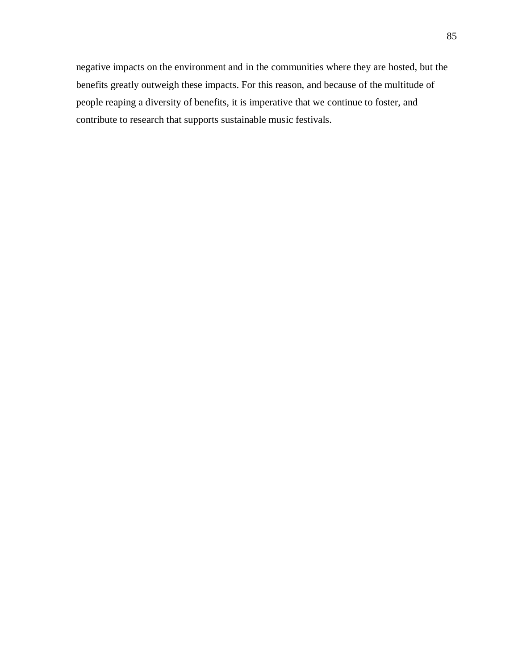negative impacts on the environment and in the communities where they are hosted, but the benefits greatly outweigh these impacts. For this reason, and because of the multitude of people reaping a diversity of benefits, it is imperative that we continue to foster, and contribute to research that supports sustainable music festivals.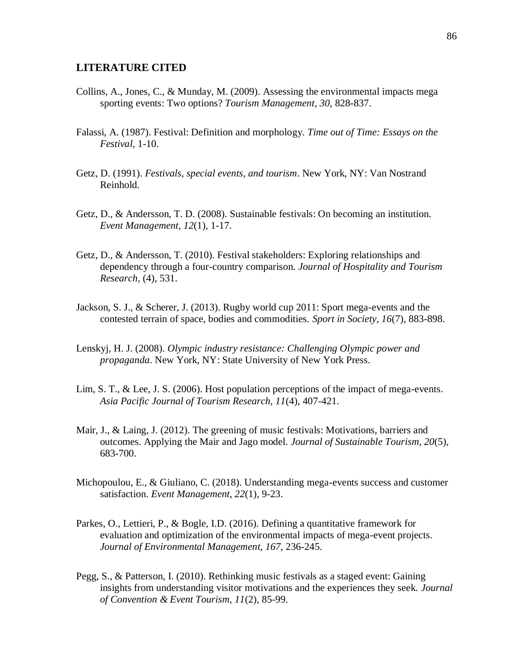#### **LITERATURE CITED**

- Collins, A., Jones, C., & Munday, M. (2009). Assessing the environmental impacts mega sporting events: Two options? *Tourism Management, 30,* 828-837.
- Falassi, A. (1987). Festival: Definition and morphology. *Time out of Time: Essays on the Festival,* 1-10.
- Getz, D. (1991). *Festivals, special events, and tourism*. New York, NY: Van Nostrand Reinhold.
- Getz, D., & Andersson, T. D. (2008). Sustainable festivals: On becoming an institution. *Event Management*, *12*(1), 1-17.
- Getz, D., & Andersson, T. (2010). Festival stakeholders: Exploring relationships and dependency through a four-country comparison. *Journal of Hospitality and Tourism Research,* (4), 531.
- Jackson, S. J., & Scherer, J. (2013). Rugby world cup 2011: Sport mega-events and the contested terrain of space, bodies and commodities. *Sport in Society, 16*(7), 883-898.
- Lenskyj, H. J. (2008). *Olympic industry resistance: Challenging Olympic power and propaganda*. New York, NY: State University of New York Press.
- Lim, S. T., & Lee, J. S. (2006). Host population perceptions of the impact of mega-events. *Asia Pacific Journal of Tourism Research, 11*(4), 407-421.
- Mair, J., & Laing, J. (2012). The greening of music festivals: Motivations, barriers and outcomes. Applying the Mair and Jago model. *Journal of Sustainable Tourism, 20*(5), 683-700.
- Michopoulou, E., & Giuliano, C. (2018). Understanding mega-events success and customer satisfaction. *Event Management, 22*(1), 9-23.
- Parkes, O., Lettieri, P., & Bogle, I.D. (2016). Defining a quantitative framework for evaluation and optimization of the environmental impacts of mega-event projects. *Journal of Environmental Management, 167,* 236-245.
- Pegg, S., & Patterson, I. (2010). Rethinking music festivals as a staged event: Gaining insights from understanding visitor motivations and the experiences they seek. *Journal of Convention & Event Tourism, 11*(2), 85-99.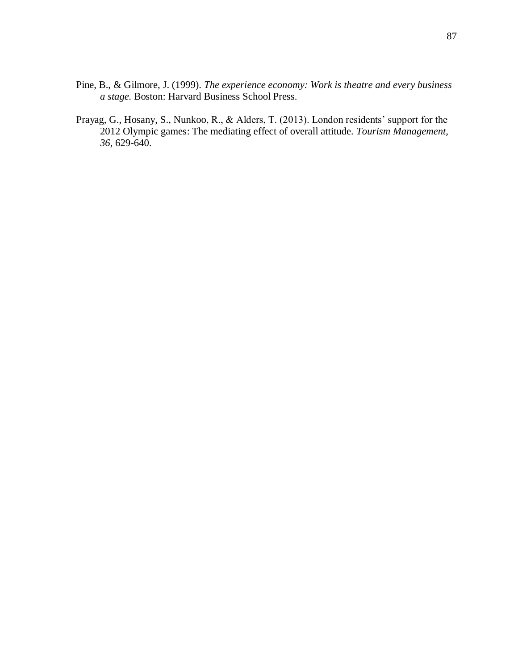- Pine, B., & Gilmore, J. (1999). *The experience economy: Work is theatre and every business a stage.* Boston: Harvard Business School Press.
- Prayag, G., Hosany, S., Nunkoo, R., & Alders, T. (2013). London residents' support for the 2012 Olympic games: The mediating effect of overall attitude. *Tourism Management, 36*, 629-640.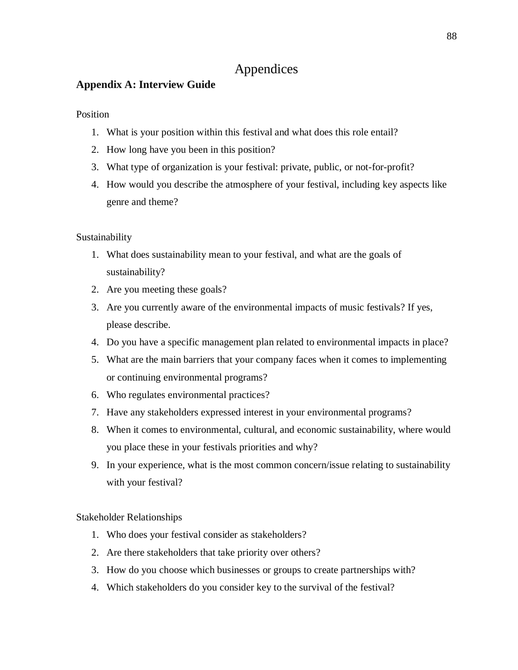# Appendices

## **Appendix A: Interview Guide**

Position

- 1. What is your position within this festival and what does this role entail?
- 2. How long have you been in this position?
- 3. What type of organization is your festival: private, public, or not-for-profit?
- 4. How would you describe the atmosphere of your festival, including key aspects like genre and theme?

Sustainability

- 1. What does sustainability mean to your festival, and what are the goals of sustainability?
- 2. Are you meeting these goals?
- 3. Are you currently aware of the environmental impacts of music festivals? If yes, please describe.
- 4. Do you have a specific management plan related to environmental impacts in place?
- 5. What are the main barriers that your company faces when it comes to implementing or continuing environmental programs?
- 6. Who regulates environmental practices?
- 7. Have any stakeholders expressed interest in your environmental programs?
- 8. When it comes to environmental, cultural, and economic sustainability, where would you place these in your festivals priorities and why?
- 9. In your experience, what is the most common concern/issue relating to sustainability with your festival?

Stakeholder Relationships

- 1. Who does your festival consider as stakeholders?
- 2. Are there stakeholders that take priority over others?
- 3. How do you choose which businesses or groups to create partnerships with?
- 4. Which stakeholders do you consider key to the survival of the festival?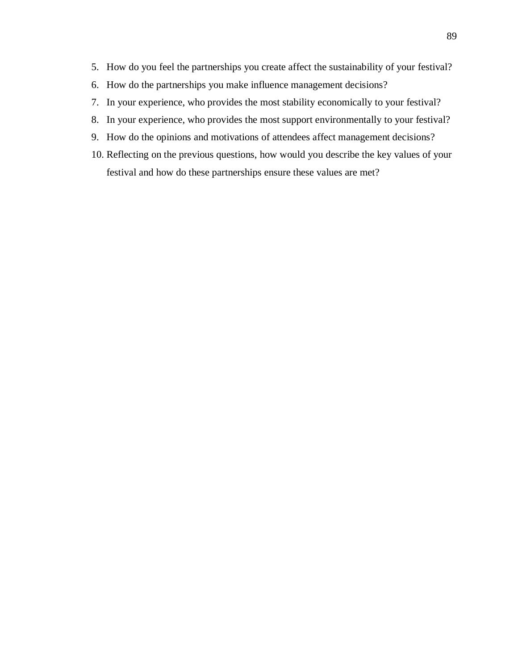- 5. How do you feel the partnerships you create affect the sustainability of your festival?
- 6. How do the partnerships you make influence management decisions?
- 7. In your experience, who provides the most stability economically to your festival?
- 8. In your experience, who provides the most support environmentally to your festival?
- 9. How do the opinions and motivations of attendees affect management decisions?
- 10. Reflecting on the previous questions, how would you describe the key values of your festival and how do these partnerships ensure these values are met?